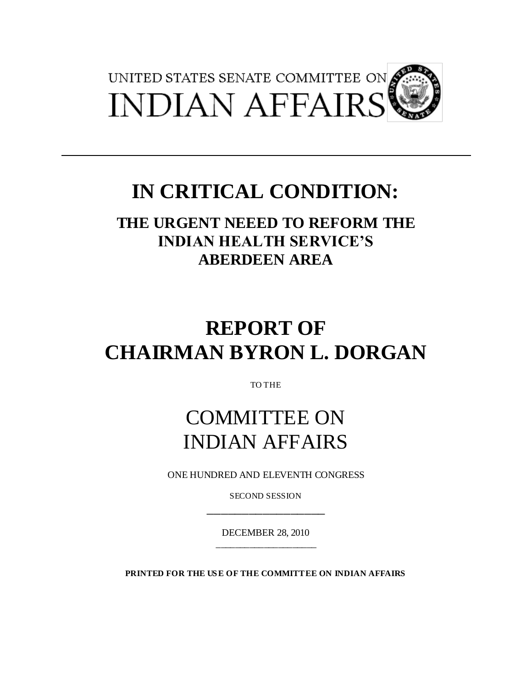

# **IN CRITICAL CONDITION:**

**THE URGENT NEEED TO REFORM THE INDIAN HEALTH SERVICE'S ABERDEEN AREA**

# **REPORT OF CHAIRMAN BYRON L. DORGAN**

TO THE

# COMMITTEE ON INDIAN AFFAIRS

ONE HUNDRED AND ELEVENTH CONGRESS

SECOND SESSION \_\_\_\_\_\_\_\_\_\_\_\_\_\_\_\_\_

DECEMBER 28, 2010 \_\_\_\_\_\_\_\_\_\_\_\_\_\_\_\_\_\_\_\_\_

**PRINTED FOR THE US E OF THE COMMITTEE ON INDIAN AFFAIRS**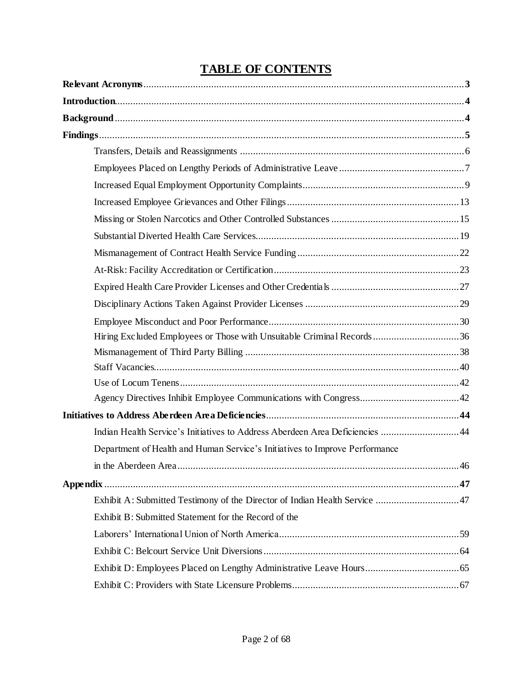# **TABLE OF CONTENTS**

| Hiring Excluded Employees or Those with Unsuitable Criminal Records 36        |     |
|-------------------------------------------------------------------------------|-----|
|                                                                               |     |
|                                                                               |     |
|                                                                               |     |
|                                                                               |     |
|                                                                               |     |
| Indian Health Service's Initiatives to Address Aberdeen Area Deficiencies  44 |     |
| Department of Health and Human Service's Initiatives to Improve Performance   |     |
|                                                                               | .46 |
|                                                                               |     |
|                                                                               |     |
| Exhibit B: Submitted Statement for the Record of the                          |     |
|                                                                               |     |
|                                                                               |     |
|                                                                               |     |
|                                                                               |     |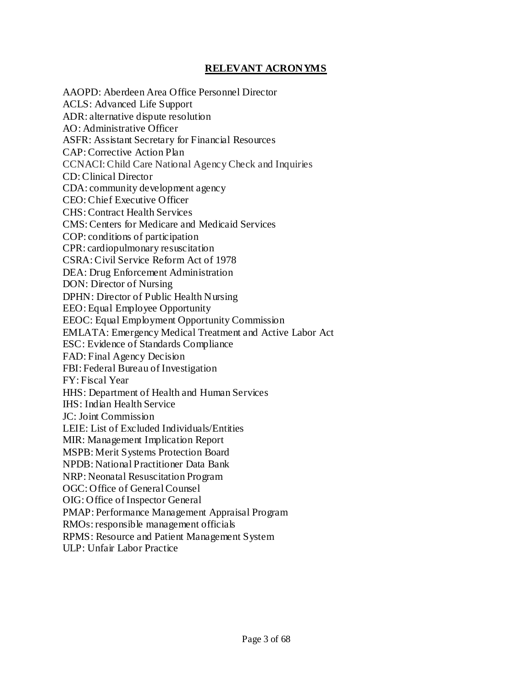#### **RELEVANT ACRONYMS**

AAOPD: Aberdeen Area Office Personnel Director ACLS: Advanced Life Support ADR: alternative dispute resolution AO: Administrative Officer ASFR: Assistant Secretary for Financial Resources CAP: Corrective Action Plan CCNACI: Child Care National Agency Check and Inquiries CD: Clinical Director CDA: community development agency CEO: Chief Executive Officer CHS: Contract Health Services CMS: Centers for Medicare and Medicaid Services COP: conditions of participation CPR: cardiopulmonary resuscitation CSRA: Civil Service Reform Act of 1978 DEA: Drug Enforcement Administration DON: Director of Nursing DPHN: Director of Public Health Nursing EEO: Equal Employee Opportunity EEOC: Equal Employment Opportunity Commission EMLATA: Emergency Medical Treatment and Active Labor Act ESC: Evidence of Standards Compliance FAD: Final Agency Decision FBI: Federal Bureau of Investigation FY: Fiscal Year HHS: Department of Health and Human Services IHS: Indian Health Service JC: Joint Commission LEIE: List of Excluded Individuals/Entities MIR: Management Implication Report MSPB: Merit Systems Protection Board NPDB: National Practitioner Data Bank NRP: Neonatal Resuscitation Program OGC: Office of General Counsel OIG: Office of Inspector General PMAP: Performance Management Appraisal Program RMOs: responsible management officials RPMS: Resource and Patient Management System ULP: Unfair Labor Practice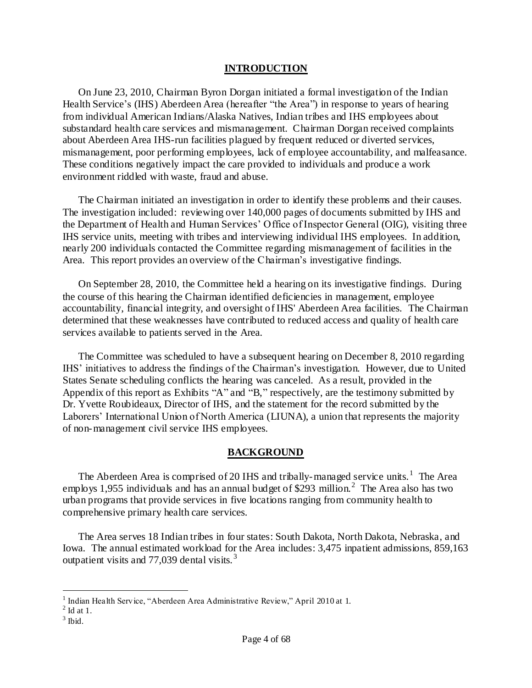#### **INTRODUCTION**

On June 23, 2010, Chairman Byron Dorgan initiated a formal investigation of the Indian Health Service's (IHS) Aberdeen Area (hereafter "the Area") in response to years of hearing from individual American Indians/Alaska Natives, Indian tribes and IHS employees about substandard health care services and mismanagement. Chairman Dorgan received complaints about Aberdeen Area IHS-run facilities plagued by frequent reduced or diverted services, mismanagement, poor performing employees, lack of employee accountability, and malfeasance. These conditions negatively impact the care provided to individuals and produce a work environment riddled with waste, fraud and abuse.

The Chairman initiated an investigation in order to identify these problems and their causes. The investigation included: reviewing over 140,000 pages of documents submitted by IHS and the Department of Health and Human Services" Office of Inspector General (OIG), visiting three IHS service units, meeting with tribes and interviewing individual IHS employees. In addition, nearly 200 individuals contacted the Committee regarding mismanagement of facilities in the Area. This report provides an overview of the Chairman"s investigative findings.

On September 28, 2010, the Committee held a hearing on its investigative findings. During the course of this hearing the Chairman identified deficiencies in management, employee accountability, financial integrity, and oversight of IHS' Aberdeen Area facilities. The Chairman determined that these weaknesses have contributed to reduced access and quality of health care services available to patients served in the Area.

The Committee was scheduled to have a subsequent hearing on December 8, 2010 regarding IHS" initiatives to address the findings of the Chairman"s investigation. However, due to United States Senate scheduling conflicts the hearing was canceled. As a result, provided in the Appendix of this report as Exhibits "A" and "B," respectively, are the testimony submitted by Dr. Yvette Roubideaux, Director of IHS, and the statement for the record submitted by the Laborers' International Union of North America (LIUNA), a union that represents the majority of non-management civil service IHS employees.

#### **BACKGROUND**

The Aberdeen Area is comprised of 20 IHS and tribally-managed service units.<sup>1</sup> The Area employs 1,955 individuals and has an annual budget of \$293 million.<sup>2</sup> The Area also has two urban programs that provide services in five locations ranging from community health to comprehensive primary health care services.

The Area serves 18 Indian tribes in four states: South Dakota, North Dakota, Nebraska, and Iowa. The annual estimated workload for the Area includes: 3,475 inpatient admissions, 859,163 outpatient visits and 77,039 dental visits.<sup>3</sup>

<sup>&</sup>lt;sup>1</sup> Indian Health Service, "Aberdeen Area Administrative Review," April 2010 at 1.<br><sup>2</sup> Id at 1.

 $3$  Ibid.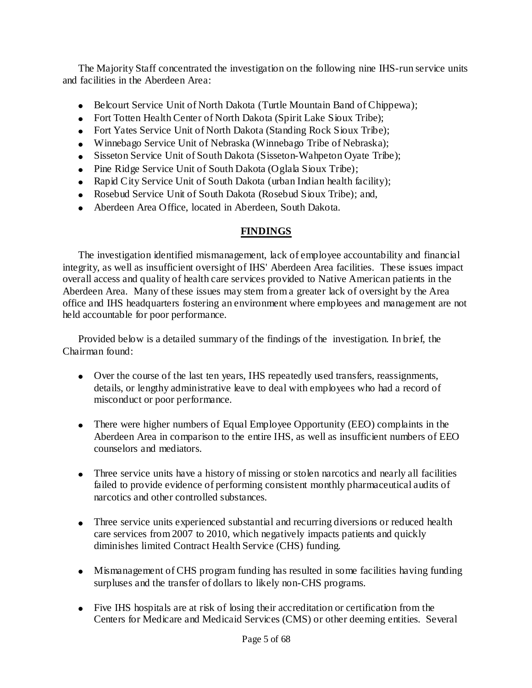The Majority Staff concentrated the investigation on the following nine IHS-run service units and facilities in the Aberdeen Area:

- Belcourt Service Unit of North Dakota (Turtle Mountain Band of Chippewa);
- Fort Totten Health Center of North Dakota (Spirit Lake Sioux Tribe);
- Fort Yates Service Unit of North Dakota (Standing Rock Sioux Tribe);
- Winnebago Service Unit of Nebraska (Winnebago Tribe of Nebraska);
- Sisseton Service Unit of South Dakota (Sisseton-Wahpeton Oyate Tribe);
- Pine Ridge Service Unit of South Dakota (Oglala Sioux Tribe);
- Rapid City Service Unit of South Dakota (urban Indian health facility);
- Rosebud Service Unit of South Dakota (Rosebud Sioux Tribe); and,
- Aberdeen Area Office, located in Aberdeen, South Dakota.

# **FINDINGS**

The investigation identified mismanagement, lack of employee accountability and financial integrity, as well as insufficient oversight of IHS' Aberdeen Area facilities. These issues impact overall access and quality of health care services provided to Native American patients in the Aberdeen Area. Many of these issues may stem from a greater lack of oversight by the Area office and IHS headquarters fostering an environment where employees and management are not held accountable for poor performance.

Provided below is a detailed summary of the findings of the investigation. In brief, the Chairman found:

- Over the course of the last ten years, IHS repeatedly used transfers, reassignments, details, or lengthy administrative leave to deal with employees who had a record of misconduct or poor performance.
- There were higher numbers of Equal Employee Opportunity (EEO) complaints in the Aberdeen Area in comparison to the entire IHS, as well as insufficient numbers of EEO counselors and mediators.
- Three service units have a history of missing or stolen narcotics and nearly all facilities failed to provide evidence of performing consistent monthly pharmaceutical audits of narcotics and other controlled substances.
- Three service units experienced substantial and recurring diversions or reduced health care services from 2007 to 2010, which negatively impacts patients and quickly diminishes limited Contract Health Service (CHS) funding.
- Mismanagement of CHS program funding has resulted in some facilities having funding surpluses and the transfer of dollars to likely non-CHS programs.
- Five IHS hospitals are at risk of losing their accreditation or certification from the Centers for Medicare and Medicaid Services (CMS) or other deeming entities. Several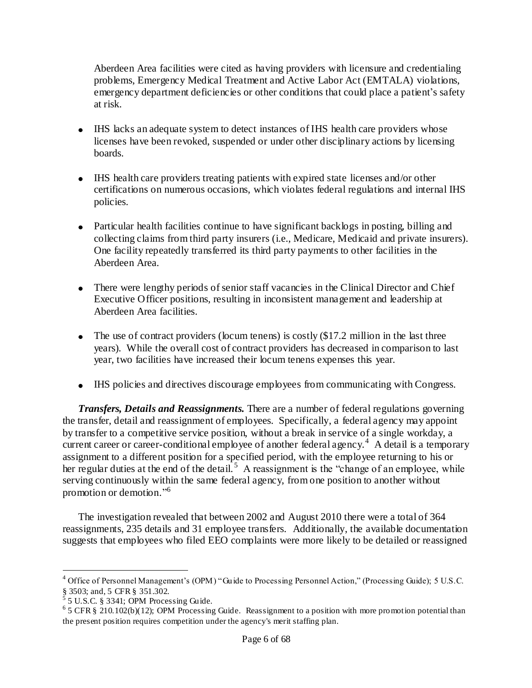Aberdeen Area facilities were cited as having providers with licensure and credentialing problems, Emergency Medical Treatment and Active Labor Act (EMTALA) violations, emergency department deficiencies or other conditions that could place a patient's safety at risk.

- IHS lacks an adequate system to detect instances of IHS health care providers whose licenses have been revoked, suspended or under other disciplinary actions by licensing boards.
- IHS health care providers treating patients with expired state licenses and/or other certifications on numerous occasions, which violates federal regulations and internal IHS policies.
- Particular health facilities continue to have significant backlogs in posting, billing and collecting claims from third party insurers (i.e., Medicare, Medicaid and private insurers). One facility repeatedly transferred its third party payments to other facilities in the Aberdeen Area.
- There were lengthy periods of senior staff vacancies in the Clinical Director and Chief Executive Officer positions, resulting in inconsistent management and leadership at Aberdeen Area facilities.
- $\bullet$  The use of contract providers (locum tenens) is costly (\$17.2 million in the last three years). While the overall cost of contract providers has decreased in comparison to last year, two facilities have increased their locum tenens expenses this year.
- IHS policies and directives discourage employees from communicating with Congress.

*Transfers, Details and Reassignments.* There are a number of federal regulations governing the transfer, detail and reassignment of employees. Specifically, a federal agency may appoint by transfer to a competitive service position, without a break in service of a single workday, a current career or career-conditional employee of another federal agency.<sup>4</sup> A detail is a temporary assignment to a different position for a specified period, with the employee returning to his or her regular duties at the end of the detail.<sup>5</sup> A reassignment is the "change of an employee, while serving continuously within the same federal agency, from one position to another without promotion or demotion."<sup>6</sup>

The investigation revealed that between 2002 and August 2010 there were a total of 364 reassignments, 235 details and 31 employee transfers. Additionally, the available documentation suggests that employees who filed EEO complaints were more likely to be detailed or reassigned

<sup>&</sup>lt;sup>4</sup> Office of Personnel Management's (OPM) "Guide to Processing Personnel Action," (Processing Guide); 5 U.S.C.  $\S$  3503; and, 5 CFR  $\S$  351.302.

<sup>5</sup> U.S.C. § 3341; OPM Processing Guide.

<sup>&</sup>lt;sup>6</sup> 5 CFR § 210.102(b)(12); OPM Processing Guide. Reassignment to a position with more promotion potential than the present position requires competition under the agency's merit staffing plan.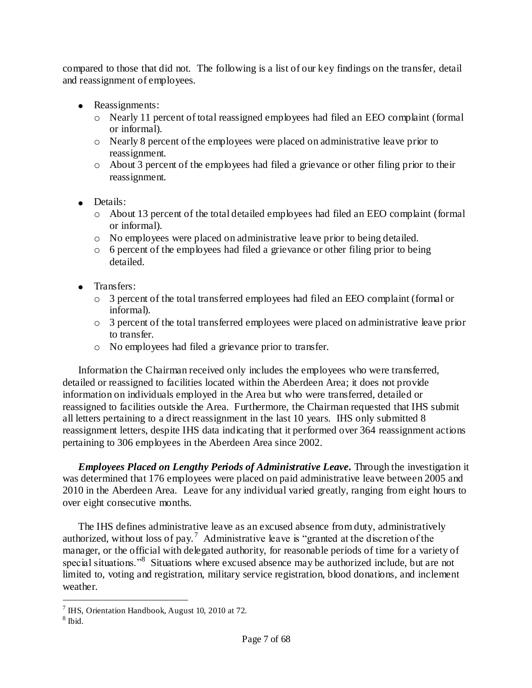compared to those that did not. The following is a list of our key findings on the transfer, detail and reassignment of employees.

- Reassignments:
	- o Nearly 11 percent of total reassigned employees had filed an EEO complaint (formal or informal).
	- o Nearly 8 percent of the employees were placed on administrative leave prior to reassignment.
	- o About 3 percent of the employees had filed a grievance or other filing prior to their reassignment.
- Details:
	- o About 13 percent of the total detailed employees had filed an EEO complaint (formal or informal).
	- o No employees were placed on administrative leave prior to being detailed.
	- o 6 percent of the employees had filed a grievance or other filing prior to being detailed.
- Transfers:
	- o 3 percent of the total transferred employees had filed an EEO complaint (formal or informal).
	- $\circ$  3 percent of the total transferred employees were placed on administrative leave prior to transfer.
	- o No employees had filed a grievance prior to transfer.

Information the Chairman received only includes the employees who were transferred, detailed or reassigned to facilities located within the Aberdeen Area; it does not provide information on individuals employed in the Area but who were transferred, detailed or reassigned to facilities outside the Area. Furthermore, the Chairman requested that IHS submit all letters pertaining to a direct reassignment in the last 10 years. IHS only submitted 8 reassignment letters, despite IHS data indicating that it performed over 364 reassignment actions pertaining to 306 employees in the Aberdeen Area since 2002.

*Employees Placed on Lengthy Periods of Administrative Leave.* Through the investigation it was determined that 176 employees were placed on paid administrative leave between 2005 and 2010 in the Aberdeen Area. Leave for any individual varied greatly, ranging from eight hours to over eight consecutive months.

The IHS defines administrative leave as an excused absence from duty, administratively authorized, without loss of pay.<sup>7</sup> Administrative leave is "granted at the discretion of the manager, or the official with delegated authority, for reasonable periods of time for a variety of special situations."<sup>8</sup> Situations where excused absence may be authorized include, but are not limited to, voting and registration, military service registration, blood donations, and inclement weather.

 $7$  IHS, Orientation Handbook, August 10, 2010 at 72.

<sup>8</sup> Ibid.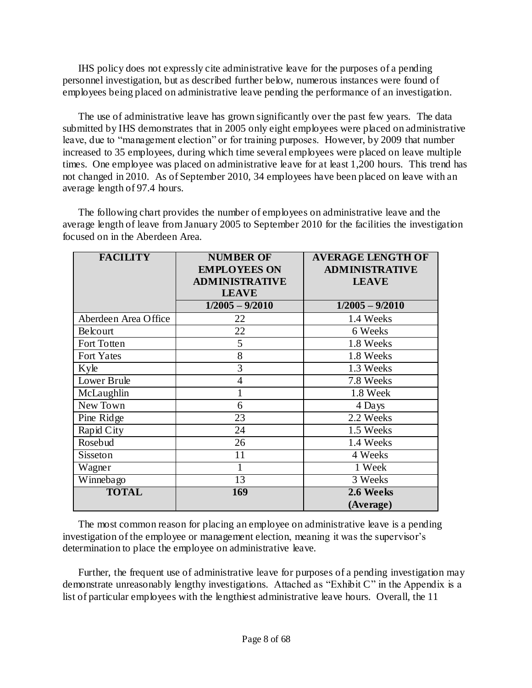IHS policy does not expressly cite administrative leave for the purposes of a pending personnel investigation, but as described further below, numerous instances were found of employees being placed on administrative leave pending the performance of an investigation.

The use of administrative leave has grown significantly over the past few years. The data submitted by IHS demonstrates that in 2005 only eight employees were placed on administrative leave, due to "management election" or for training purposes. However, by 2009 that number increased to 35 employees, during which time several employees were placed on leave multiple times. One employee was placed on administrative leave for at least 1,200 hours. This trend has not changed in 2010. As of September 2010, 34 employees have been placed on leave with an average length of 97.4 hours.

The following chart provides the number of employees on administrative leave and the average length of leave from January 2005 to September 2010 for the facilities the investigation focused on in the Aberdeen Area.

| <b>FACILITY</b>      | <b>NUMBER OF</b>      | <b>AVERAGE LENGTH OF</b> |
|----------------------|-----------------------|--------------------------|
|                      | <b>EMPLOYEES ON</b>   | <b>ADMINISTRATIVE</b>    |
|                      | <b>ADMINISTRATIVE</b> | <b>LEAVE</b>             |
|                      | <b>LEAVE</b>          |                          |
|                      | $1/2005 - 9/2010$     | $1/2005 - 9/2010$        |
| Aberdeen Area Office | 22                    | 1.4 Weeks                |
| Belcourt             | 22                    | 6 Weeks                  |
| Fort Totten          | 5                     | 1.8 Weeks                |
| <b>Fort Yates</b>    | 8                     | 1.8 Weeks                |
| Kyle                 | 3                     | 1.3 Weeks                |
| Lower Brule          | $\overline{4}$        | 7.8 Weeks                |
| McLaughlin           | $\mathbf{1}$          | 1.8 Week                 |
| New Town             | 6                     | 4 Days                   |
| Pine Ridge           | 23                    | 2.2 Weeks                |
| Rapid City           | 24                    | 1.5 Weeks                |
| Rosebud              | 26                    | 1.4 Weeks                |
| Sisseton             | 11                    | 4 Weeks                  |
| Wagner               |                       | 1 Week                   |
| Winnebago            | 13                    | 3 Weeks                  |
| <b>TOTAL</b>         | 169                   | 2.6 Weeks                |
|                      |                       | (Average)                |

The most common reason for placing an employee on administrative leave is a pending investigation of the employee or management election, meaning it was the supervisor's determination to place the employee on administrative leave.

Further, the frequent use of administrative leave for purposes of a pending investigation may demonstrate unreasonably lengthy investigations. Attached as "Exhibit C" in the Appendix is a list of particular employees with the lengthiest administrative leave hours. Overall, the 11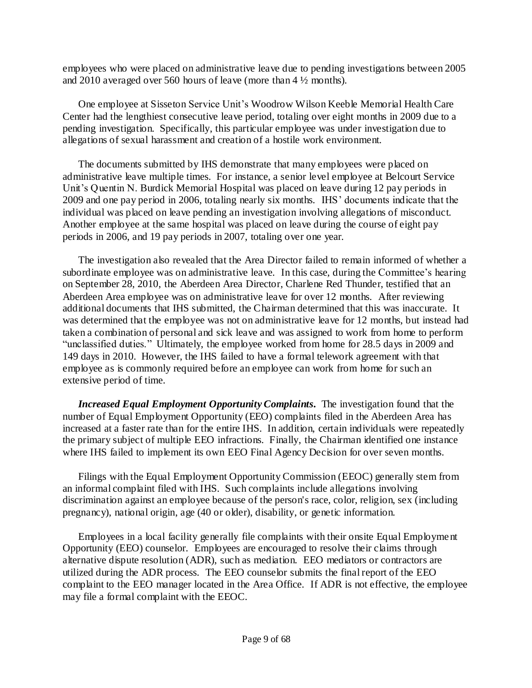employees who were placed on administrative leave due to pending investigations between 2005 and 2010 averaged over 560 hours of leave (more than 4 ½ months).

One employee at Sisseton Service Unit"s Woodrow Wilson Keeble Memorial Health Care Center had the lengthiest consecutive leave period, totaling over eight months in 2009 due to a pending investigation. Specifically, this particular employee was under investigation due to allegations of sexual harassment and creation of a hostile work environment.

The documents submitted by IHS demonstrate that many employees were placed on administrative leave multiple times. For instance, a senior level employee at Belcourt Service Unit"s Quentin N. Burdick Memorial Hospital was placed on leave during 12 pay periods in 2009 and one pay period in 2006, totaling nearly six months. IHS" documents indicate that the individual was placed on leave pending an investigation involving allegations of misconduct. Another employee at the same hospital was placed on leave during the course of eight pay periods in 2006, and 19 pay periods in 2007, totaling over one year.

The investigation also revealed that the Area Director failed to remain informed of whether a subordinate employee was on administrative leave. In this case, during the Committee"s hearing on September 28, 2010, the Aberdeen Area Director, Charlene Red Thunder, testified that an Aberdeen Area employee was on administrative leave for over 12 months. After reviewing additional documents that IHS submitted, the Chairman determined that this was inaccurate. It was determined that the employee was not on administrative leave for 12 months, but instead had taken a combination of personal and sick leave and was assigned to work from home to perform "unclassified duties." Ultimately, the employee worked from home for 28.5 days in 2009 and 149 days in 2010. However, the IHS failed to have a formal telework agreement with that employee as is commonly required before an employee can work from home for such an extensive period of time.

*Increased Equal Employment Opportunity Complaints.* The investigation found that the number of Equal Employment Opportunity (EEO) complaints filed in the Aberdeen Area has increased at a faster rate than for the entire IHS. In addition, certain individuals were repeatedly the primary subject of multiple EEO infractions. Finally, the Chairman identified one instance where IHS failed to implement its own EEO Final Agency Decision for over seven months.

Filings with the Equal Employment Opportunity Commission (EEOC) generally stem from an informal complaint filed with IHS. Such complaints include allegations involving discrimination against an employee because of the person's race, color, religion, sex (including pregnancy), national origin, age (40 or older), disability, or genetic information.

Employees in a local facility generally file complaints with their onsite Equal Employment Opportunity (EEO) counselor. Employees are encouraged to resolve their claims through alternative dispute resolution (ADR), such as mediation. EEO mediators or contractors are utilized during the ADR process. The EEO counselor submits the final report of the EEO complaint to the EEO manager located in the Area Office. If ADR is not effective, the employee may file a formal complaint with the EEOC.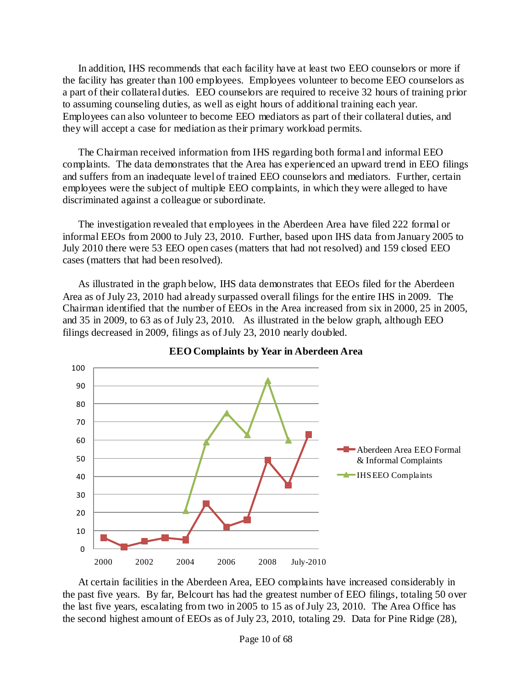In addition, IHS recommends that each facility have at least two EEO counselors or more if the facility has greater than 100 employees. Employees volunteer to become EEO counselors as a part of their collateral duties. EEO counselors are required to receive 32 hours of training prior to assuming counseling duties, as well as eight hours of additional training each year. Employees can also volunteer to become EEO mediators as part of their collateral duties, and they will accept a case for mediation as their primary workload permits.

The Chairman received information from IHS regarding both formal and informal EEO complaints. The data demonstrates that the Area has experienced an upward trend in EEO filings and suffers from an inadequate level of trained EEO counselors and mediators. Further, certain employees were the subject of multiple EEO complaints, in which they were alleged to have discriminated against a colleague or subordinate.

The investigation revealed that employees in the Aberdeen Area have filed 222 formal or informal EEOs from 2000 to July 23, 2010. Further, based upon IHS data from January 2005 to July 2010 there were 53 EEO open cases (matters that had not resolved) and 159 closed EEO cases (matters that had been resolved).

As illustrated in the graph below, IHS data demonstrates that EEOs filed for the Aberdeen Area as of July 23, 2010 had already surpassed overall filings for the entire IHS in 2009. The Chairman identified that the number of EEOs in the Area increased from six in 2000, 25 in 2005, and 35 in 2009, to 63 as of July 23, 2010. As illustrated in the below graph, although EEO filings decreased in 2009, filings as of July 23, 2010 nearly doubled.



**EEO Complaints by Year in Aberdeen Area**

At certain facilities in the Aberdeen Area, EEO complaints have increased considerably in the past five years. By far, Belcourt has had the greatest number of EEO filings, totaling 50 over the last five years, escalating from two in 2005 to 15 as of July 23, 2010. The Area Office has the second highest amount of EEOs as of July 23, 2010, totaling 29. Data for Pine Ridge (28),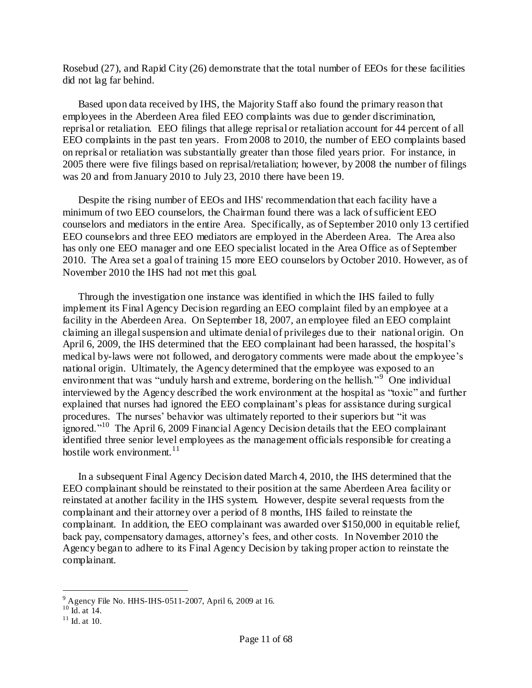Rosebud (27), and Rapid City (26) demonstrate that the total number of EEOs for these facilities did not lag far behind.

Based upon data received by IHS, the Majority Staff also found the primary reason that employees in the Aberdeen Area filed EEO complaints was due to gender discrimination, reprisal or retaliation. EEO filings that allege reprisal or retaliation account for 44 percent of all EEO complaints in the past ten years. From 2008 to 2010, the number of EEO complaints based on reprisal or retaliation was substantially greater than those filed years prior. For instance, in 2005 there were five filings based on reprisal/retaliation; however, by 2008 the number of filings was 20 and from January 2010 to July 23, 2010 there have been 19.

Despite the rising number of EEOs and IHS' recommendation that each facility have a minimum of two EEO counselors, the Chairman found there was a lack of sufficient EEO counselors and mediators in the entire Area. Specifically, as of September 2010 only 13 certified EEO counselors and three EEO mediators are employed in the Aberdeen Area. The Area also has only one EEO manager and one EEO specialist located in the Area Office as of September 2010. The Area set a goal of training 15 more EEO counselors by October 2010. However, as of November 2010 the IHS had not met this goal.

Through the investigation one instance was identified in which the IHS failed to fully implement its Final Agency Decision regarding an EEO complaint filed by an employee at a facility in the Aberdeen Area. On September 18, 2007, an employee filed an EEO complaint claiming an illegal suspension and ultimate denial of privileges due to their national origin. On April 6, 2009, the IHS determined that the EEO complainant had been harassed, the hospital"s medical by-laws were not followed, and derogatory comments were made about the employee"s national origin. Ultimately, the Agency determined that the employee was exposed to an environment that was "unduly harsh and extreme, bordering on the hellish."<sup>9</sup> One individual interviewed by the Agency described the work environment at the hospital as "toxic" and further explained that nurses had ignored the EEO complainant's pleas for assistance during surgical procedures. The nurses" behavior was ultimately reported to their superiors but "it was ignored."<sup>10</sup> The April 6, 2009 Financial Agency Decision details that the EEO complainant identified three senior level employees as the management officials responsible for creating a hostile work environment. 11

In a subsequent Final Agency Decision dated March 4, 2010, the IHS determined that the EEO complainant should be reinstated to their position at the same Aberdeen Area facility or reinstated at another facility in the IHS system. However, despite several requests from the complainant and their attorney over a period of 8 months, IHS failed to reinstate the complainant. In addition, the EEO complainant was awarded over \$150,000 in equitable relief, back pay, compensatory damages, attorney"s fees, and other costs. In November 2010 the Agency began to adhere to its Final Agency Decision by taking proper action to reinstate the complainant.

 $^{9}$  Agency File No. HHS-IHS-0511-2007, April 6, 2009 at 16.

 $^{10}$  Id. at 14.

 $11$  Id. at 10.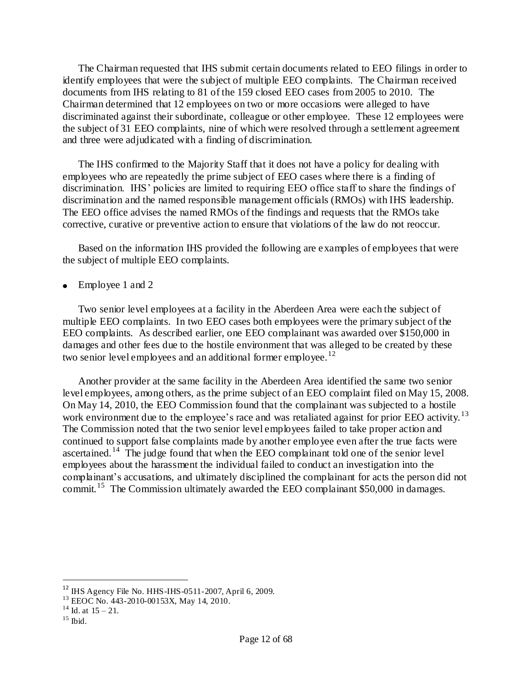The Chairman requested that IHS submit certain documents related to EEO filings in order to identify employees that were the subject of multiple EEO complaints. The Chairman received documents from IHS relating to 81 of the 159 closed EEO cases from 2005 to 2010. The Chairman determined that 12 employees on two or more occasions were alleged to have discriminated against their subordinate, colleague or other employee. These 12 employees were the subject of 31 EEO complaints, nine of which were resolved through a settlement agreement and three were adjudicated with a finding of discrimination.

The IHS confirmed to the Majority Staff that it does not have a policy for dealing with employees who are repeatedly the prime subject of EEO cases where there is a finding of discrimination. IHS' policies are limited to requiring EEO office staff to share the findings of discrimination and the named responsible management officials (RMOs) with IHS leadership. The EEO office advises the named RMOs of the findings and requests that the RMOs take corrective, curative or preventive action to ensure that violations of the law do not reoccur.

Based on the information IHS provided the following are examples of employees that were the subject of multiple EEO complaints.

Employee 1 and 2

Two senior level employees at a facility in the Aberdeen Area were each the subject of multiple EEO complaints. In two EEO cases both employees were the primary subject of the EEO complaints. As described earlier, one EEO complainant was awarded over \$150,000 in damages and other fees due to the hostile environment that was alleged to be created by these two senior level employees and an additional former employee.<sup>12</sup>

Another provider at the same facility in the Aberdeen Area identified the same two senior level employees, among others, as the prime subject of an EEO complaint filed on May 15, 2008. On May 14, 2010, the EEO Commission found that the complainant was subjected to a hostile work environment due to the employee's race and was retaliated against for prior EEO activity.<sup>13</sup> The Commission noted that the two senior level employees failed to take proper action and continued to support false complaints made by another employee even after the true facts were ascertained.<sup>14</sup> The judge found that when the EEO complainant told one of the senior level employees about the harassment the individual failed to conduct an investigation into the complainant"s accusations, and ultimately disciplined the complainant for acts the person did not commit.<sup>15</sup> The Commission ultimately awarded the EEO complainant \$50,000 in damages.

 $12$  IHS Agency File No. HHS-IHS-0511-2007, April 6, 2009.

<sup>&</sup>lt;sup>13</sup> EEOC No. 443-2010-00153X, May 14, 2010.

 $14$  Id. at  $15 - 21$ .

 $15$  Ibid.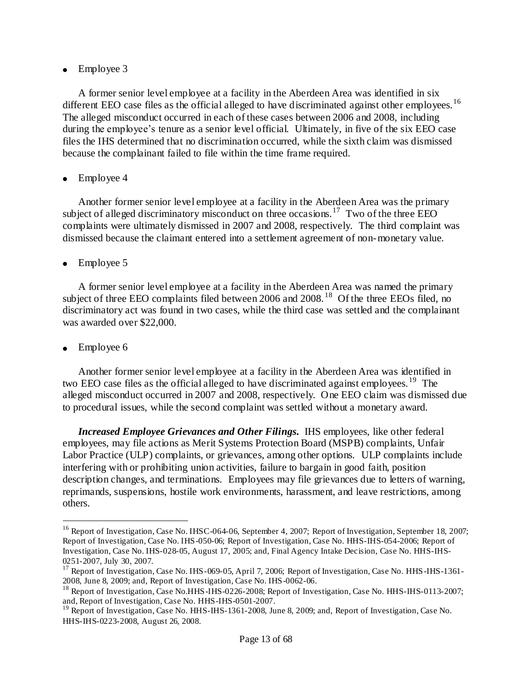## • Employee 3

A former senior level employee at a facility in the Aberdeen Area was identified in six different EEO case files as the official alleged to have discriminated against other employees.<sup>16</sup> The alleged misconduct occurred in each of these cases between 2006 and 2008, including during the employee's tenure as a senior level official. Ultimately, in five of the six EEO case files the IHS determined that no discrimination occurred, while the sixth claim was dismissed because the complainant failed to file within the time frame required.

## Employee 4

Another former senior level employee at a facility in the Aberdeen Area was the primary subject of alleged discriminatory misconduct on three occasions.<sup>17</sup> Two of the three EEO complaints were ultimately dismissed in 2007 and 2008, respectively. The third complaint was dismissed because the claimant entered into a settlement agreement of non-monetary value.

## Employee 5

A former senior level employee at a facility in the Aberdeen Area was named the primary subject of three EEO complaints filed between 2006 and 2008.<sup>18</sup> Of the three EEOs filed, no discriminatory act was found in two cases, while the third case was settled and the complainant was awarded over \$22,000.

Employee 6

 $\ddot{\phantom{a}}$ 

Another former senior level employee at a facility in the Aberdeen Area was identified in two EEO case files as the official alleged to have discriminated against employees.<sup>19</sup> The alleged misconduct occurred in 2007 and 2008, respectively. One EEO claim was dismissed due to procedural issues, while the second complaint was settled without a monetary award.

*Increased Employee Grievances and Other Filings.* IHS employees, like other federal employees, may file actions as Merit Systems Protection Board (MSPB) complaints, Unfair Labor Practice (ULP) complaints, or grievances, among other options. ULP complaints include interfering with or prohibiting union activities, failure to bargain in good faith, position description changes, and terminations. Employees may file grievances due to letters of warning, reprimands, suspensions, hostile work environments, harassment, and leave restrictions, among others.

<sup>&</sup>lt;sup>16</sup> Report of Investigation, Case No. IHSC-064-06, September 4, 2007; Report of Investigation, September 18, 2007; Report of Investigation, Case No. IHS-050-06; Report of Investigation, Case No. HHS-IHS-054-2006; Report of Investigation, Case No. IHS-028-05, August 17, 2005; and, Final Agency Intake Decision, Case No. HHS-IHS-0251-2007, July 30, 2007.

<sup>&</sup>lt;sup>17</sup> Report of Investigation, Case No. IHS-069-05, April 7, 2006; Report of Investigation, Case No. HHS-IHS-1361-2008, June 8, 2009; and, Report of Investigation, Case No. IHS-0062-06.

<sup>&</sup>lt;sup>18</sup> Report of Investigation, Case No.HHS-IHS-0226-2008; Report of Investigation, Case No. HHS-IHS-0113-2007; and, Report of Investigation, Case No. HHS-IHS-0501-2007.

<sup>&</sup>lt;sup>19</sup> Report of Investigation, Case No. HHS-IHS-1361-2008, June 8, 2009; and, Report of Investigation, Case No. HHS-IHS-0223-2008, August 26, 2008.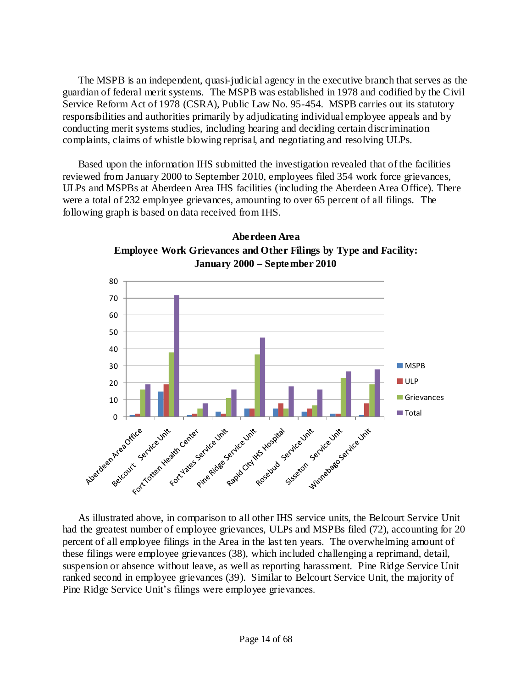The MSPB is an independent, quasi-judicial agency in the executive branch that serves as the guardian of federal merit systems. The MSPB was established in 1978 and codified by the Civil Service Reform Act of 1978 (CSRA), Public Law No. 95-454. MSPB carries out its statutory responsibilities and authorities primarily by adjudicating individual employee appeals and by conducting merit systems studies, including hearing and deciding certain discrimination complaints, claims of whistle blowing reprisal, and negotiating and resolving ULPs.

Based upon the information IHS submitted the investigation revealed that of the facilities reviewed from January 2000 to September 2010, employees filed 354 work force grievances, ULPs and MSPBs at Aberdeen Area IHS facilities (including the Aberdeen Area Office). There were a total of 232 employee grievances, amounting to over 65 percent of all filings. The following graph is based on data received from IHS.





As illustrated above, in comparison to all other IHS service units, the Belcourt Service Unit had the greatest number of employee grievances, ULPs and MSPBs filed (72), accounting for 20 percent of all employee filings in the Area in the last ten years. The overwhelming amount of these filings were employee grievances (38), which included challenging a reprimand, detail, suspension or absence without leave, as well as reporting harassment. Pine Ridge Service Unit ranked second in employee grievances (39). Similar to Belcourt Service Unit, the majority of Pine Ridge Service Unit"s filings were employee grievances.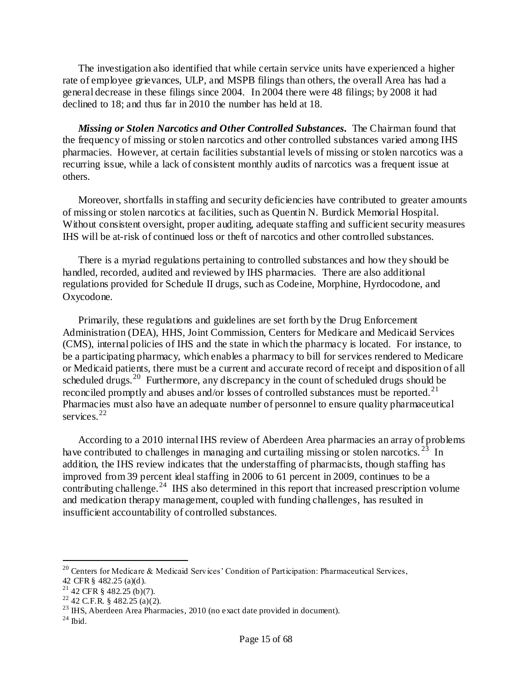The investigation also identified that while certain service units have experienced a higher rate of employee grievances, ULP, and MSPB filings than others, the overall Area has had a general decrease in these filings since 2004. In 2004 there were 48 filings; by 2008 it had declined to 18; and thus far in 2010 the number has held at 18.

*Missing or Stolen Narcotics and Other Controlled Substances.* The Chairman found that the frequency of missing or stolen narcotics and other controlled substances varied among IHS pharmacies. However, at certain facilities substantial levels of missing or stolen narcotics was a recurring issue, while a lack of consistent monthly audits of narcotics was a frequent issue at others.

Moreover, shortfalls in staffing and security deficiencies have contributed to greater amounts of missing or stolen narcotics at facilities, such as Quentin N. Burdick Memorial Hospital. Without consistent oversight, proper auditing, adequate staffing and sufficient security measures IHS will be at-risk of continued loss or theft of narcotics and other controlled substances.

There is a myriad regulations pertaining to controlled substances and how they should be handled, recorded, audited and reviewed by IHS pharmacies. There are also additional regulations provided for Schedule II drugs, such as Codeine, Morphine, Hyrdocodone, and Oxycodone.

Primarily, these regulations and guidelines are set forth by the Drug Enforcement Administration (DEA), HHS, Joint Commission, Centers for Medicare and Medicaid Services (CMS), internal policies of IHS and the state in which the pharmacy is located. For instance, to be a participating pharmacy, which enables a pharmacy to bill for services rendered to Medicare or Medicaid patients, there must be a current and accurate record of receipt and disposition of all scheduled drugs.<sup>20</sup> Furthermore, any discrepancy in the count of scheduled drugs should be reconciled promptly and abuses and/or losses of controlled substances must be reported.<sup>21</sup> Pharmacies must also have an adequate number of personnel to ensure quality pharmaceutical services.<sup>22</sup>

According to a 2010 internal IHS review of Aberdeen Area pharmacies an array of problems have contributed to challenges in managing and curtailing missing or stolen narcotics.<sup>23</sup> In addition, the IHS review indicates that the understaffing of pharmacists, though staffing has improved from 39 percent ideal staffing in 2006 to 61 percent in 2009, continues to be a contributing challenge.<sup>24</sup> IHS also determined in this report that increased prescription volume and medication therapy management, coupled with funding challenges, has resulted in insufficient accountability of controlled substances.

<sup>&</sup>lt;sup>20</sup> Centers for Medicare & Medicaid Services' Condition of Participation: Pharmaceutical Services,

<sup>42</sup> CFR § 482.25 (a)(d).

 $21$  42 CFR § 482.25 (b)(7).

 $22$  42 C.F.R. § 482.25 (a)(2).

<sup>&</sup>lt;sup>23</sup> IHS, Aberdeen Area Pharmacies, 2010 (no exact date provided in document).

 $^{24}$  Ibid.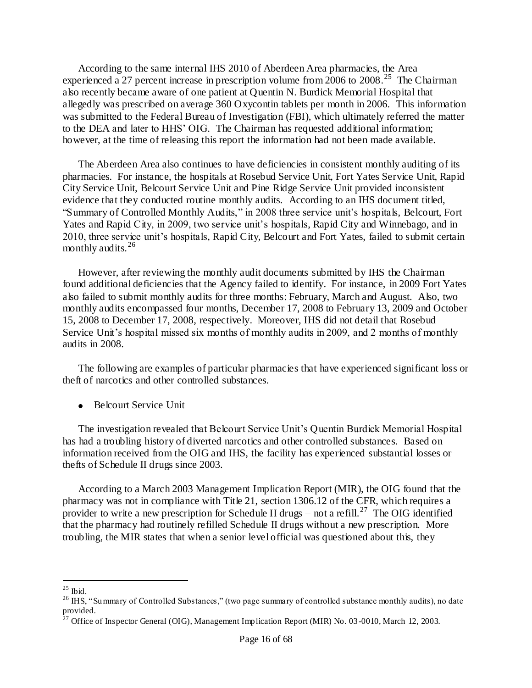According to the same internal IHS 2010 of Aberdeen Area pharmacies, the Area experienced a 27 percent increase in prescription volume from  $2006$  to  $2008$ .<sup>25</sup> The Chairman also recently became aware of one patient at Quentin N. Burdick Memorial Hospital that allegedly was prescribed on average 360 Oxycontin tablets per month in 2006. This information was submitted to the Federal Bureau of Investigation (FBI), which ultimately referred the matter to the DEA and later to HHS" OIG. The Chairman has requested additional information; however, at the time of releasing this report the information had not been made available.

The Aberdeen Area also continues to have deficiencies in consistent monthly auditing of its pharmacies. For instance, the hospitals at Rosebud Service Unit, Fort Yates Service Unit, Rapid City Service Unit, Belcourt Service Unit and Pine Ridge Service Unit provided inconsistent evidence that they conducted routine monthly audits. According to an IHS document titled, "Summary of Controlled Monthly Audits," in 2008 three service unit"s hospitals, Belcourt, Fort Yates and Rapid City, in 2009, two service unit's hospitals, Rapid City and Winnebago, and in 2010, three service unit"s hospitals, Rapid City, Belcourt and Fort Yates, failed to submit certain monthly audits.<sup>26</sup>

However, after reviewing the monthly audit documents submitted by IHS the Chairman found additional deficiencies that the Agency failed to identify. For instance, in 2009 Fort Yates also failed to submit monthly audits for three months: February, March and August. Also, two monthly audits encompassed four months, December 17, 2008 to February 13, 2009 and October 15, 2008 to December 17, 2008, respectively. Moreover, IHS did not detail that Rosebud Service Unit's hospital missed six months of monthly audits in 2009, and 2 months of monthly audits in 2008.

The following are examples of particular pharmacies that have experienced significant loss or theft of narcotics and other controlled substances.

• Belcourt Service Unit

The investigation revealed that Belcourt Service Unit's Quentin Burdick Memorial Hospital has had a troubling history of diverted narcotics and other controlled substances. Based on information received from the OIG and IHS, the facility has experienced substantial losses or thefts of Schedule II drugs since 2003.

According to a March 2003 Management Implication Report (MIR), the OIG found that the pharmacy was not in compliance with Title 21, section 1306.12 of the CFR, which requires a provider to write a new prescription for Schedule II drugs – not a refill.<sup>27</sup> The OIG identified that the pharmacy had routinely refilled Schedule II drugs without a new prescription. More troubling, the MIR states that when a senior level official was questioned about this, they

 $\ddot{\phantom{a}}$  $25$  Ibid.

<sup>&</sup>lt;sup>26</sup> IHS, "Summary of Controlled Substances," (two page summary of controlled substance monthly audits), no date provided.

 $^{27}$  Office of Inspector General (OIG), Management Implication Report (MIR) No. 03-0010, March 12, 2003.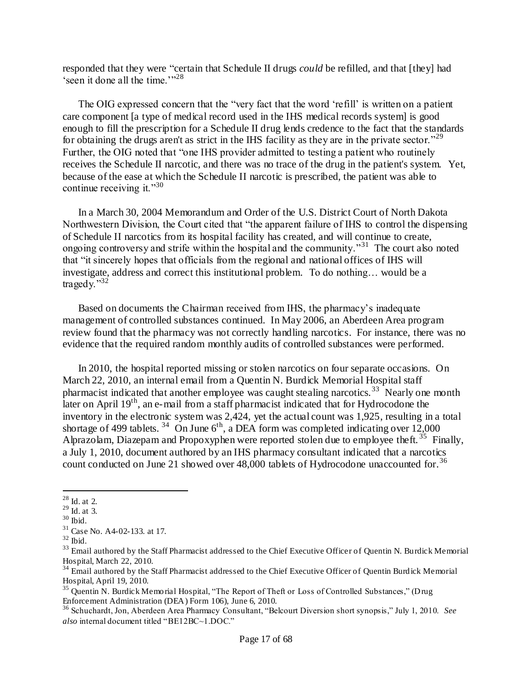responded that they were "certain that Schedule II drugs *could* be refilled, and that [they] had 'seen it done all the time." $28$ 

The OIG expressed concern that the "very fact that the word 'refill' is written on a patient care component [a type of medical record used in the IHS medical records system] is good enough to fill the prescription for a Schedule II drug lends credence to the fact that the standards for obtaining the drugs aren't as strict in the IHS facility as they are in the private sector."<sup>29</sup> Further, the OIG noted that "one IHS provider admitted to testing a patient who routinely receives the Schedule II narcotic, and there was no trace of the drug in the patient's system. Yet, because of the ease at which the Schedule II narcotic is prescribed, the patient was able to continue receiving it." $30$ 

In a March 30, 2004 Memorandum and Order of the U.S. District Court of North Dakota Northwestern Division, the Court cited that "the apparent failure of IHS to control the dispensing of Schedule II narcotics from its hospital facility has created, and will continue to create, ongoing controversy and strife within the hospital and the community."<sup>31</sup> The court also noted that "it sincerely hopes that officials from the regional and national offices of IHS will investigate, address and correct this institutional problem. To do nothing… would be a tragedy." $32$ 

Based on documents the Chairman received from IHS, the pharmacy"s inadequate management of controlled substances continued. In May 2006, an Aberdeen Area program review found that the pharmacy was not correctly handling narcotics. For instance, there was no evidence that the required random monthly audits of controlled substances were performed.

In 2010, the hospital reported missing or stolen narcotics on four separate occasions. On March 22, 2010, an internal email from a Quentin N. Burdick Memorial Hospital staff pharmacist indicated that another employee was caught stealing narcotics.<sup>33</sup> Nearly one month later on April 19<sup>th</sup>, an e-mail from a staff pharmacist indicated that for Hydrocodone the inventory in the electronic system was 2,424, yet the actual count was 1,925, resulting in a total shortage of 499 tablets. <sup>34</sup> On June 6<sup>th</sup>, a DEA form was completed indicating over 12,000 Alprazolam, Diazepam and Propoxyphen were reported stolen due to employee theft.<sup>35</sup> Finally, a July 1, 2010, document authored by an IHS pharmacy consultant indicated that a narcotics count conducted on June 21 showed over 48,000 tablets of Hydrocodone unaccounted for. 36

 $^{28}$  Id. at 2.

 $29$  Id. at 3.

 $30$  Ibid.

<sup>31</sup> Case No. A4-02-133. at 17.

 $32$  Ibid.

<sup>&</sup>lt;sup>33</sup> Email authored by the Staff Pharmacist addressed to the Chief Executive Officer of Quentin N. Burdick Memorial Hospital, March 22, 2010.

<sup>&</sup>lt;sup>34</sup> Email authored by the Staff Pharmacist addressed to the Chief Executive Officer of Quentin Burdick Memorial Hospital, April 19, 2010.

<sup>&</sup>lt;sup>35</sup> Quentin N. Burdick Memorial Hospital, "The Report of Theft or Loss of Controlled Substances," (Drug Enforcement Administration (DEA) Form 106), June 6, 2010.

<sup>36</sup> Schuchardt, Jon, Aberdeen Area Pharmacy Consultant, "Belcourt Diversion short synopsis," July 1, 2010. *See also* internal document titled "BE12BC~1.DOC."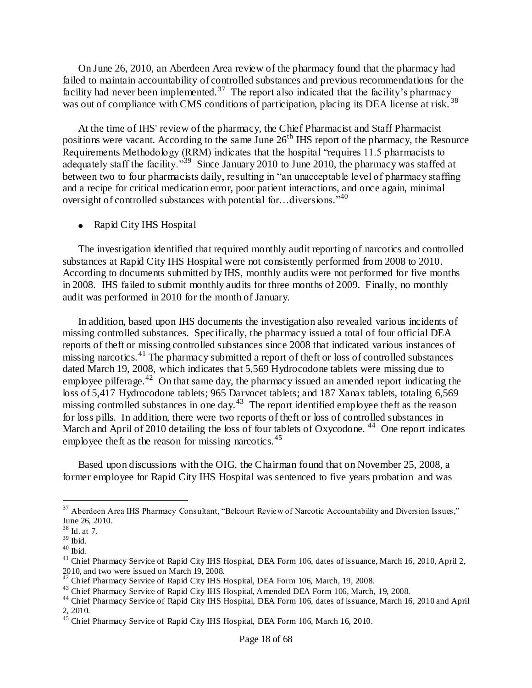On June 26, 2010, an Aberdeen Area review of the pharmacy found that the pharmacy had failed to maintain accountability of controlled substances and previous recommendations for the facility had never been implemented.<sup>37</sup> The report also indicated that the facility's pharmacy was out of compliance with CMS conditions of participation, placing its DEA license at risk.<sup>38</sup>

At the time of IHS' review of the pharmacy, the Chief Pharmacist and Staff Pharmacist positions were vacant. According to the same June 26<sup>th</sup> IHS report of the pharmacy, the Resource Requirements Methodology (RRM) indicates that the hospital "requires 11.5 pharmacists to adequately staff the facility."<sup>39</sup> Since January 2010 to June 2010, the pharmacy was staffed at between two to four pharmacists daily, resulting in "an unacceptable level of pharmacy staffing and a recipe for critical medication error, poor patient interactions, and once again, minimal oversight of controlled substances with potential for ... diversions.<sup>340</sup>

• Rapid City IHS Hospital

The investigation identified that required monthly audit reporting of narcotics and controlled substances at Rapid City IHS Hospital were not consistently performed from 2008 to 2010. According to documents submitted by IHS, monthly audits were not performed for five months in 2008. IHS failed to submit monthly audits for three months of 2009. Finally, no monthly audit was performed in 2010 for the month of January.

In addition, based upon IHS documents the investigation also revealed various incidents of missing controlled substances. Specifically, the pharmacy issued a total of four official DEA reports of theft or missing controlled substances since 2008 that indicated various instances of missing narcotics.<sup>41</sup> The pharmacy submitted a report of theft or loss of controlled substances dated March 19, 2008, which indicates that 5,569 Hydrocodone tablets were missing due to employee pilferage.<sup>42</sup> On that same day, the pharmacy issued an amended report indicating the loss of 5,417 Hydrocodone tablets; 965 Darvocet tablets; and 187 Xanax tablets, totaling 6,569 missing controlled substances in one day.<sup>43</sup> The report identified employee theft as the reason for loss pills. In addition, there were two reports of theft or loss of controlled substances in March and April of 2010 detailing the loss of four tablets of Oxycodone.<sup>44</sup> One report indicates employee theft as the reason for missing narcotics.<sup>45</sup>

Based upon discussions with the OIG, the Chairman found that on November 25, 2008, a former employee for Rapid City IHS Hospital was sentenced to five years probation and was

<sup>&</sup>lt;sup>37</sup> Aberdeen Area IHS Pharmacy Consultant, "Belcourt Review of Narcotic Accountability and Diversion Issues," June 26, 2010.

<sup>38</sup> Id. at 7.

 $39$  Ibid.

 $40$  Ibid.

<sup>&</sup>lt;sup>41</sup> Chief Pharmacy Service of Rapid City IHS Hospital, DEA Form 106, dates of issuance, March 16, 2010, April 2, 2010, and two were issued on March 19, 2008.

<sup>&</sup>lt;sup>42</sup> Chief Pharmacy Service of Rapid City IHS Hospital, DEA Form 106, March, 19, 2008.

<sup>&</sup>lt;sup>43</sup> Chief Pharmacy Service of Rapid City IHS Hospital, Amended DEA Form 106, March, 19, 2008.

<sup>&</sup>lt;sup>44</sup> Chief Pharmacy Service of Rapid City IHS Hospital, DEA Form 106, dates of issuance, March 16, 2010 and April 2, 2010.

<sup>&</sup>lt;sup>45</sup> Chief Pharmacy Service of Rapid City IHS Hospital, DEA Form 106, March 16, 2010.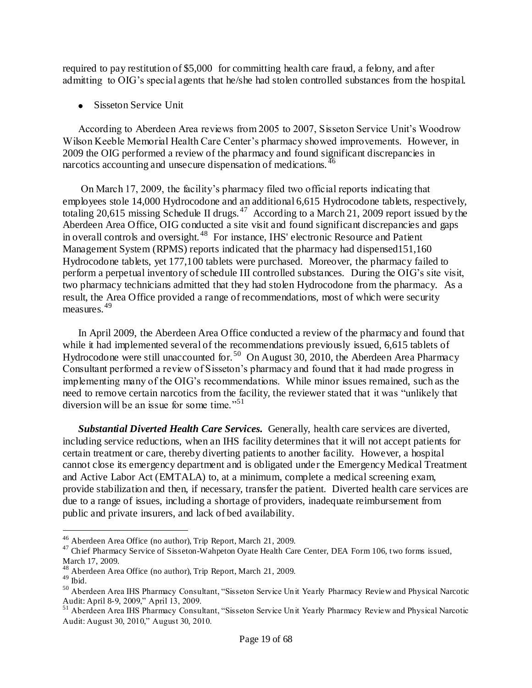required to pay restitution of \$5,000 for committing health care fraud, a felony, and after admitting to OIG"s special agents that he/she had stolen controlled substances from the hospital.

• Sisseton Service Unit

According to Aberdeen Area reviews from 2005 to 2007, Sisseton Service Unit"s Woodrow Wilson Keeble Memorial Health Care Center's pharmacy showed improvements. However, in 2009 the OIG performed a review of the pharmacy and found significant discrepancies in narcotics accounting and unsecure dispensation of medications.<sup>46</sup>

On March 17, 2009, the facility"s pharmacy filed two official reports indicating that employees stole 14,000 Hydrocodone and an additional 6,615 Hydrocodone tablets, respectively, totaling 20,615 missing Schedule II drugs.<sup>47</sup> According to a March 21, 2009 report issued by the Aberdeen Area Office, OIG conducted a site visit and found significant discrepancies and gaps in overall controls and oversight. <sup>48</sup> For instance, IHS' electronic Resource and Patient Management System (RPMS) reports indicated that the pharmacy had dispensed151,160 Hydrocodone tablets, yet 177,100 tablets were purchased. Moreover, the pharmacy failed to perform a perpetual inventory of schedule III controlled substances. During the OIG"s site visit, two pharmacy technicians admitted that they had stolen Hydrocodone from the pharmacy. As a result, the Area Office provided a range of recommendations, most of which were security measures.<sup>49</sup>

In April 2009, the Aberdeen Area Office conducted a review of the pharmacy and found that while it had implemented several of the recommendations previously issued, 6,615 tablets of Hydrocodone were still unaccounted for.<sup>50</sup> On August 30, 2010, the Aberdeen Area Pharmacy Consultant performed a review of Sisseton"s pharmacy and found that it had made progress in implementing many of the OIG"s recommendations. While minor issues remained, such as the need to remove certain narcotics from the facility, the reviewer stated that it was "unlikely that diversion will be an issue for some time."<sup>51</sup>

*Substantial Diverted Health Care Services.* Generally, health care services are diverted, including service reductions, when an IHS facility determines that it will not accept patients for certain treatment or care, thereby diverting patients to another facility. However, a hospital cannot close its emergency department and is obligated under the Emergency Medical Treatment and Active Labor Act (EMTALA) to, at a minimum, complete a medical screening exam, provide stabilization and then, if necessary, transfer the patient. Diverted health care services are due to a range of issues, including a shortage of providers, inadequate reimbursement from public and private insurers, and lack of bed availability.

<sup>46</sup> Aberdeen Area Office (no author), Trip Report, March 21, 2009.

<sup>&</sup>lt;sup>47</sup> Chief Pharmacy Service of Sisseton-Wahpeton Oyate Health Care Center, DEA Form 106, two forms issued, March 17, 2009.

<sup>48</sup> Aberdeen Area Office (no author), Trip Report, March 21, 2009.

 $49$  Ibid.

<sup>50</sup> Aberdeen Area IHS Pharmacy Consultant, "Sisseton Service Unit Yearly Pharmacy Review and Physical Narcotic Audit: April 8-9, 2009," April 13, 2009.

<sup>&</sup>lt;sup>51</sup> Aberdeen Area IHS Pharmacy Consultant, "Sisseton Service Unit Yearly Pharmacy Review and Physical Narcotic Audit: August 30, 2010," August 30, 2010.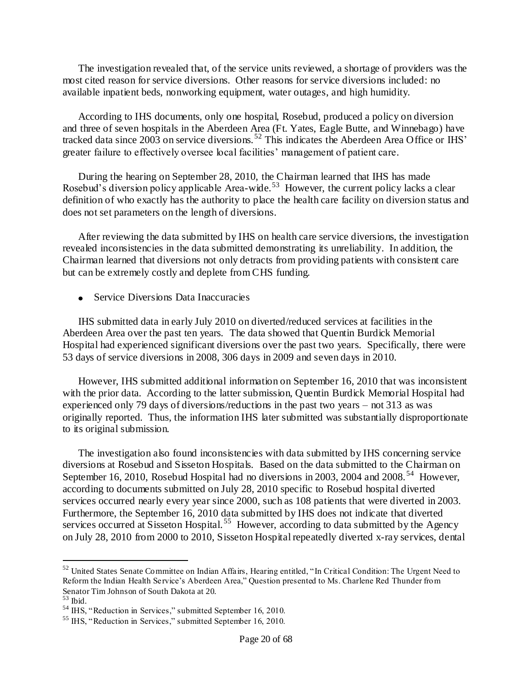The investigation revealed that, of the service units reviewed, a shortage of providers was the most cited reason for service diversions. Other reasons for service diversions included: no available inpatient beds, nonworking equipment, water outages, and high humidity.

According to IHS documents, only one hospital, Rosebud, produced a policy on diversion and three of seven hospitals in the Aberdeen Area (Ft. Yates, Eagle Butte, and Winnebago) have tracked data since 2003 on service diversions.<sup>52</sup> This indicates the Aberdeen Area Office or IHS' greater failure to effectively oversee local facilities" management of patient care.

During the hearing on September 28, 2010, the Chairman learned that IHS has made Rosebud's diversion policy applicable Area-wide.<sup>53</sup> However, the current policy lacks a clear definition of who exactly has the authority to place the health care facility on diversion status and does not set parameters on the length of diversions.

After reviewing the data submitted by IHS on health care service diversions, the investigation revealed inconsistencies in the data submitted demonstrating its unreliability. In addition, the Chairman learned that diversions not only detracts from providing patients with consistent care but can be extremely costly and deplete from CHS funding.

• Service Diversions Data Inaccuracies

IHS submitted data in early July 2010 on diverted/reduced services at facilities in the Aberdeen Area over the past ten years. The data showed that Quentin Burdick Memorial Hospital had experienced significant diversions over the past two years. Specifically, there were 53 days of service diversions in 2008, 306 days in 2009 and seven days in 2010.

However, IHS submitted additional information on September 16, 2010 that was inconsistent with the prior data. According to the latter submission, Quentin Burdick Memorial Hospital had experienced only 79 days of diversions/reductions in the past two years – not 313 as was originally reported. Thus, the information IHS later submitted was substantially disproportionate to its original submission.

 The investigation also found inconsistencies with data submitted by IHS concerning service diversions at Rosebud and Sisseton Hospitals. Based on the data submitted to the Chairman on September 16, 2010, Rosebud Hospital had no diversions in 2003, 2004 and 2008.<sup>54</sup> However, according to documents submitted on July 28, 2010 specific to Rosebud hospital diverted services occurred nearly every year since 2000, such as 108 patients that were diverted in 2003. Furthermore, the September 16, 2010 data submitted by IHS does not indicate that diverted services occurred at Sisseton Hospital.<sup>55</sup> However, according to data submitted by the Agency on July 28, 2010 from 2000 to 2010, Sisseton Hospital repeatedly diverted x-ray services, dental

 $\overline{a}$ 

<sup>52</sup> United States Senate Committee on Indian Affairs, Hearing entitled, "In Critical Condition: The Urgent Need to Reform the Indian Health Service"s Aberdeen Area," Question presented to Ms. Charlene Red Thunder from Senator Tim Johnson of South Dakota at 20.

 $53$  Ibid.

<sup>54</sup> IHS, "Reduction in Services," submitted September 16, 2010.

<sup>55</sup> IHS, "Reduction in Services," submitted September 16, 2010.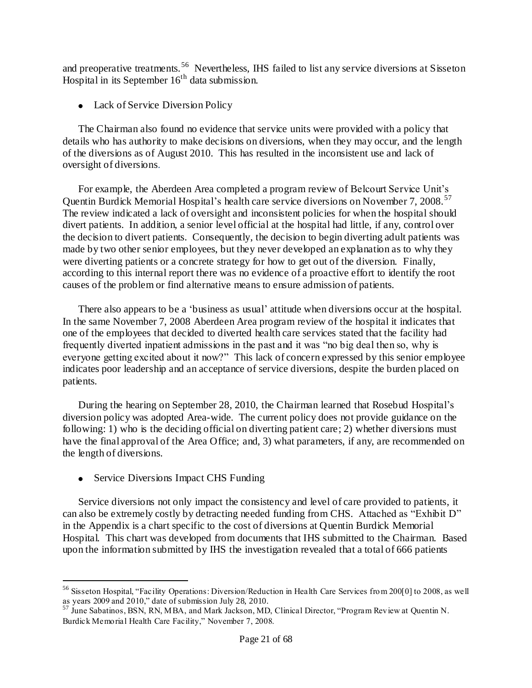and preoperative treatments.<sup>56</sup> Nevertheless, IHS failed to list any service diversions at Sisseton Hospital in its September  $16<sup>th</sup>$  data submission.

• Lack of Service Diversion Policy

The Chairman also found no evidence that service units were provided with a policy that details who has authority to make decisions on diversions, when they may occur, and the length of the diversions as of August 2010. This has resulted in the inconsistent use and lack of oversight of diversions.

For example, the Aberdeen Area completed a program review of Belcourt Service Unit"s Quentin Burdick Memorial Hospital's health care service diversions on November 7, 2008.<sup>57</sup> The review indicated a lack of oversight and inconsistent policies for when the hospital should divert patients. In addition, a senior level official at the hospital had little, if any, control over the decision to divert patients. Consequently, the decision to begin diverting adult patients was made by two other senior employees, but they never developed an explanation as to why they were diverting patients or a concrete strategy for how to get out of the diversion. Finally, according to this internal report there was no evidence of a proactive effort to identify the root causes of the problem or find alternative means to ensure admission of patients.

There also appears to be a 'business as usual' attitude when diversions occur at the hospital. In the same November 7, 2008 Aberdeen Area program review of the hospital it indicates that one of the employees that decided to diverted health care services stated that the facility had frequently diverted inpatient admissions in the past and it was "no big deal then so, why is everyone getting excited about it now?" This lack of concern expressed by this senior employee indicates poor leadership and an acceptance of service diversions, despite the burden placed on patients.

During the hearing on September 28, 2010, the Chairman learned that Rosebud Hospital"s diversion policy was adopted Area-wide. The current policy does not provide guidance on the following: 1) who is the deciding official on diverting patient care; 2) whether diversions must have the final approval of the Area Office; and, 3) what parameters, if any, are recommended on the length of diversions.

• Service Diversions Impact CHS Funding

 $\overline{a}$ 

Service diversions not only impact the consistency and level of care provided to patients, it can also be extremely costly by detracting needed funding from CHS. Attached as "Exhibit D" in the Appendix is a chart specific to the cost of diversions at Quentin Burdick Memorial Hospital. This chart was developed from documents that IHS submitted to the Chairman. Based upon the information submitted by IHS the investigation revealed that a total of 666 patients

<sup>56</sup> Sisseton Hospital, "Facility Operations: Diversion/Reduction in Health Care Services from 200[0] to 2008, as well as years 2009 and 2010," date of submission July 28, 2010.

 $57$  June Sabatinos, BSN, RN, MBA, and Mark Jackson, MD, Clinical Director, "Program Review at Quentin N. Burdick Memorial Health Care Facility," November 7, 2008.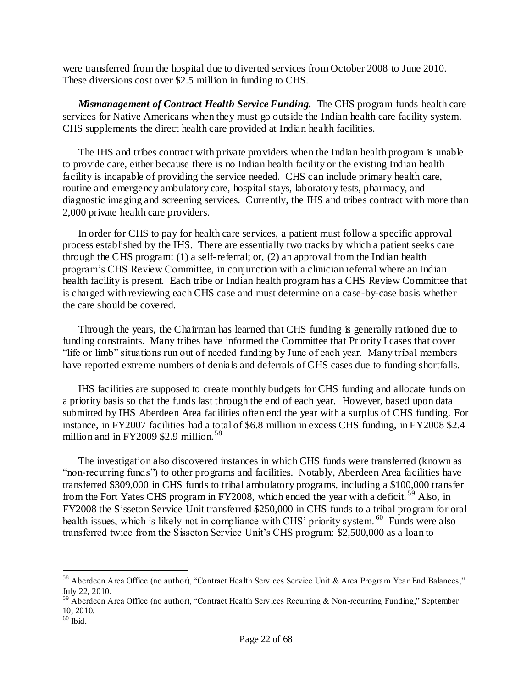were transferred from the hospital due to diverted services from October 2008 to June 2010. These diversions cost over \$2.5 million in funding to CHS.

*Mismanagement of Contract Health Service Funding.* The CHS program funds health care services for Native Americans when they must go outside the Indian health care facility system. CHS supplements the direct health care provided at Indian health facilities.

The IHS and tribes contract with private providers when the Indian health program is unable to provide care, either because there is no Indian health facility or the existing Indian health facility is incapable of providing the service needed. CHS can include primary health care, routine and emergency ambulatory care, hospital stays, laboratory tests, pharmacy, and diagnostic imaging and screening services. Currently, the IHS and tribes contract with more than 2,000 private health care providers.

In order for CHS to pay for health care services, a patient must follow a specific approval process established by the IHS. There are essentially two tracks by which a patient seeks care through the CHS program: (1) a self-referral; or, (2) an approval from the Indian health program"s CHS Review Committee, in conjunction with a clinician referral where an Indian health facility is present. Each tribe or Indian health program has a CHS Review Committee that is charged with reviewing each CHS case and must determine on a case-by-case basis whether the care should be covered.

Through the years, the Chairman has learned that CHS funding is generally rationed due to funding constraints. Many tribes have informed the Committee that Priority I cases that cover "life or limb" situations run out of needed funding by June of each year. Many tribal members have reported extreme numbers of denials and deferrals of CHS cases due to funding shortfalls.

IHS facilities are supposed to create monthly budgets for CHS funding and allocate funds on a priority basis so that the funds last through the end of each year. However, based upon data submitted by IHS Aberdeen Area facilities often end the year with a surplus of CHS funding. For instance, in FY2007 facilities had a total of \$6.8 million in excess CHS funding, in FY2008 \$2.4 million and in FY2009 \$2.9 million.<sup>58</sup>

 The investigation also discovered instances in which CHS funds were transferred (known as "non-recurring funds") to other programs and facilities. Notably, Aberdeen Area facilities have transferred \$309,000 in CHS funds to tribal ambulatory programs, including a \$100,000 transfer from the Fort Yates CHS program in FY2008, which ended the year with a deficit.<sup>59</sup> Also, in FY2008 the Sisseton Service Unit transferred \$250,000 in CHS funds to a tribal program for oral health issues, which is likely not in compliance with CHS' priority system. <sup>60</sup> Funds were also transferred twice from the Sisseton Service Unit's CHS program: \$2,500,000 as a loan to

 $\overline{a}$ 

<sup>&</sup>lt;sup>58</sup> Aberdeen Area Office (no author), "Contract Health Services Service Unit & Area Program Year End Balances," July 22, 2010.

<sup>59</sup> Aberdeen Area Office (no author), "Contract Health Services Recurring & Non-recurring Funding," September 10, 2010.

 $^{60}$  Ibid.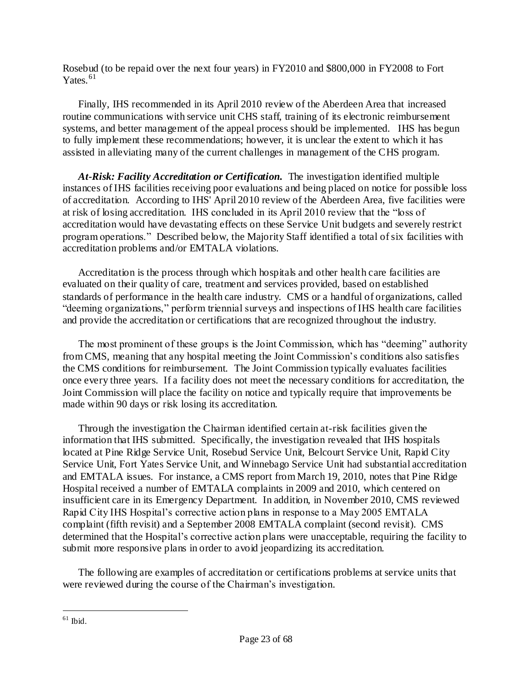Rosebud (to be repaid over the next four years) in FY2010 and \$800,000 in FY2008 to Fort Yates. $61$ 

Finally, IHS recommended in its April 2010 review of the Aberdeen Area that increased routine communications with service unit CHS staff, training of its electronic reimbursement systems, and better management of the appeal process should be implemented. IHS has begun to fully implement these recommendations; however, it is unclear the extent to which it has assisted in alleviating many of the current challenges in management of the CHS program.

*At-Risk: Facility Accreditation or Certification.* The investigation identified multiple instances of IHS facilities receiving poor evaluations and being placed on notice for possible loss of accreditation. According to IHS' April 2010 review of the Aberdeen Area, five facilities were at risk of losing accreditation. IHS concluded in its April 2010 review that the "loss of accreditation would have devastating effects on these Service Unit budgets and severely restrict program operations." Described below, the Majority Staff identified a total of six facilities with accreditation problems and/or EMTALA violations.

 Accreditation is the process through which hospitals and other health care facilities are evaluated on their quality of care, treatment and services provided, based on established standards of performance in the health care industry. CMS or a handful of organizations, called "deeming organizations," perform triennial surveys and inspections of IHS health care facilities and provide the accreditation or certifications that are recognized throughout the industry.

 The most prominent of these groups is the Joint Commission, which has "deeming" authority from CMS, meaning that any hospital meeting the Joint Commission"s conditions also satisfies the CMS conditions for reimbursement. The Joint Commission typically evaluates facilities once every three years. If a facility does not meet the necessary conditions for accreditation, the Joint Commission will place the facility on notice and typically require that improvements be made within 90 days or risk losing its accreditation.

 Through the investigation the Chairman identified certain at-risk facilities given the information that IHS submitted. Specifically, the investigation revealed that IHS hospitals located at Pine Ridge Service Unit, Rosebud Service Unit, Belcourt Service Unit, Rapid City Service Unit, Fort Yates Service Unit, and Winnebago Service Unit had substantial accreditation and EMTALA issues. For instance, a CMS report from March 19, 2010, notes that Pine Ridge Hospital received a number of EMTALA complaints in 2009 and 2010, which centered on insufficient care in its Emergency Department. In addition, in November 2010, CMS reviewed Rapid City IHS Hospital"s corrective action plans in response to a May 2005 EMTALA complaint (fifth revisit) and a September 2008 EMTALA complaint (second revisit). CMS determined that the Hospital's corrective action plans were unacceptable, requiring the facility to submit more responsive plans in order to avoid jeopardizing its accreditation.

The following are examples of accreditation or certifications problems at service units that were reviewed during the course of the Chairman's investigation.

 $\overline{a}$  $61$  Ibid.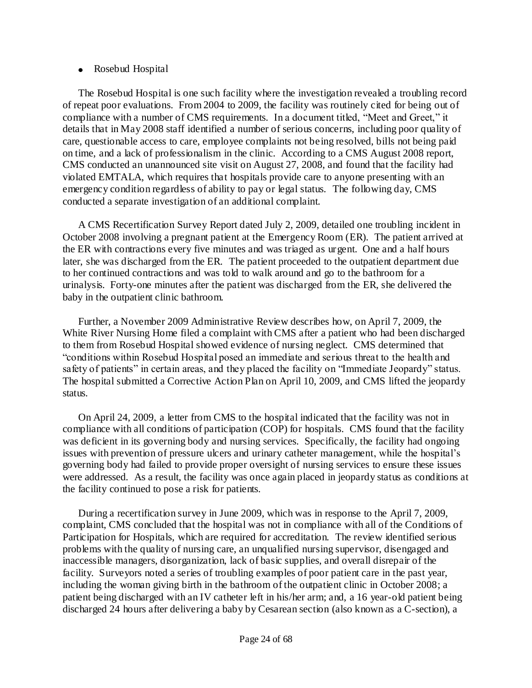### • Rosebud Hospital

The Rosebud Hospital is one such facility where the investigation revealed a troubling record of repeat poor evaluations. From 2004 to 2009, the facility was routinely cited for being out of compliance with a number of CMS requirements. In a document titled, "Meet and Greet," it details that in May 2008 staff identified a number of serious concerns, including poor quality of care, questionable access to care, employee complaints not being resolved, bills not being paid on time, and a lack of professionalism in the clinic. According to a CMS August 2008 report, CMS conducted an unannounced site visit on August 27, 2008, and found that the facility had violated EMTALA, which requires that hospitals provide care to anyone presenting with an emergency condition regardless of ability to pay or legal status. The following day, CMS conducted a separate investigation of an additional complaint.

 A CMS Recertification Survey Report dated July 2, 2009, detailed one troubling incident in October 2008 involving a pregnant patient at the Emergency Room (ER). The patient arrived at the ER with contractions every five minutes and was triaged as urgent. One and a half hours later, she was discharged from the ER. The patient proceeded to the outpatient department due to her continued contractions and was told to walk around and go to the bathroom for a urinalysis. Forty-one minutes after the patient was discharged from the ER, she delivered the baby in the outpatient clinic bathroom.

 Further, a November 2009 Administrative Review describes how, on April 7, 2009, the White River Nursing Home filed a complaint with CMS after a patient who had been discharged to them from Rosebud Hospital showed evidence of nursing neglect. CMS determined that "conditions within Rosebud Hospital posed an immediate and serious threat to the health and safety of patients" in certain areas, and they placed the facility on "Immediate Jeopardy" status. The hospital submitted a Corrective Action Plan on April 10, 2009, and CMS lifted the jeopardy status.

 On April 24, 2009, a letter from CMS to the hospital indicated that the facility was not in compliance with all conditions of participation (COP) for hospitals. CMS found that the facility was deficient in its governing body and nursing services. Specifically, the facility had ongoing issues with prevention of pressure ulcers and urinary catheter management, while the hospital's governing body had failed to provide proper oversight of nursing services to ensure these issues were addressed. As a result, the facility was once again placed in jeopardy status as conditions at the facility continued to pose a risk for patients.

 During a recertification survey in June 2009, which was in response to the April 7, 2009, complaint, CMS concluded that the hospital was not in compliance with all of the Conditions of Participation for Hospitals, which are required for accreditation. The review identified serious problems with the quality of nursing care, an unqualified nursing supervisor, disengaged and inaccessible managers, disorganization, lack of basic supplies, and overall disrepair of the facility. Surveyors noted a series of troubling examples of poor patient care in the past year, including the woman giving birth in the bathroom of the outpatient clinic in October 2008; a patient being discharged with an IV catheter left in his/her arm; and, a 16 year-old patient being discharged 24 hours after delivering a baby by Cesarean section (also known as a C-section), a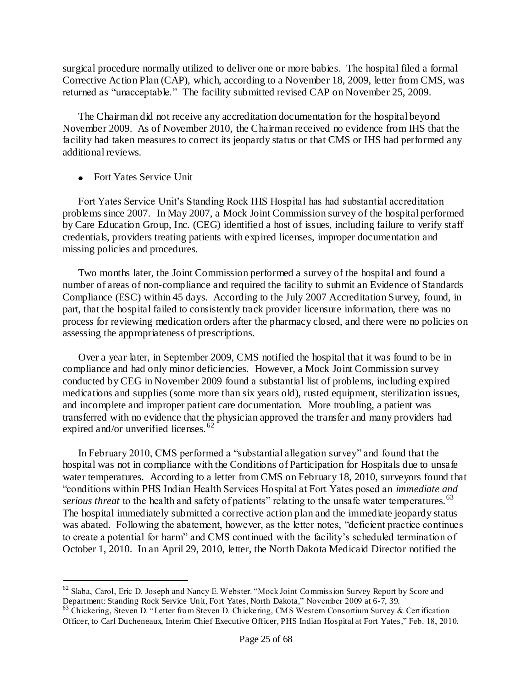[surgical](http://en.wikipedia.org/wiki/Surgery) procedure normally utilized to deliver one or more babies. The hospital filed a formal Corrective Action Plan (CAP), which, according to a November 18, 2009, letter from CMS, was returned as "unacceptable." The facility submitted revised CAP on November 25, 2009.

The Chairman did not receive any accreditation documentation for the hospital beyond November 2009. As of November 2010, the Chairman received no evidence from IHS that the facility had taken measures to correct its jeopardy status or that CMS or IHS had performed any additional reviews.

• Fort Yates Service Unit

 $\overline{a}$ 

 Fort Yates Service Unit"s Standing Rock IHS Hospital has had substantial accreditation problems since 2007. In May 2007, a Mock Joint Commission survey of the hospital performed by Care Education Group, Inc. (CEG) identified a host of issues, including failure to verify staff credentials, providers treating patients with expired licenses, improper documentation and missing policies and procedures.

Two months later, the Joint Commission performed a survey of the hospital and found a number of areas of non-compliance and required the facility to submit an Evidence of Standards Compliance (ESC) within 45 days. According to the July 2007 Accreditation Survey, found, in part, that the hospital failed to consistently track provider licensure information, there was no process for reviewing medication orders after the pharmacy closed, and there were no policies on assessing the appropriateness of prescriptions.

 Over a year later, in September 2009, CMS notified the hospital that it was found to be in compliance and had only minor deficiencies. However, a Mock Joint Commission survey conducted by CEG in November 2009 found a substantial list of problems, including expired medications and supplies (some more than six years old), rusted equipment, sterilization issues, and incomplete and improper patient care documentation. More troubling, a patient was transferred with no evidence that the physician approved the transfer and many providers had expired and/or unverified licenses. <sup>62</sup>

 In February 2010, CMS performed a "substantial allegation survey" and found that the hospital was not in compliance with the Conditions of Participation for Hospitals due to unsafe water temperatures. According to a letter from CMS on February 18, 2010, surveyors found that "conditions within PHS Indian Health Services Hospital at Fort Yates posed an *immediate and serious threat* to the health and safety of patients" relating to the unsafe water temperatures.<sup>63</sup> The hospital immediately submitted a corrective action plan and the immediate jeopardy status was abated. Following the abatement, however, as the letter notes, "deficient practice continues to create a potential for harm" and CMS continued with the facility"s scheduled termination of October 1, 2010. In an April 29, 2010, letter, the North Dakota Medicaid Director notified the

<sup>62</sup> Slaba, Carol, Eric D. Joseph and Nancy E. Webster. "Mock Joint Commission Survey Report by Score and Department: Standing Rock Service Unit, Fort Yates, North Dakota," November 2009 at 6-7, 39.

 $63$  Chickering, Steven D. "Letter from Steven D. Chickering, CMS Western Consortium Survey & Certification Officer, to Carl Ducheneaux, Interim Chief Executive Officer, PHS Indian Hospital at Fort Yates," Feb. 18, 2010.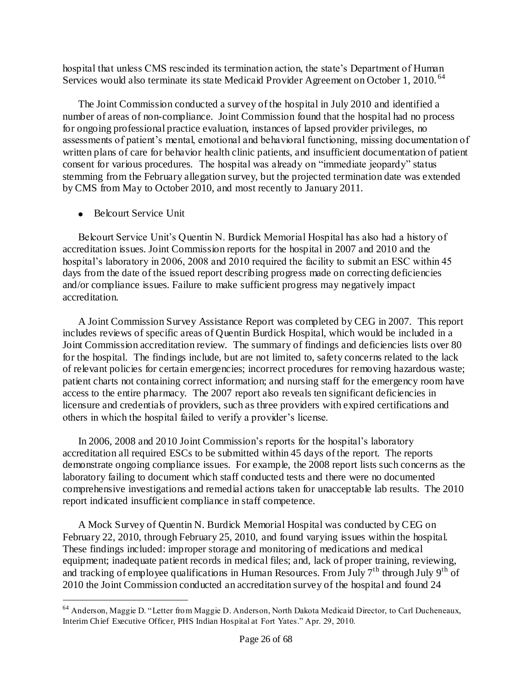hospital that unless CMS rescinded its termination action, the state's Department of Human Services would also terminate its state Medicaid Provider Agreement on October 1, 2010.<sup>64</sup>

 The Joint Commission conducted a survey of the hospital in July 2010 and identified a number of areas of non-compliance. Joint Commission found that the hospital had no process for ongoing professional practice evaluation, instances of lapsed provider privileges, no assessments of patient's mental, emotional and behavioral functioning, missing documentation of written plans of care for behavior health clinic patients, and insufficient documentation of patient consent for various procedures. The hospital was already on "immediate jeopardy" status stemming from the February allegation survey, but the projected termination date was extended by CMS from May to October 2010, and most recently to January 2011.

• Belcourt Service Unit

 $\overline{a}$ 

Belcourt Service Unit"s Quentin N. Burdick Memorial Hospital has also had a history of accreditation issues. Joint Commission reports for the hospital in 2007 and 2010 and the hospital's laboratory in 2006, 2008 and 2010 required the facility to submit an ESC within 45 days from the date of the issued report describing progress made on correcting deficiencies and/or compliance issues. Failure to make sufficient progress may negatively impact accreditation.

A Joint Commission Survey Assistance Report was completed by CEG in 2007. This report includes reviews of specific areas of Quentin Burdick Hospital, which would be included in a Joint Commission accreditation review. The summary of findings and deficiencies lists over 80 for the hospital. The findings include, but are not limited to, safety concerns related to the lack of relevant policies for certain emergencies; incorrect procedures for removing hazardous waste; patient charts not containing correct information; and nursing staff for the emergency room have access to the entire pharmacy. The 2007 report also reveals ten significant deficiencies in licensure and credentials of providers, such as three providers with expired certifications and others in which the hospital failed to verify a provider"s license.

In 2006, 2008 and 2010 Joint Commission"s reports for the hospital"s laboratory accreditation all required ESCs to be submitted within 45 days of the report. The reports demonstrate ongoing compliance issues. For example, the 2008 report lists such concerns as the laboratory failing to document which staff conducted tests and there were no documented comprehensive investigations and remedial actions taken for unacceptable lab results. The 2010 report indicated insufficient compliance in staff competence.

A Mock Survey of Quentin N. Burdick Memorial Hospital was conducted by CEG on February 22, 2010, through February 25, 2010, and found varying issues within the hospital. These findings included: improper storage and monitoring of medications and medical equipment; inadequate patient records in medical files; and, lack of proper training, reviewing, and tracking of employee qualifications in Human Resources. From July  $7<sup>th</sup>$  through July  $9<sup>th</sup>$  of 2010 the Joint Commission conducted an accreditation survey of the hospital and found 24

<sup>&</sup>lt;sup>64</sup> Anderson, Maggie D. "Letter from Maggie D. Anderson, North Dakota Medicaid Director, to Carl Ducheneaux, Interim Chief Executive Officer, PHS Indian Hospital at Fort Yates." Apr. 29, 2010.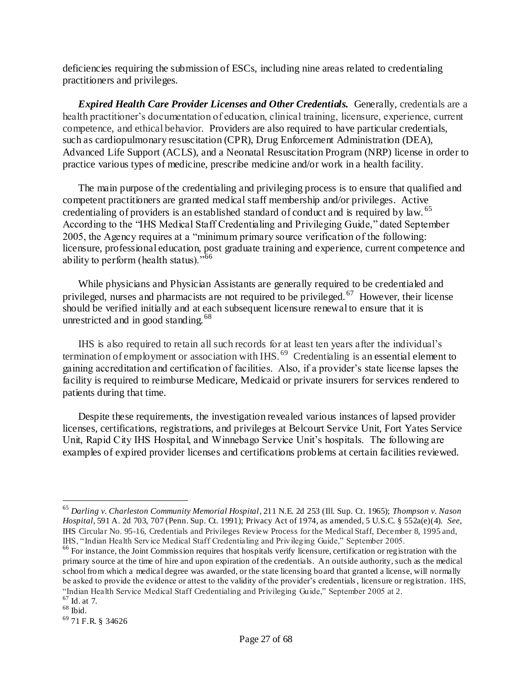deficiencies requiring the submission of ESCs, including nine areas related to credentialing practitioners and privileges.

*Expired Health Care Provider Licenses and Other Credentials.* Generally, credentials are a health practitioner's documentation of education, clinical training, licensure, experience, current competence, and ethical behavior. Providers are also required to have particular credentials, such as cardiopulmonary resuscitation (CPR), Drug Enforcement Administration (DEA), Advanced Life Support (ACLS), and a Neonatal Resuscitation Program (NRP) license in order to practice various types of medicine, prescribe medicine and/or work in a health facility.

The main purpose of the credentialing and privileging process is to ensure that qualified and competent practitioners are granted medical staff membership and/or privileges. Active credentialing of providers is an established standard of conduct and is required by law. <sup>65</sup> According to the "IHS Medical Staff Credentialing and Privileging Guide," dated September 2005, the Agency requires at a "minimum primary source verification of the following: licensure, professional education, post graduate training and experience, current competence and ability to perform (health status). $^{566}$ 

While physicians and Physician Assistants are generally required to be credentialed and privileged, nurses and pharmacists are not required to be privileged.<sup>67</sup> However, their license should be verified initially and at each subsequent licensure renewal to ensure that it is unrestricted and in good standing.<sup>68</sup>

IHS is also required to retain all such records for at least ten years after the individual"s termination of employment or association with IHS.<sup>69</sup> Credentialing is an essential element to gaining accreditation and certification of facilities. Also, if a provider"s state license lapses the facility is required to reimburse Medicare, Medicaid or private insurers for services rendered to patients during that time.

Despite these requirements, the investigation revealed various instances of lapsed provider licenses, certifications, registrations, and privileges at Belcourt Service Unit, Fort Yates Service Unit, Rapid City IHS Hospital, and Winnebago Service Unit's hospitals. The following are examples of expired provider licenses and certifications problems at certain facilities reviewed.

 $\overline{a}$ 

<sup>65</sup> *Darling v. Charleston Community Memorial Hospital*, 211 N.E. 2d 253 (Ill. Sup. Ct. 1965); *Thompson v. Nason Hospital*, 591 A. 2d 703, 707 (Penn. Sup. Ct. 1991); Privacy Act of 1974, as amended, 5 U.S.C. § 552a(e)(4). *See*, IHS Circular No. 95-16, Credentials and Privileges Review Process for the Medical Staff, December 8, 1995 and, IHS, "Indian Health Service Medical Staff Credentialing and Privileging Guide," September 2005.

<sup>&</sup>lt;sup>66</sup> For instance, the Joint Commission requires that hospitals verify licensure, certification or registration with the primary source at the time of hire and upon expiration of the credentials. An outside authority, such as the medical school from which a medical degree was awarded, or the state licensing board that granted a license, will normally be asked to provide the evidence or attest to the validity of the provider"s credentials, licensure or registration. IHS, "Indian Health Service Medical Staff Credentialing and Privileging Guide," September 2005 at 2.

 $67$  Id. at 7.  $68$  Ibid.

<sup>69</sup> 71 F.R. § 34626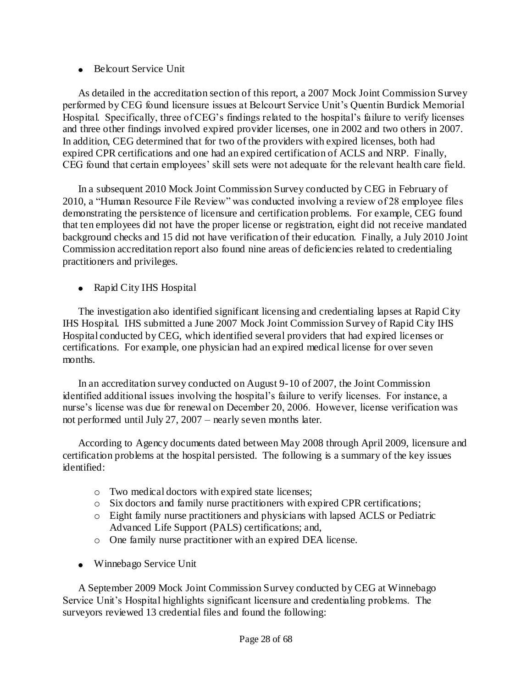• Belcourt Service Unit

As detailed in the accreditation section of this report, a 2007 Mock Joint Commission Survey performed by CEG found licensure issues at Belcourt Service Unit"s Quentin Burdick Memorial Hospital. Specifically, three of CEG"s findings related to the hospital"s failure to verify licenses and three other findings involved expired provider licenses, one in 2002 and two others in 2007. In addition, CEG determined that for two of the providers with expired licenses, both had expired CPR certifications and one had an expired certification of ACLS and NRP. Finally, CEG found that certain employees" skill sets were not adequate for the relevant health care field.

In a subsequent 2010 Mock Joint Commission Survey conducted by CEG in February of 2010, a "Human Resource File Review" was conducted involving a review of 28 employee files demonstrating the persistence of licensure and certification problems. For example, CEG found that ten employees did not have the proper license or registration, eight did not receive mandated background checks and 15 did not have verification of their education. Finally, a July 2010 Joint Commission accreditation report also found nine areas of deficiencies related to credentialing practitioners and privileges.

• Rapid City IHS Hospital

The investigation also identified significant licensing and credentialing lapses at Rapid City IHS Hospital. IHS submitted a June 2007 Mock Joint Commission Survey of Rapid City IHS Hospital conducted by CEG, which identified several providers that had expired licenses or certifications. For example, one physician had an expired medical license for over seven months.

In an accreditation survey conducted on August 9-10 of 2007, the Joint Commission identified additional issues involving the hospital"s failure to verify licenses. For instance, a nurse's license was due for renewal on December 20, 2006. However, license verification was not performed until July 27, 2007 – nearly seven months later.

According to Agency documents dated between May 2008 through April 2009, licensure and certification problems at the hospital persisted. The following is a summary of the key issues identified:

- o Two medical doctors with expired state licenses;
- o Six doctors and family nurse practitioners with expired CPR certifications;
- o Eight family nurse practitioners and physicians with lapsed ACLS or Pediatric Advanced Life Support (PALS) certifications; and,
- o One family nurse practitioner with an expired DEA license.
- Winnebago Service Unit

A September 2009 Mock Joint Commission Survey conducted by CEG at Winnebago Service Unit"s Hospital highlights significant licensure and credentialing problems. The surveyors reviewed 13 credential files and found the following: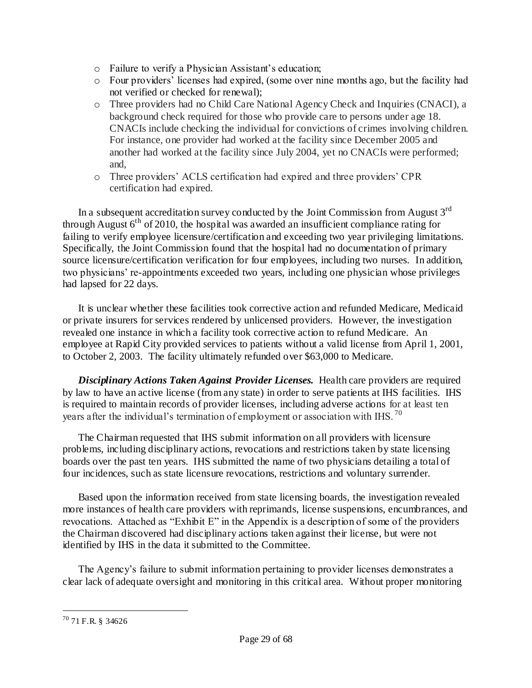- o Failure to verify a Physician Assistant"s education;
- o Four providers" licenses had expired, (some over nine months ago, but the facility had not verified or checked for renewal);
- o Three providers had no Child Care National Agency Check and Inquiries (CNACI), a background check required for those who provide care to persons under age 18. CNACIs include checking the individual for convictions of crimes involving children. For instance, one provider had worked at the facility since December 2005 and another had worked at the facility since July 2004, yet no CNACIs were performed; and,
- o Three providers" ACLS certification had expired and three providers" CPR certification had expired.

In a subsequent accreditation survey conducted by the Joint Commission from August  $3<sup>rd</sup>$ through August  $6<sup>th</sup>$  of 2010, the hospital was awarded an insufficient compliance rating for failing to verify employee licensure/certification and exceeding two year privileging limitations. Specifically, the Joint Commission found that the hospital had no documentation of primary source licensure/certification verification for four employees, including two nurses. In addition, two physicians" re-appointments exceeded two years, including one physician whose privileges had lapsed for 22 days.

It is unclear whether these facilities took corrective action and refunded Medicare, Medicaid or private insurers for services rendered by unlicensed providers. However, the investigation revealed one instance in which a facility took corrective action to refund Medicare. An employee at Rapid City provided services to patients without a valid license from April 1, 2001, to October 2, 2003. The facility ultimately refunded over \$63,000 to Medicare.

*Disciplinary Actions Taken Against Provider Licenses.* Health care providers are required by law to have an active license (from any state) in order to serve patients at IHS facilities. IHS is required to maintain records of provider licenses, including adverse actions for at least ten years after the individual's termination of employment or association with IHS.<sup>70</sup>

The Chairman requested that IHS submit information on all providers with licensure problems, including disciplinary actions, revocations and restrictions taken by state licensing boards over the past ten years. IHS submitted the name of two physicians detailing a total of four incidences, such as state licensure revocations, restrictions and voluntary surrender.

Based upon the information received from state licensing boards, the investigation revealed more instances of health care providers with reprimands, license suspensions, encumbrances, and revocations. Attached as "Exhibit E" in the Appendix is a description of some of the providers the Chairman discovered had disciplinary actions taken against their license, but were not identified by IHS in the data it submitted to the Committee.

The Agency's failure to submit information pertaining to provider licenses demonstrates a clear lack of adequate oversight and monitoring in this critical area. Without proper monitoring

 $\overline{a}$ <sup>70</sup> 71 F.R. § 34626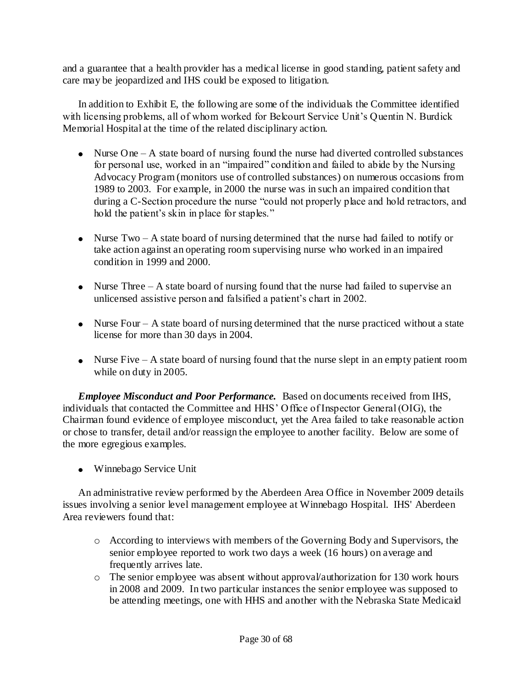and a guarantee that a health provider has a medical license in good standing, patient safety and care may be jeopardized and IHS could be exposed to litigation.

In addition to Exhibit E, the following are some of the individuals the Committee identified with licensing problems, all of whom worked for Belcourt Service Unit's Quentin N. Burdick Memorial Hospital at the time of the related disciplinary action.

- $\bullet$  Nurse One A state board of nursing found the nurse had diverted controlled substances for personal use, worked in an "impaired" condition and failed to abide by the Nursing Advocacy Program (monitors use of controlled substances) on numerous occasions from 1989 to 2003. For example, in 2000 the nurse was in such an impaired condition that during a C-Section procedure the nurse "could not properly place and hold retractors, and hold the patient's skin in place for staples."
- Nurse Two A state board of nursing determined that the nurse had failed to notify or take action against an operating room supervising nurse who worked in an impaired condition in 1999 and 2000.
- Nurse Three  $A$  state board of nursing found that the nurse had failed to supervise an unlicensed assistive person and falsified a patient"s chart in 2002.
- Nurse Four A state board of nursing determined that the nurse practiced without a state license for more than 30 days in 2004.
- Nurse Five  $A$  state board of nursing found that the nurse slept in an empty patient room while on duty in 2005.

*Employee Misconduct and Poor Performance.* Based on documents received from IHS, individuals that contacted the Committee and HHS" Office of Inspector General (OIG), the Chairman found evidence of employee misconduct, yet the Area failed to take reasonable action or chose to transfer, detail and/or reassign the employee to another facility. Below are some of the more egregious examples.

Winnebago Service Unit

An administrative review performed by the Aberdeen Area Office in November 2009 details issues involving a senior level management employee at Winnebago Hospital. IHS' Aberdeen Area reviewers found that:

- o According to interviews with members of the Governing Body and Supervisors, the senior employee reported to work two days a week (16 hours) on average and frequently arrives late.
- o The senior employee was absent without approval/authorization for 130 work hours in 2008 and 2009. In two particular instances the senior employee was supposed to be attending meetings, one with HHS and another with the Nebraska State Medicaid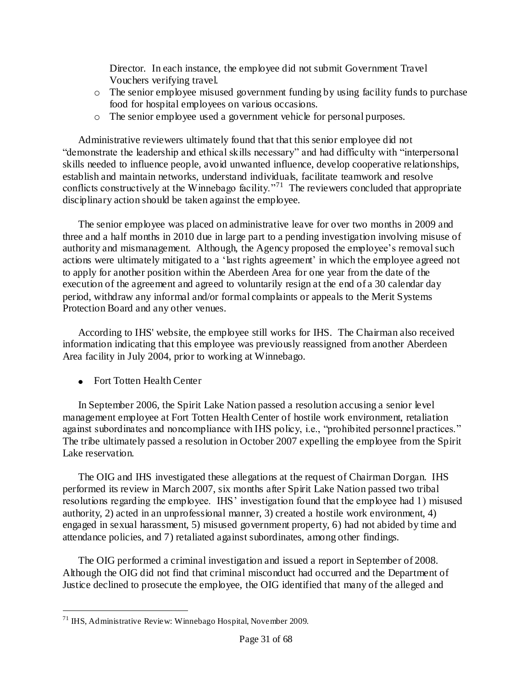Director. In each instance, the employee did not submit Government Travel Vouchers verifying travel.

- o The senior employee misused government funding by using facility funds to purchase food for hospital employees on various occasions.
- o The senior employee used a government vehicle for personal purposes.

Administrative reviewers ultimately found that that this senior employee did not "demonstrate the leadership and ethical skills necessary" and had difficulty with "interpersonal skills needed to influence people, avoid unwanted influence, develop cooperative relationships, establish and maintain networks, understand individuals, facilitate teamwork and resolve conflicts constructively at the Winnebago facility.<sup> $271$ </sup> The reviewers concluded that appropriate disciplinary action should be taken against the employee.

The senior employee was placed on administrative leave for over two months in 2009 and three and a half months in 2010 due in large part to a pending investigation involving misuse of authority and mismanagement. Although, the Agency proposed the employee"s removalsuch actions were ultimately mitigated to a 'last rights agreement' in which the employee agreed not to apply for another position within the Aberdeen Area for one year from the date of the execution of the agreement and agreed to voluntarily resign at the end of a 30 calendar day period, withdraw any informal and/or formal complaints or appeals to the Merit Systems Protection Board and any other venues.

According to IHS' website, the employee still works for IHS. The Chairman also received information indicating that this employee was previously reassigned from another Aberdeen Area facility in July 2004, prior to working at Winnebago.

• Fort Totten Health Center

In September 2006, the Spirit Lake Nation passed a resolution accusing a senior level management employee at Fort Totten Health Center of hostile work environment, retaliation against subordinates and noncompliance with IHS policy, i.e., "prohibited personnel practices." The tribe ultimately passed a resolution in October 2007 expelling the employee from the Spirit Lake reservation.

The OIG and IHS investigated these allegations at the request of Chairman Dorgan. IHS performed its review in March 2007, six months after Spirit Lake Nation passed two tribal resolutions regarding the employee. IHS' investigation found that the employee had 1) misused authority, 2) acted in an unprofessional manner, 3) created a hostile work environment, 4) engaged in sexual harassment, 5) misused government property, 6) had not abided by time and attendance policies, and 7) retaliated against subordinates, among other findings.

The OIG performed a criminal investigation and issued a report in September of 2008. Although the OIG did not find that criminal misconduct had occurred and the Department of Justice declined to prosecute the employee, the OIG identified that many of the alleged and

 $\overline{a}$ <sup>71</sup> IHS, Administrative Review: Winnebago Hospital, November 2009.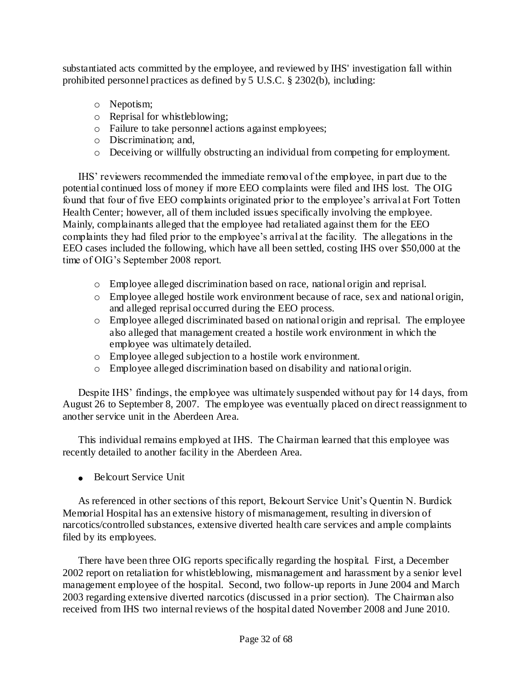substantiated acts committed by the employee, and reviewed by IHS' investigation fall within prohibited personnel practices as defined by 5 U.S.C. § 2302(b), including:

- o Nepotism;
- o Reprisal for whistleblowing;
- o Failure to take personnel actions against employees;
- o Discrimination; and,
- o Deceiving or willfully obstructing an individual from competing for employment.

IHS" reviewers recommended the immediate removal of the employee, in part due to the potential continued loss of money if more EEO complaints were filed and IHS lost. The OIG found that four of five EEO complaints originated prior to the employee's arrival at Fort Totten Health Center; however, all of them included issues specifically involving the employee. Mainly, complainants alleged that the employee had retaliated against them for the EEO complaints they had filed prior to the employee's arrival at the facility. The allegations in the EEO cases included the following, which have all been settled, costing IHS over \$50,000 at the time of OIG"s September 2008 report.

- o Employee alleged discrimination based on race, national origin and reprisal.
- o Employee alleged hostile work environment because of race, sex and national origin, and alleged reprisal occurred during the EEO process.
- o Employee alleged discriminated based on national origin and reprisal. The employee also alleged that management created a hostile work environment in which the employee was ultimately detailed.
- o Employee alleged subjection to a hostile work environment.
- o Employee alleged discrimination based on disability and national origin.

Despite IHS' findings, the employee was ultimately suspended without pay for 14 days, from August 26 to September 8, 2007. The employee was eventually placed on direct reassignment to another service unit in the Aberdeen Area.

This individual remains employed at IHS. The Chairman learned that this employee was recently detailed to another facility in the Aberdeen Area.

• Belcourt Service Unit

As referenced in other sections of this report, Belcourt Service Unit's Quentin N. Burdick Memorial Hospital has an extensive history of mismanagement, resulting in diversion of narcotics/controlled substances, extensive diverted health care services and ample complaints filed by its employees.

There have been three OIG reports specifically regarding the hospital. First, a December 2002 report on retaliation for whistleblowing, mismanagement and harassment by a senior level management employee of the hospital. Second, two follow-up reports in June 2004 and March 2003 regarding extensive diverted narcotics (discussed in a prior section). The Chairman also received from IHS two internal reviews of the hospital dated November 2008 and June 2010.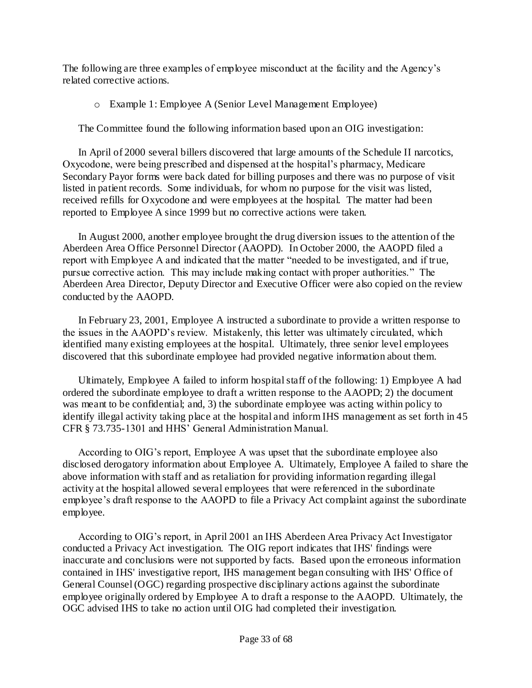The following are three examples of employee misconduct at the facility and the Agency"s related corrective actions.

o Example 1: Employee A (Senior Level Management Employee)

The Committee found the following information based upon an OIG investigation:

In April of 2000 several billers discovered that large amounts of the Schedule II narcotics, Oxycodone, were being prescribed and dispensed at the hospital"s pharmacy, Medicare Secondary Payor forms were back dated for billing purposes and there was no purpose of visit listed in patient records. Some individuals, for whom no purpose for the visit was listed, received refills for Oxycodone and were employees at the hospital. The matter had been reported to Employee A since 1999 but no corrective actions were taken.

In August 2000, another employee brought the drug diversion issues to the attention of the Aberdeen Area Office Personnel Director (AAOPD). In October 2000, the AAOPD filed a report with Employee A and indicated that the matter "needed to be investigated, and if true, pursue corrective action. This may include making contact with proper authorities." The Aberdeen Area Director, Deputy Director and Executive Officer were also copied on the review conducted by the AAOPD.

In February 23, 2001, Employee A instructed a subordinate to provide a written response to the issues in the AAOPD"s review. Mistakenly, this letter was ultimately circulated, which identified many existing employees at the hospital. Ultimately, three senior level employees discovered that this subordinate employee had provided negative information about them.

Ultimately, Employee A failed to inform hospital staff of the following: 1) Employee A had ordered the subordinate employee to draft a written response to the AAOPD; 2) the document was meant to be confidential; and, 3) the subordinate employee was acting within policy to identify illegal activity taking place at the hospital and inform IHS management as set forth in 45 CFR § 73.735-1301 and HHS" General Administration Manual.

According to OIG"s report, Employee A was upset that the subordinate employee also disclosed derogatory information about Employee A. Ultimately, Employee A failed to share the above information with staff and as retaliation for providing information regarding illegal activity at the hospital allowed several employees that were referenced in the subordinate employee"s draft response to the AAOPD to file a Privacy Act complaint against the subordinate employee.

According to OIG"s report, in April 2001 an IHS Aberdeen Area Privacy Act Investigator conducted a Privacy Act investigation. The OIG report indicates that IHS' findings were inaccurate and conclusions were not supported by facts. Based upon the erroneous information contained in IHS' investigative report, IHS management began consulting with IHS' Office of General Counsel (OGC) regarding prospective disciplinary actions against the subordinate employee originally ordered by Employee A to draft a response to the AAOPD. Ultimately, the OGC advised IHS to take no action until OIG had completed their investigation.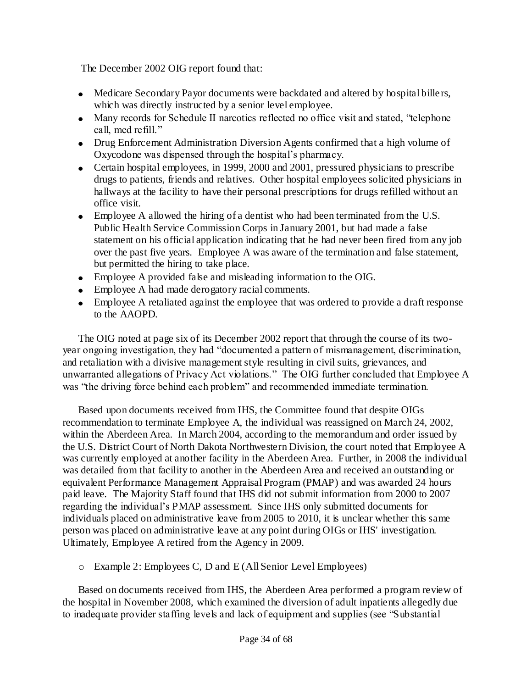The December 2002 OIG report found that:

- Medicare Secondary Payor documents were backdated and altered by hospital bille rs, which was directly instructed by a senior level employee.
- Many records for Schedule II narcotics reflected no office visit and stated, "telephone" call, med refill."
- Drug Enforcement Administration Diversion Agents confirmed that a high volume of Oxycodone was dispensed through the hospital"s pharmacy.
- Certain hospital employees, in 1999, 2000 and 2001, pressured physicians to prescribe drugs to patients, friends and relatives. Other hospital employees solicited physicians in hallways at the facility to have their personal prescriptions for drugs refilled without an office visit.
- Employee A allowed the hiring of a dentist who had been terminated from the U.S. Public Health Service Commission Corps in January 2001, but had made a false statement on his official application indicating that he had never been fired from any job over the past five years. Employee A was aware of the termination and false statement, but permitted the hiring to take place.
- Employee A provided false and misleading information to the OIG.
- Employee A had made derogatory racial comments.
- Employee A retaliated against the employee that was ordered to provide a draft response to the AAOPD.

The OIG noted at page six of its December 2002 report that through the course of its twoyear ongoing investigation, they had "documented a pattern of mismanagement, discrimination, and retaliation with a divisive management style resulting in civil suits, grievances, and unwarranted allegations of Privacy Act violations." The OIG further concluded that Employee A was "the driving force behind each problem" and recommended immediate termination.

Based upon documents received from IHS, the Committee found that despite OIGs recommendation to terminate Employee A, the individual was reassigned on March 24, 2002, within the Aberdeen Area. In March 2004, according to the memorandum and order issued by the U.S. District Court of North Dakota Northwestern Division, the court noted that Employee A was currently employed at another facility in the Aberdeen Area. Further, in 2008 the individual was detailed from that facility to another in the Aberdeen Area and received an outstanding or equivalent Performance Management Appraisal Program (PMAP) and was awarded 24 hours paid leave. The Majority Staff found that IHS did not submit information from 2000 to 2007 regarding the individual"s PMAP assessment. Since IHS only submitted documents for individuals placed on administrative leave from 2005 to 2010, it is unclear whether this same person was placed on administrative leave at any point during OIGs or IHS' investigation. Ultimately, Employee A retired from the Agency in 2009.

o Example 2: Employees C, D and E (All Senior Level Employees)

Based on documents received from IHS, the Aberdeen Area performed a program review of the hospital in November 2008, which examined the diversion of adult inpatients allegedly due to inadequate provider staffing levels and lack of equipment and supplies (see "Substantial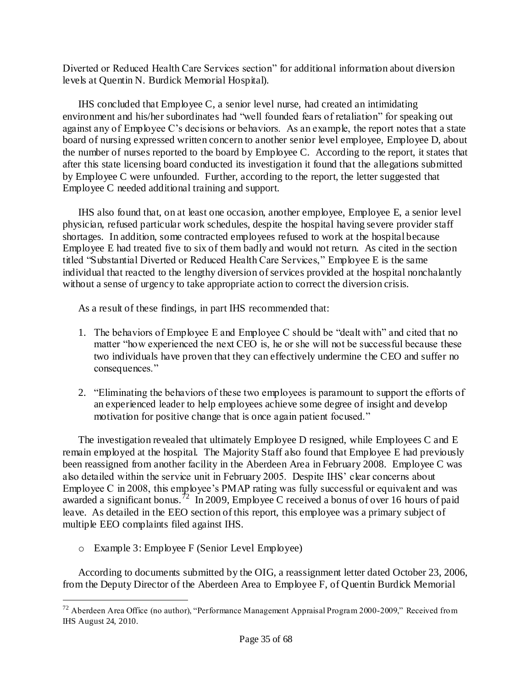Diverted or Reduced Health Care Services section" for additional information about diversion levels at Quentin N. Burdick Memorial Hospital).

IHS concluded that Employee C, a senior level nurse, had created an intimidating environment and his/her subordinates had "well founded fears of retaliation" for speaking out against any of Employee C"s decisions or behaviors. As an example, the report notes that a state board of nursing expressed written concern to another senior level employee, Employee D, about the number of nurses reported to the board by Employee C. According to the report, it states that after this state licensing board conducted its investigation it found that the allegations submitted by Employee C were unfounded. Further, according to the report, the letter suggested that Employee C needed additional training and support.

IHS also found that, on at least one occasion, another employee, Employee E, a senior level physician, refused particular work schedules, despite the hospital having severe provider staff shortages. In addition, some contracted employees refused to work at the hospital because Employee E had treated five to six of them badly and would not return. As cited in the section titled "Substantial Diverted or Reduced Health Care Services," Employee E is the same individual that reacted to the lengthy diversion of services provided at the hospital nonchalantly without a sense of urgency to take appropriate action to correct the diversion crisis.

As a result of these findings, in part IHS recommended that:

- 1. The behaviors of Employee E and Employee C should be "dealt with" and cited that no matter "how experienced the next CEO is, he or she will not be successful because these two individuals have proven that they can effectively undermine the CEO and suffer no consequences."
- 2. "Eliminating the behaviors of these two employees is paramount to support the efforts of an experienced leader to help employees achieve some degree of insight and develop motivation for positive change that is once again patient focused."

The investigation revealed that ultimately Employee D resigned, while Employees C and E remain employed at the hospital. The Majority Staff also found that Employee E had previously been reassigned from another facility in the Aberdeen Area in February 2008. Employee C was also detailed within the service unit in February 2005. Despite IHS" clear concerns about Employee C in 2008, this employee"s PMAP rating was fully successful or equivalent and was awarded a significant bonus.<sup>72</sup> In 2009, Employee C received a bonus of over 16 hours of paid leave. As detailed in the EEO section of this report, this employee was a primary subject of multiple EEO complaints filed against IHS.

o Example 3: Employee F (Senior Level Employee)

 $\overline{a}$ 

According to documents submitted by the OIG, a reassignment letter dated October 23, 2006, from the Deputy Director of the Aberdeen Area to Employee F, of Quentin Burdick Memorial

 $^{72}$  Aberdeen Area Office (no author), "Performance Management Appraisal Program 2000-2009," Received from IHS August 24, 2010.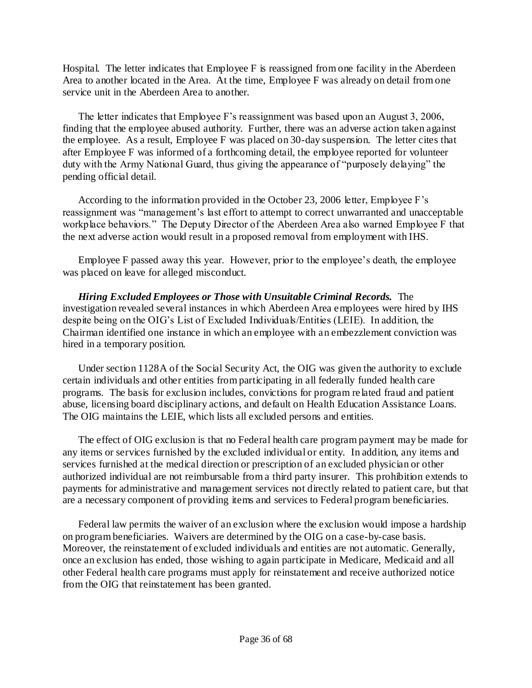Hospital. The letter indicates that Employee F is reassigned from one facility in the Aberdeen Area to another located in the Area. At the time, Employee F was already on detail from one service unit in the Aberdeen Area to another.

The letter indicates that Employee F"s reassignment was based upon an August 3, 2006, finding that the employee abused authority. Further, there was an adverse action taken against the employee. As a result, Employee F was placed on 30-day suspension. The letter cites that after Employee F was informed of a forthcoming detail, the employee reported for volunteer duty with the Army National Guard, thus giving the appearance of "purposely delaying" the pending official detail.

According to the information provided in the October 23, 2006 letter, Employee F"s reassignment was "management"s last effort to attempt to correct unwarranted and unacceptable workplace behaviors." The Deputy Director of the Aberdeen Area also warned Employee F that the next adverse action would result in a proposed removal from employment with IHS.

Employee F passed away this year. However, prior to the employee"s death, the employee was placed on leave for alleged misconduct.

*Hiring Excluded Employees or Those with Unsuitable Criminal Records.* The investigation revealed several instances in which Aberdeen Area employees were hired by IHS despite being on the OIG"s List of Excluded Individuals/Entities (LEIE). In addition, the Chairman identified one instance in which an employee with an embezzlement conviction was hired in a temporary position.

Under section 1128A of the Social Security Act, the OIG was given the authority to exclude certain individuals and other entities from participating in all federally funded health care programs. The basis for exclusion includes, convictions for program related fraud and patient abuse, licensing board disciplinary actions, and default on Health Education Assistance Loans. The OIG maintains the LEIE, which lists all excluded persons and entities.

The effect of OIG exclusion is that no Federal health care program payment may be made for any items or services furnished by the excluded individual or entity. In addition, any items and services furnished at the medical direction or prescription of an excluded physician or other authorized individual are not reimbursable from a third party insurer. This prohibition extends to payments for administrative and management services not directly related to patient care, but that are a necessary component of providing items and services to Federal program beneficiaries.

Federal law permits the waiver of an exclusion where the exclusion would impose a hardship on program beneficiaries. Waivers are determined by the OIG on a case-by-case basis. Moreover, the reinstatement of excluded individuals and entities are not automatic. Generally, once an exclusion has ended, those wishing to again participate in Medicare, Medicaid and all other Federal health care programs must apply for reinstatement and receive authorized notice from the OIG that reinstatement has been granted.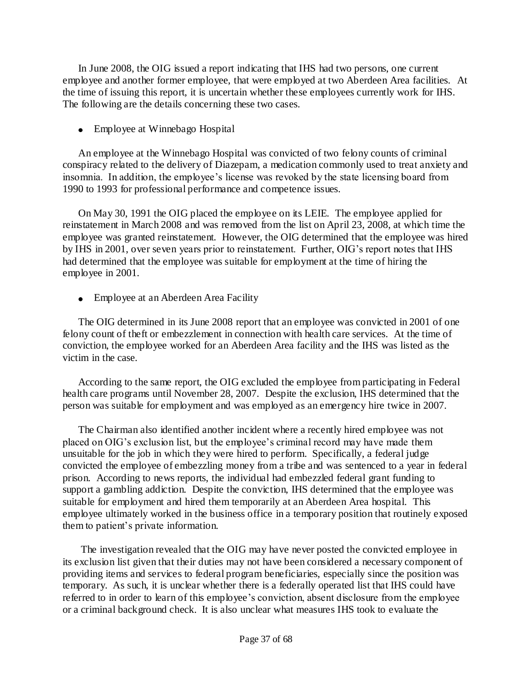In June 2008, the OIG issued a report indicating that IHS had two persons, one current employee and another former employee, that were employed at two Aberdeen Area facilities. At the time of issuing this report, it is uncertain whether these employees currently work for IHS. The following are the details concerning these two cases.

• Employee at Winnebago Hospital

An employee at the Winnebago Hospital was convicted of two felony counts of criminal conspiracy related to the delivery of Diazepam, a medication commonly used to treat anxiety and insomnia. In addition, the employee"s license was revoked by the state licensing board from 1990 to 1993 for professional performance and competence issues.

On May 30, 1991 the OIG placed the employee on its LEIE. The employee applied for reinstatement in March 2008 and was removed from the list on April 23, 2008, at which time the employee was granted reinstatement. However, the OIG determined that the employee was hired by IHS in 2001, over seven years prior to reinstatement. Further, OIG"s report notes that IHS had determined that the employee was suitable for employment at the time of hiring the employee in 2001.

Employee at an Aberdeen Area Facility

The OIG determined in its June 2008 report that an employee was convicted in 2001 of one felony count of theft or embezzlement in connection with health care services. At the time of conviction, the employee worked for an Aberdeen Area facility and the IHS was listed as the victim in the case.

According to the same report, the OIG excluded the employee from participating in Federal health care programs until November 28, 2007. Despite the exclusion, IHS determined that the person was suitable for employment and was employed as an emergency hire twice in 2007.

The Chairman also identified another incident where a recently hired employee was not placed on OIG"s exclusion list, but the employee"s criminal record may have made them unsuitable for the job in which they were hired to perform. Specifically, a federal judge convicted the employee of embezzling money from a tribe and was sentenced to a year in federal prison. According to news reports, the individual had embezzled federal grant funding to support a gambling addiction. Despite the conviction, IHS determined that the employee was suitable for employment and hired them temporarily at an Aberdeen Area hospital. This employee ultimately worked in the business office in a temporary position that routinely exposed them to patient"s private information.

The investigation revealed that the OIG may have never posted the convicted employee in its exclusion list given that their duties may not have been considered a necessary component of providing items and services to federal program beneficiaries, especially since the position was temporary. As such, it is unclear whether there is a federally operated list that IHS could have referred to in order to learn of this employee's conviction, absent disclosure from the employee or a criminal background check. It is also unclear what measures IHS took to evaluate the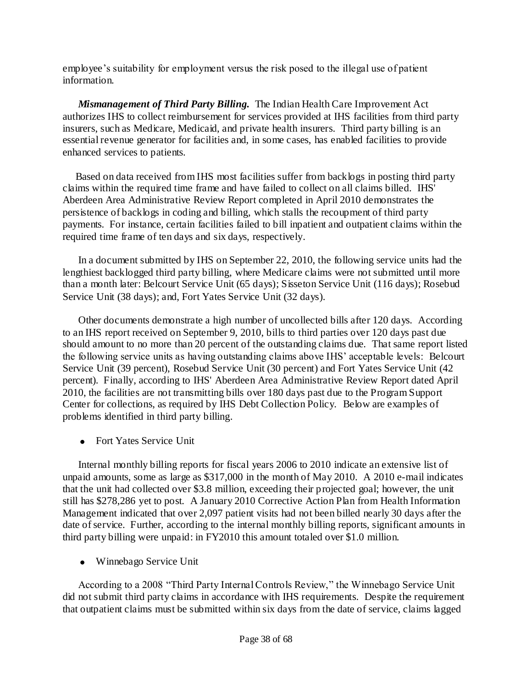employee"s suitability for employment versus the risk posed to the illegal use of patient information.

*Mismanagement of Third Party Billing.* The Indian Health Care Improvement Act authorizes IHS to collect reimbursement for services provided at IHS facilities from third party insurers, such as Medicare, Medicaid, and private health insurers. Third party billing is an essential revenue generator for facilities and, in some cases, has enabled facilities to provide enhanced services to patients.

 Based on data received from IHS most facilities suffer from backlogs in posting third party claims within the required time frame and have failed to collect on all claims billed. IHS' Aberdeen Area Administrative Review Report completed in April 2010 demonstrates the persistence of backlogs in coding and billing, which stalls the recoupment of third party payments. For instance, certain facilities failed to bill inpatient and outpatient claims within the required time frame of ten days and six days, respectively.

In a document submitted by IHS on September 22, 2010, the following service units had the lengthiest backlogged third party billing, where Medicare claims were not submitted until more than a month later: Belcourt Service Unit (65 days); Sisseton Service Unit (116 days); Rosebud Service Unit (38 days); and, Fort Yates Service Unit (32 days).

 Other documents demonstrate a high number of uncollected bills after 120 days. According to an IHS report received on September 9, 2010, bills to third parties over 120 days past due should amount to no more than 20 percent of the outstanding claims due. That same report listed the following service units as having outstanding claims above IHS" acceptable levels: Belcourt Service Unit (39 percent), Rosebud Service Unit (30 percent) and Fort Yates Service Unit (42 percent). Finally, according to IHS' Aberdeen Area Administrative Review Report dated April 2010, the facilities are not transmitting bills over 180 days past due to the Program Support Center for collections, as required by IHS Debt Collection Policy. Below are examples of problems identified in third party billing.

• Fort Yates Service Unit

 Internal monthly billing reports for fiscal years 2006 to 2010 indicate an extensive list of unpaid amounts, some as large as \$317,000 in the month of May 2010. A 2010 e-mail indicates that the unit had collected over \$3.8 million, exceeding their projected goal; however, the unit still has \$278,286 yet to post. A January 2010 Corrective Action Plan from Health Information Management indicated that over 2,097 patient visits had not been billed nearly 30 days after the date of service. Further, according to the internal monthly billing reports, significant amounts in third party billing were unpaid: in FY2010 this amount totaled over \$1.0 million.

Winnebago Service Unit

 According to a 2008 "Third Party Internal Controls Review," the Winnebago Service Unit did not submit third party claims in accordance with IHS requirements. Despite the requirement that outpatient claims must be submitted within six days from the date of service, claims lagged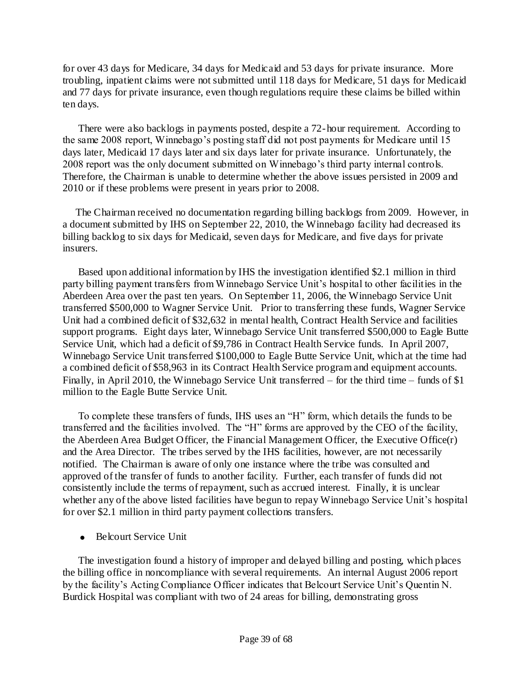for over 43 days for Medicare, 34 days for Medicaid and 53 days for private insurance. More troubling, inpatient claims were not submitted until 118 days for Medicare, 51 days for Medicaid and 77 days for private insurance, even though regulations require these claims be billed within ten days.

 There were also backlogs in payments posted, despite a 72-hour requirement. According to the same 2008 report, Winnebago"s posting staff did not post payments for Medicare until 15 days later, Medicaid 17 days later and six days later for private insurance. Unfortunately, the 2008 report was the only document submitted on Winnebago"s third party internal controls. Therefore, the Chairman is unable to determine whether the above issues persisted in 2009 and 2010 or if these problems were present in years prior to 2008.

 The Chairman received no documentation regarding billing backlogs from 2009. However, in a document submitted by IHS on September 22, 2010, the Winnebago facility had decreased its billing backlog to six days for Medicaid, seven days for Medicare, and five days for private insurers.

 Based upon additional information by IHS the investigation identified \$2.1 million in third party billing payment transfers from Winnebago Service Unit's hospital to other facilities in the Aberdeen Area over the past ten years. On September 11, 2006, the Winnebago Service Unit transferred \$500,000 to Wagner Service Unit. Prior to transferring these funds, Wagner Service Unit had a combined deficit of \$32,632 in mental health, Contract Health Service and facilities support programs. Eight days later, Winnebago Service Unit transferred \$500,000 to Eagle Butte Service Unit, which had a deficit of \$9,786 in Contract Health Service funds. In April 2007, Winnebago Service Unit transferred \$100,000 to Eagle Butte Service Unit, which at the time had a combined deficit of \$58,963 in its Contract Health Service program and equipment accounts. Finally, in April 2010, the Winnebago Service Unit transferred – for the third time – funds of \$1 million to the Eagle Butte Service Unit.

To complete these transfers of funds, IHS uses an "H" form, which details the funds to be transferred and the facilities involved. The "H" forms are approved by the CEO of the facility, the Aberdeen Area Budget Officer, the Financial Management Officer, the Executive Office(r) and the Area Director. The tribes served by the IHS facilities, however, are not necessarily notified. The Chairman is aware of only one instance where the tribe was consulted and approved of the transfer of funds to another facility. Further, each transfer of funds did not consistently include the terms of repayment, such as accrued interest. Finally, it is unclear whether any of the above listed facilities have begun to repay Winnebago Service Unit"s hospital for over \$2.1 million in third party payment collections transfers.

• Belcourt Service Unit

 The investigation found a history of improper and delayed billing and posting, which places the billing office in noncompliance with several requirements. An internal August 2006 report by the facility's Acting Compliance Officer indicates that Belcourt Service Unit's Quentin N. Burdick Hospital was compliant with two of 24 areas for billing, demonstrating gross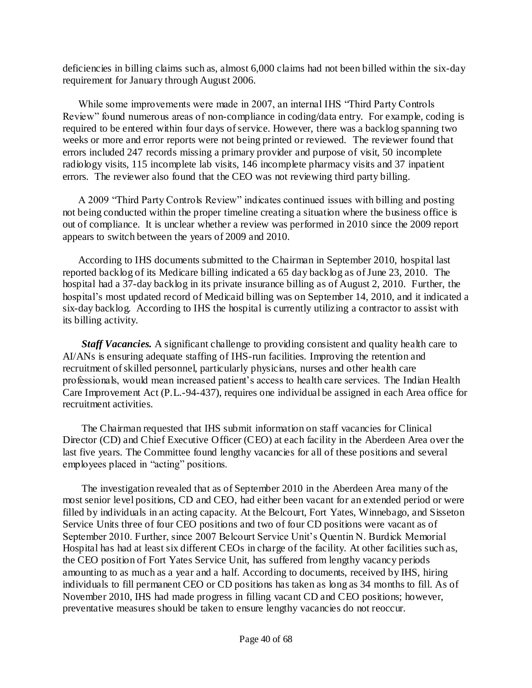deficiencies in billing claims such as, almost 6,000 claims had not been billed within the six-day requirement for January through August 2006.

 While some improvements were made in 2007, an internal IHS "Third Party Controls Review" found numerous areas of non-compliance in coding/data entry. For example, coding is required to be entered within four days of service. However, there was a backlog spanning two weeks or more and error reports were not being printed or reviewed. The reviewer found that errors included 247 records missing a primary provider and purpose of visit, 50 incomplete radiology visits, 115 incomplete lab visits, 146 incomplete pharmacy visits and 37 inpatient errors. The reviewer also found that the CEO was not reviewing third party billing.

 A 2009 "Third Party Controls Review" indicates continued issues with billing and posting not being conducted within the proper timeline creating a situation where the business office is out of compliance. It is unclear whether a review was performed in 2010 since the 2009 report appears to switch between the years of 2009 and 2010.

According to IHS documents submitted to the Chairman in September 2010, hospital last reported backlog of its Medicare billing indicated a 65 day backlog as of June 23, 2010. The hospital had a 37-day backlog in its private insurance billing as of August 2, 2010. Further, the hospital"s most updated record of Medicaid billing was on September 14, 2010, and it indicated a six-day backlog. According to IHS the hospital is currently utilizing a contractor to assist with its billing activity.

*Staff Vacancies.* A significant challenge to providing consistent and quality health care to AI/ANs is ensuring adequate staffing of IHS-run facilities. Improving the retention and recruitment of skilled personnel, particularly physicians, nurses and other health care professionals, would mean increased patient's access to health care services. The Indian Health Care Improvement Act (P.L.-94-437), requires one individual be assigned in each Area office for recruitment activities.

The Chairman requested that IHS submit information on staff vacancies for Clinical Director (CD) and Chief Executive Officer (CEO) at each facility in the Aberdeen Area over the last five years. The Committee found lengthy vacancies for all of these positions and several employees placed in "acting" positions.

The investigation revealed that as of September 2010 in the Aberdeen Area many of the most senior level positions, CD and CEO, had either been vacant for an extended period or were filled by individuals in an acting capacity. At the Belcourt, Fort Yates, Winnebago, and Sisseton Service Units three of four CEO positions and two of four CD positions were vacant as of September 2010. Further, since 2007 Belcourt Service Unit"s Quentin N. Burdick Memorial Hospital has had at least six different CEOs in charge of the facility. At other facilities such as, the CEO position of Fort Yates Service Unit, has suffered from lengthy vacancy periods amounting to as much as a year and a half. According to documents, received by IHS, hiring individuals to fill permanent CEO or CD positions has taken as long as 34 months to fill. As of November 2010, IHS had made progress in filling vacant CD and CEO positions; however, preventative measures should be taken to ensure lengthy vacancies do not reoccur.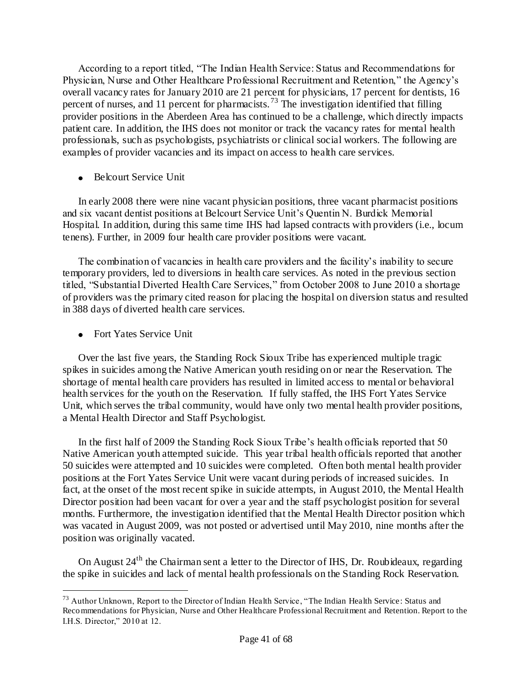According to a report titled, "The Indian Health Service: Status and Recommendations for Physician, Nurse and Other Healthcare Professional Recruitment and Retention," the Agency"s overall vacancy rates for January 2010 are 21 percent for physicians, 17 percent for dentists, 16 percent of nurses, and 11 percent for pharmacists.<sup>73</sup> The investigation identified that filling provider positions in the Aberdeen Area has continued to be a challenge, which directly impacts patient care. In addition, the IHS does not monitor or track the vacancy rates for mental health professionals, such as psychologists, psychiatrists or clinical social workers. The following are examples of provider vacancies and its impact on access to health care services.

• Belcourt Service Unit

In early 2008 there were nine vacant physician positions, three vacant pharmacist positions and six vacant dentist positions at Belcourt Service Unit"s Quentin N. Burdick Memorial Hospital. In addition, during this same time IHS had lapsed contracts with providers (i.e., locum tenens). Further, in 2009 four health care provider positions were vacant.

The combination of vacancies in health care providers and the facility"s inability to secure temporary providers, led to diversions in health care services. As noted in the previous section titled, "Substantial Diverted Health Care Services," from October 2008 to June 2010 a shortage of providers was the primary cited reason for placing the hospital on diversion status and resulted in 388 days of diverted health care services.

• Fort Yates Service Unit

 $\overline{a}$ 

Over the last five years, the Standing Rock Sioux Tribe has experienced multiple tragic spikes in suicides among the Native American youth residing on or near the Reservation. The shortage of mental health care providers has resulted in limited access to mental or behavioral health services for the youth on the Reservation. If fully staffed, the IHS Fort Yates Service Unit, which serves the tribal community, would have only two mental health provider positions, a Mental Health Director and Staff Psychologist.

In the first half of 2009 the Standing Rock Sioux Tribe's health officials reported that 50 Native American youth attempted suicide. This year tribal health officials reported that another 50 suicides were attempted and 10 suicides were completed. Often both mental health provider positions at the Fort Yates Service Unit were vacant during periods of increased suicides. In fact, at the onset of the most recent spike in suicide attempts, in August 2010, the Mental Health Director position had been vacant for over a year and the staff psychologist position for several months. Furthermore, the investigation identified that the Mental Health Director position which was vacated in August 2009, was not posted or advertised until May 2010, nine months after the position was originally vacated.

On August  $24<sup>th</sup>$  the Chairman sent a letter to the Director of IHS, Dr. Roubideaux, regarding the spike in suicides and lack of mental health professionals on the Standing Rock Reservation.

<sup>&</sup>lt;sup>73</sup> Author Unknown, Report to the Director of Indian Health Service, "The Indian Health Service: Status and Recommendations for Physician, Nurse and Other Healthcare Professional Recruitment and Retention. Report to the I.H.S. Director," 2010 at 12.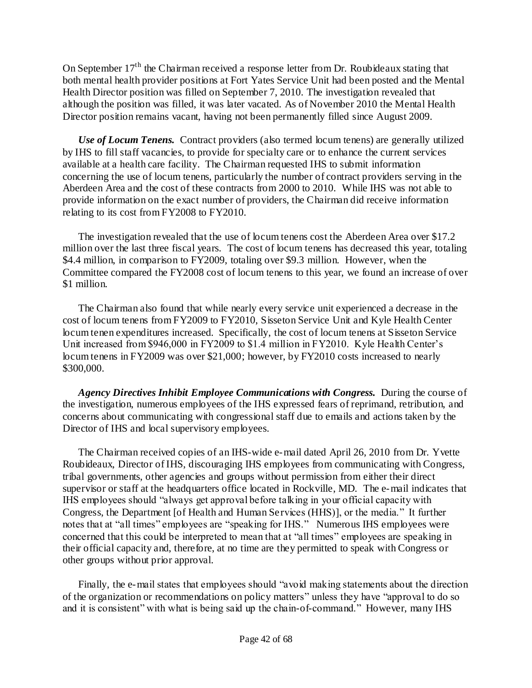On September 17<sup>th</sup> the Chairman received a response letter from Dr. Roubideaux stating that both mental health provider positions at Fort Yates Service Unit had been posted and the Mental Health Director position was filled on September 7, 2010. The investigation revealed that although the position was filled, it was later vacated. As of November 2010 the Mental Health Director position remains vacant, having not been permanently filled since August 2009.

*Use of Locum Tenens.* Contract providers (also termed locum tenens) are generally utilized by IHS to fill staff vacancies, to provide for specialty care or to enhance the current services available at a health care facility. The Chairman requested IHS to submit information concerning the use of locum tenens, particularly the number of contract providers serving in the Aberdeen Area and the cost of these contracts from 2000 to 2010. While IHS was not able to provide information on the exact number of providers, the Chairman did receive information relating to its cost from FY2008 to FY2010.

The investigation revealed that the use of locum tenens cost the Aberdeen Area over \$17.2 million over the last three fiscal years. The cost of locum tenens has decreased this year, totaling \$4.4 million, in comparison to FY2009, totaling over \$9.3 million. However, when the Committee compared the FY2008 cost of locum tenens to this year, we found an increase of over \$1 million.

The Chairman also found that while nearly every service unit experienced a decrease in the cost of locum tenens from FY2009 to FY2010, Sisseton Service Unit and Kyle Health Center locum tenen expenditures increased. Specifically, the cost of locum tenens at Sisseton Service Unit increased from \$946,000 in FY2009 to \$1.4 million in FY2010. Kyle Health Center's locum tenens in FY2009 was over \$21,000; however, by FY2010 costs increased to nearly \$300,000.

*Agency Directives Inhibit Employee Communications with Congress.* During the course of the investigation, numerous employees of the IHS expressed fears of reprimand, retribution, and concerns about communicating with congressional staff due to emails and actions taken by the Director of IHS and local supervisory employees.

The Chairman received copies of an IHS-wide e-mail dated April 26, 2010 from Dr. Yvette Roubideaux, Director of IHS, discouraging IHS employees from communicating with Congress, tribal governments, other agencies and groups without permission from either their direct supervisor or staff at the headquarters office located in Rockville, MD. The e-mail indicates that IHS employees should "always get approval before talking in your official capacity with Congress, the Department [of Health and Human Services (HHS)], or the media." It further notes that at "all times" employees are "speaking for IHS." Numerous IHS employees were concerned that this could be interpreted to mean that at "all times" employees are speaking in their official capacity and, therefore, at no time are they permitted to speak with Congress or other groups without prior approval.

Finally, the e-mail states that employees should "avoid making statements about the direction of the organization or recommendations on policy matters" unless they have "approval to do so and it is consistent" with what is being said up the chain-of-command." However, many IHS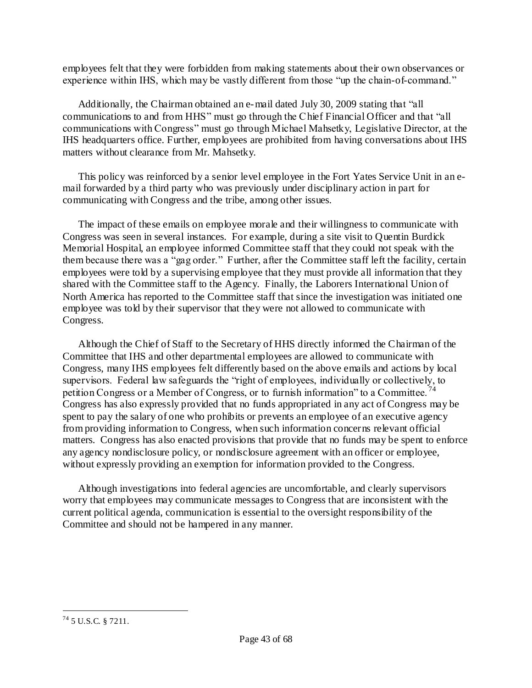employees felt that they were forbidden from making statements about their own observances or experience within IHS, which may be vastly different from those "up the chain-of-command."

Additionally, the Chairman obtained an e-mail dated July 30, 2009 stating that "all communications to and from HHS" must go through the Chief Financial Officer and that "all communications with Congress" must go through Michael Mahsetky, Legislative Director, at the IHS headquarters office. Further, employees are prohibited from having conversations about IHS matters without clearance from Mr. Mahsetky.

This policy was reinforced by a senior level employee in the Fort Yates Service Unit in an email forwarded by a third party who was previously under disciplinary action in part for communicating with Congress and the tribe, among other issues.

The impact of these emails on employee morale and their willingness to communicate with Congress was seen in several instances. For example, during a site visit to Quentin Burdick Memorial Hospital, an employee informed Committee staff that they could not speak with the them because there was a "gag order." Further, after the Committee staff left the facility, certain employees were told by a supervising employee that they must provide all information that they shared with the Committee staff to the Agency. Finally, the Laborers International Union of North America has reported to the Committee staff that since the investigation was initiated one employee was told by their supervisor that they were not allowed to communicate with Congress.

Although the Chief of Staff to the Secretary of HHS directly informed the Chairman of the Committee that IHS and other departmental employees are allowed to communicate with Congress, many IHS employees felt differently based on the above emails and actions by local supervisors. Federal law safeguards the "right of employees, individually or collectively, to petition Congress or a Member of Congress, or to furnish information" to a Committee.<sup>74</sup> Congress has also expressly provided that no funds appropriated in any act of Congress may be spent to pay the salary of one who prohibits or prevents an employee of an executive agency from providing information to Congress, when such information concerns relevant official matters. Congress has also enacted provisions that provide that no funds may be spent to enforce any agency nondisclosure policy, or nondisclosure agreement with an officer or employee, without expressly providing an exemption for information provided to the Congress.

Although investigations into federal agencies are uncomfortable, and clearly supervisors worry that employees may communicate messages to Congress that are inconsistent with the current political agenda, communication is essential to the oversight responsibility of the Committee and should not be hampered in any manner.

 $\overline{a}$  $^{74}$  5 U.S.C. § 7211.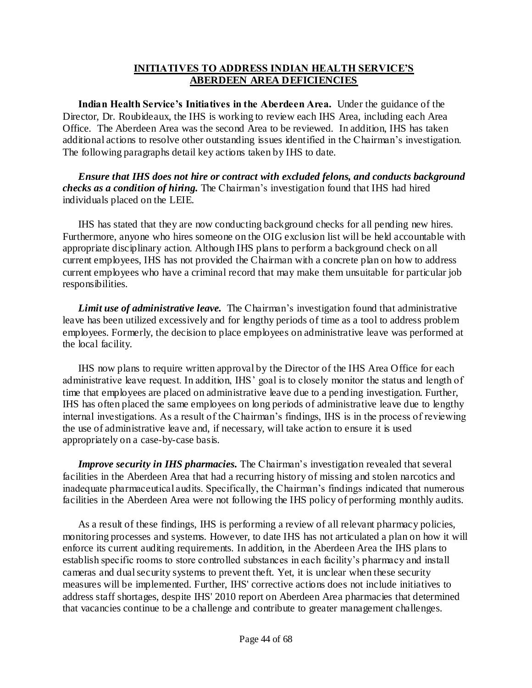#### **INITIATIVES TO ADDRESS INDIAN HEALTH SERVICE'S ABERDEEN AREA DEFICIENCIES**

**Indian Health Service's Initiatives in the Aberdeen Area.** Under the guidance of the Director, Dr. Roubideaux, the IHS is working to review each IHS Area, including each Area Office. The Aberdeen Area was the second Area to be reviewed. In addition, IHS has taken additional actions to resolve other outstanding issues identified in the Chairman"s investigation. The following paragraphs detail key actions taken by IHS to date.

*Ensure that IHS does not hire or contract with excluded felons, and conducts background checks as a condition of hiring.* The Chairman"s investigation found that IHS had hired individuals placed on the LEIE.

IHS has stated that they are now conducting background checks for all pending new hires. Furthermore, anyone who hires someone on the OIG exclusion list will be held accountable with appropriate disciplinary action. Although IHS plans to perform a background check on all current employees, IHS has not provided the Chairman with a concrete plan on how to address current employees who have a criminal record that may make them unsuitable for particular job responsibilities.

*Limit use of administrative leave.* The Chairman"s investigation found that administrative leave has been utilized excessively and for lengthy periods of time as a tool to address problem employees. Formerly, the decision to place employees on administrative leave was performed at the local facility.

IHS now plans to require written approval by the Director of the IHS Area Office for each administrative leave request. In addition, IHS' goal is to closely monitor the status and length of time that employees are placed on administrative leave due to a pending investigation. Further, IHS has often placed the same employees on long periods of administrative leave due to lengthy internal investigations. As a result of the Chairman"s findings, IHS is in the process of reviewing the use of administrative leave and, if necessary, will take action to ensure it is used appropriately on a case-by-case basis.

*Improve security in IHS pharmacies.* The Chairman's investigation revealed that several facilities in the Aberdeen Area that had a recurring history of missing and stolen narcotics and inadequate pharmaceutical audits. Specifically, the Chairman"s findings indicated that numerous facilities in the Aberdeen Area were not following the IHS policy of performing monthly audits.

As a result of these findings, IHS is performing a review of all relevant pharmacy policies, monitoring processes and systems. However, to date IHS has not articulated a plan on how it will enforce its current auditing requirements. In addition, in the Aberdeen Area the IHS plans to establish specific rooms to store controlled substances in each facility"s pharmacy and install cameras and dual security systems to prevent theft. Yet, it is unclear when these security measures will be implemented. Further, IHS' corrective actions does not include initiatives to address staff shortages, despite IHS' 2010 report on Aberdeen Area pharmacies that determined that vacancies continue to be a challenge and contribute to greater management challenges.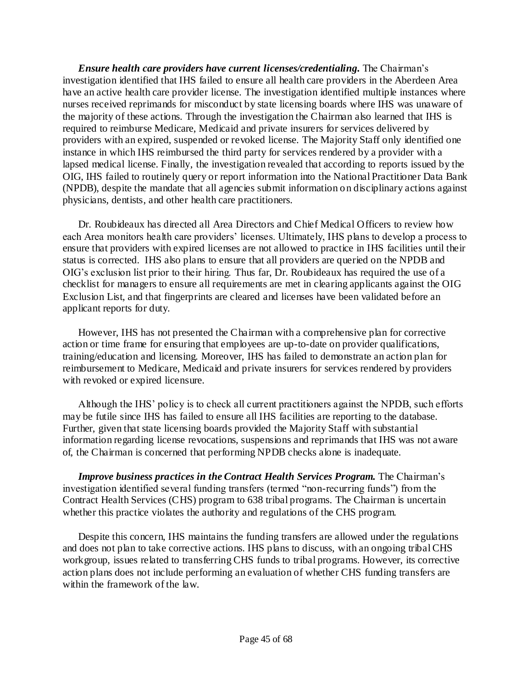*Ensure health care providers have current licenses/credentialing.* The Chairman"s investigation identified that IHS failed to ensure all health care providers in the Aberdeen Area have an active health care provider license. The investigation identified multiple instances where nurses received reprimands for misconduct by state licensing boards where IHS was unaware of the majority of these actions. Through the investigation the Chairman also learned that IHS is required to reimburse Medicare, Medicaid and private insurers for services delivered by providers with an expired, suspended or revoked license. The Majority Staff only identified one instance in which IHS reimbursed the third party for services rendered by a provider with a lapsed medical license. Finally, the investigation revealed that according to reports issued by the OIG, IHS failed to routinely query or report information into the National Practitioner Data Bank (NPDB), despite the mandate that all agencies submit information on disciplinary actions against physicians, dentists, and other health care practitioners.

Dr. Roubideaux has directed all Area Directors and Chief Medical Officers to review how each Area monitors health care providers" licenses. Ultimately, IHS plans to develop a process to ensure that providers with expired licenses are not allowed to practice in IHS facilities until their status is corrected. IHS also plans to ensure that all providers are queried on the NPDB and OIG"s exclusion list prior to their hiring. Thus far, Dr. Roubideaux has required the use of a checklist for managers to ensure all requirements are met in clearing applicants against the OIG Exclusion List, and that fingerprints are cleared and licenses have been validated before an applicant reports for duty.

However, IHS has not presented the Chairman with a comprehensive plan for corrective action or time frame for ensuring that employees are up-to-date on provider qualifications, training/education and licensing. Moreover, IHS has failed to demonstrate an action plan for reimbursement to Medicare, Medicaid and private insurers for services rendered by providers with revoked or expired licensure.

Although the IHS" policy is to check all current practitioners against the NPDB, such efforts may be futile since IHS has failed to ensure all IHS facilities are reporting to the database. Further, given that state licensing boards provided the Majority Staff with substantial information regarding license revocations, suspensions and reprimands that IHS was not aware of, the Chairman is concerned that performing NPDB checks alone is inadequate.

*Improve business practices in the Contract Health Services Program.* The Chairman's investigation identified several funding transfers (termed "non-recurring funds") from the Contract Health Services (CHS) program to 638 tribal programs. The Chairman is uncertain whether this practice violates the authority and regulations of the CHS program.

Despite this concern, IHS maintains the funding transfers are allowed under the regulations and does not plan to take corrective actions. IHS plans to discuss, with an ongoing tribal CHS workgroup, issues related to transferring CHS funds to tribal programs. However, its corrective action plans does not include performing an evaluation of whether CHS funding transfers are within the framework of the law.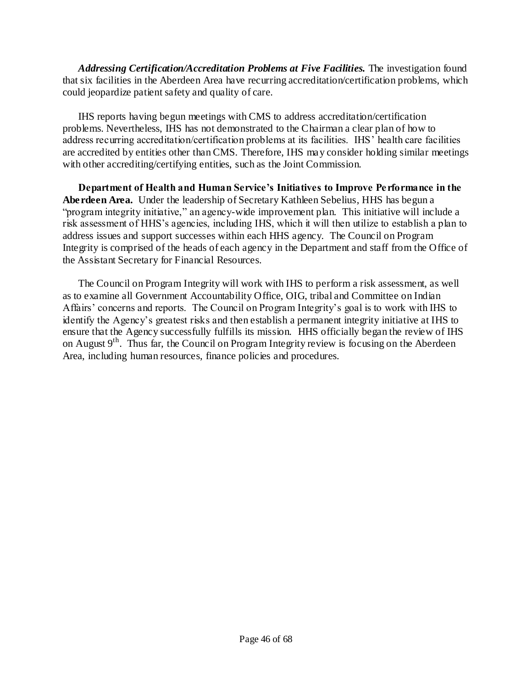*Addressing Certification/Accreditation Problems at Five Facilities.* The investigation found that six facilities in the Aberdeen Area have recurring accreditation/certification problems, which could jeopardize patient safety and quality of care.

IHS reports having begun meetings with CMS to address accreditation/certification problems. Nevertheless, IHS has not demonstrated to the Chairman a clear plan of how to address recurring accreditation/certification problems at its facilities. IHS" health care facilities are accredited by entities other than CMS. Therefore, IHS may consider holding similar meetings with other accrediting/certifying entities, such as the Joint Commission.

**Department of Health and Human Service's Initiatives to Improve Performance in the Aberdeen Area.** Under the leadership of Secretary Kathleen Sebelius, HHS has begun a "program integrity initiative," an agency-wide improvement plan. This initiative will include a risk assessment of HHS"s agencies, including IHS, which it will then utilize to establish a plan to address issues and support successes within each HHS agency. The Council on Program Integrity is comprised of the heads of each agency in the Department and staff from the Office of the Assistant Secretary for Financial Resources.

The Council on Program Integrity will work with IHS to perform a risk assessment, as well as to examine all Government Accountability Office, OIG, tribal and Committee on Indian Affairs' concerns and reports. The Council on Program Integrity's goal is to work with IHS to identify the Agency"s greatest risks and then establish a permanent integrity initiative at IHS to ensure that the Agency successfully fulfills its mission. HHS officially began the review of IHS on August  $9<sup>th</sup>$ . Thus far, the Council on Program Integrity review is focusing on the Aberdeen Area, including human resources, finance policies and procedures.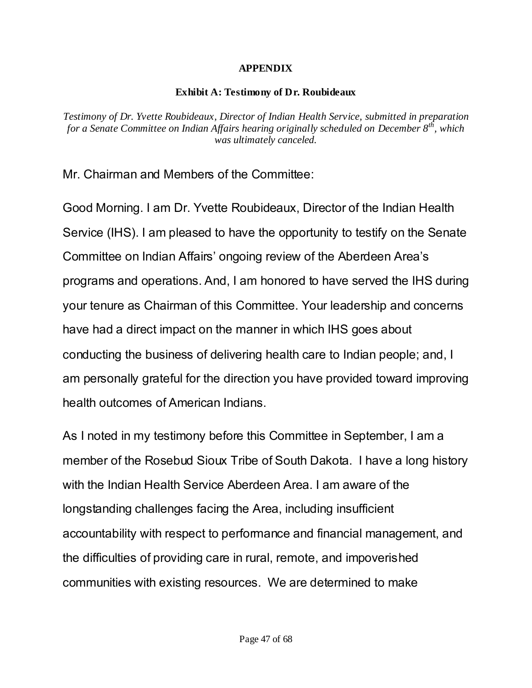# **APPENDIX**

# **Exhibit A: Testimony of Dr. Roubideaux**

*Testimony of Dr. Yvette Roubideaux, Director of Indian Health Service, submitted in preparation for a Senate Committee on Indian Affairs hearing originally scheduled on December 8th, which was ultimately canceled.*

Mr. Chairman and Members of the Committee:

Good Morning. I am Dr. Yvette Roubideaux, Director of the Indian Health Service (IHS). I am pleased to have the opportunity to testify on the Senate Committee on Indian Affairs' ongoing review of the Aberdeen Area's programs and operations. And, I am honored to have served the IHS during your tenure as Chairman of this Committee. Your leadership and concerns have had a direct impact on the manner in which IHS goes about conducting the business of delivering health care to Indian people; and, I am personally grateful for the direction you have provided toward improving health outcomes of American Indians.

As I noted in my testimony before this Committee in September, I am a member of the Rosebud Sioux Tribe of South Dakota. I have a long history with the Indian Health Service Aberdeen Area. I am aware of the longstanding challenges facing the Area, including insufficient accountability with respect to performance and financial management, and the difficulties of providing care in rural, remote, and impoverished communities with existing resources. We are determined to make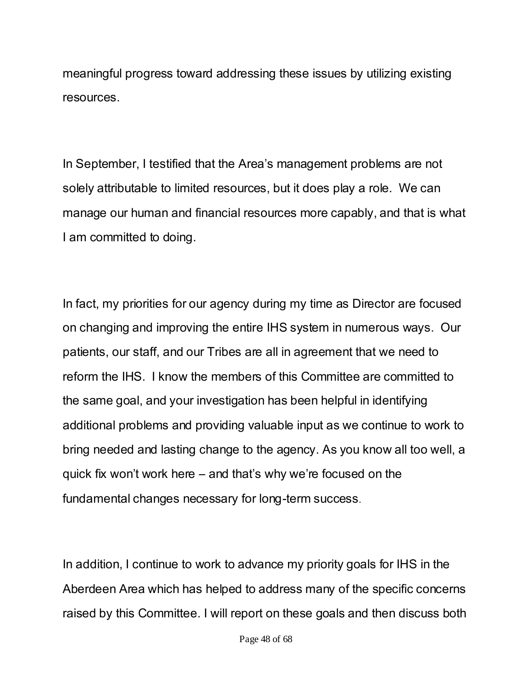meaningful progress toward addressing these issues by utilizing existing resources.

In September, I testified that the Area's management problems are not solely attributable to limited resources, but it does play a role. We can manage our human and financial resources more capably, and that is what I am committed to doing.

In fact, my priorities for our agency during my time as Director are focused on changing and improving the entire IHS system in numerous ways. Our patients, our staff, and our Tribes are all in agreement that we need to reform the IHS. I know the members of this Committee are committed to the same goal, and your investigation has been helpful in identifying additional problems and providing valuable input as we continue to work to bring needed and lasting change to the agency. As you know all too well, a quick fix won't work here – and that's why we're focused on the fundamental changes necessary for long-term success.

In addition, I continue to work to advance my priority goals for IHS in the Aberdeen Area which has helped to address many of the specific concerns raised by this Committee. I will report on these goals and then discuss both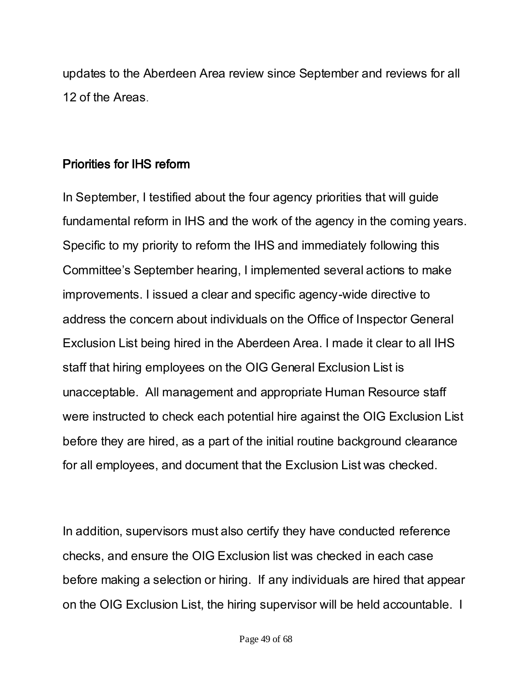updates to the Aberdeen Area review since September and reviews for all 12 of the Areas.

# Priorities for IHS reform

In September, I testified about the four agency priorities that will guide fundamental reform in IHS and the work of the agency in the coming years. Specific to my priority to reform the IHS and immediately following this Committee's September hearing, I implemented several actions to make improvements. I issued a clear and specific agency-wide directive to address the concern about individuals on the Office of Inspector General Exclusion List being hired in the Aberdeen Area. I made it clear to all IHS staff that hiring employees on the OIG General Exclusion List is unacceptable. All management and appropriate Human Resource staff were instructed to check each potential hire against the OIG Exclusion List before they are hired, as a part of the initial routine background clearance for all employees, and document that the Exclusion List was checked.

In addition, supervisors must also certify they have conducted reference checks, and ensure the OIG Exclusion list was checked in each case before making a selection or hiring. If any individuals are hired that appear on the OIG Exclusion List, the hiring supervisor will be held accountable. I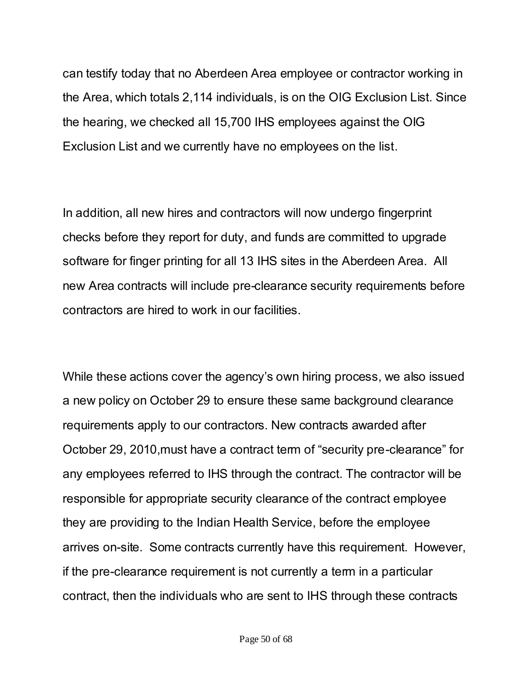can testify today that no Aberdeen Area employee or contractor working in the Area, which totals 2,114 individuals, is on the OIG Exclusion List. Since the hearing, we checked all 15,700 IHS employees against the OIG Exclusion List and we currently have no employees on the list.

In addition, all new hires and contractors will now undergo fingerprint checks before they report for duty, and funds are committed to upgrade software for finger printing for all 13 IHS sites in the Aberdeen Area. All new Area contracts will include pre-clearance security requirements before contractors are hired to work in our facilities.

While these actions cover the agency's own hiring process, we also issued a new policy on October 29 to ensure these same background clearance requirements apply to our contractors. New contracts awarded after October 29, 2010,must have a contract term of "security pre-clearance" for any employees referred to IHS through the contract. The contractor will be responsible for appropriate security clearance of the contract employee they are providing to the Indian Health Service, before the employee arrives on-site. Some contracts currently have this requirement. However, if the pre-clearance requirement is not currently a term in a particular contract, then the individuals who are sent to IHS through these contracts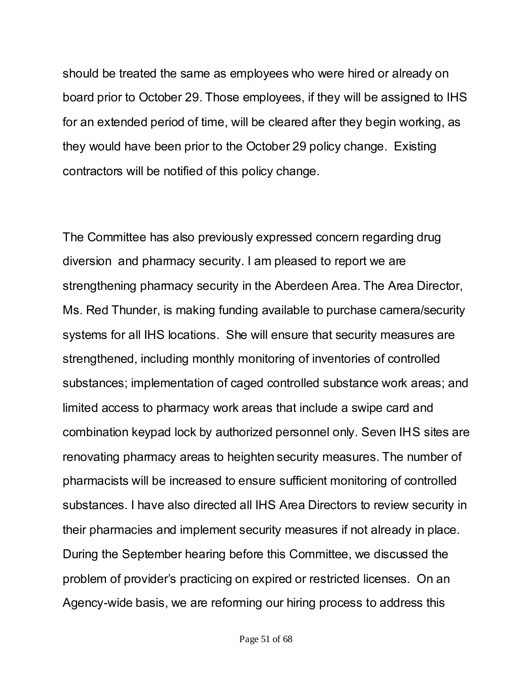should be treated the same as employees who were hired or already on board prior to October 29. Those employees, if they will be assigned to IHS for an extended period of time, will be cleared after they begin working, as they would have been prior to the October 29 policy change. Existing contractors will be notified of this policy change.

The Committee has also previously expressed concern regarding drug diversion and pharmacy security. I am pleased to report we are strengthening pharmacy security in the Aberdeen Area. The Area Director, Ms. Red Thunder, is making funding available to purchase camera/security systems for all IHS locations. She will ensure that security measures are strengthened, including monthly monitoring of inventories of controlled substances; implementation of caged controlled substance work areas; and limited access to pharmacy work areas that include a swipe card and combination keypad lock by authorized personnel only. Seven IHS sites are renovating pharmacy areas to heighten security measures. The number of pharmacists will be increased to ensure sufficient monitoring of controlled substances. I have also directed all IHS Area Directors to review security in their pharmacies and implement security measures if not already in place. During the September hearing before this Committee, we discussed the problem of provider's practicing on expired or restricted licenses. On an Agency-wide basis, we are reforming our hiring process to address this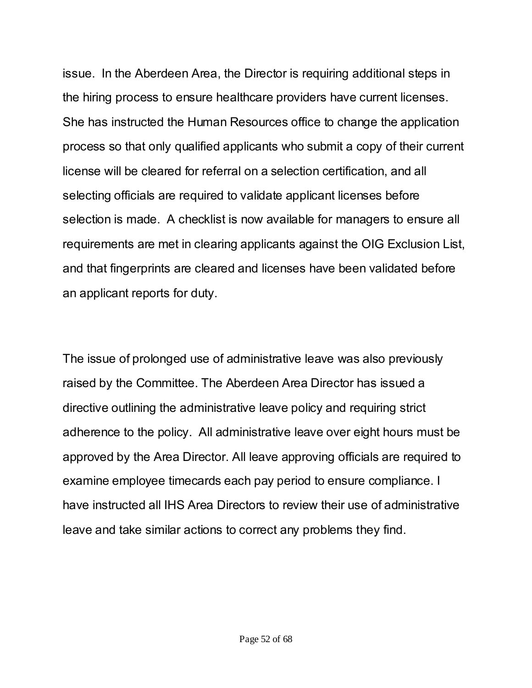issue. In the Aberdeen Area, the Director is requiring additional steps in the hiring process to ensure healthcare providers have current licenses. She has instructed the Human Resources office to change the application process so that only qualified applicants who submit a copy of their current license will be cleared for referral on a selection certification, and all selecting officials are required to validate applicant licenses before selection is made. A checklist is now available for managers to ensure all requirements are met in clearing applicants against the OIG Exclusion List, and that fingerprints are cleared and licenses have been validated before an applicant reports for duty.

The issue of prolonged use of administrative leave was also previously raised by the Committee. The Aberdeen Area Director has issued a directive outlining the administrative leave policy and requiring strict adherence to the policy. All administrative leave over eight hours must be approved by the Area Director. All leave approving officials are required to examine employee timecards each pay period to ensure compliance. I have instructed all IHS Area Directors to review their use of administrative leave and take similar actions to correct any problems they find.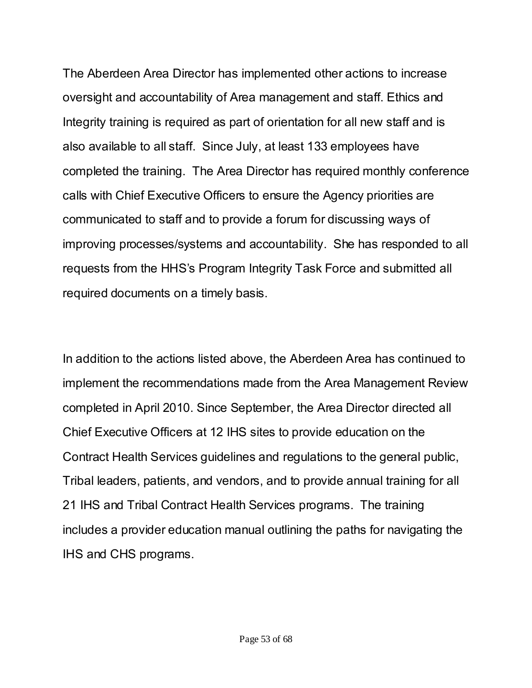The Aberdeen Area Director has implemented other actions to increase oversight and accountability of Area management and staff. Ethics and Integrity training is required as part of orientation for all new staff and is also available to all staff. Since July, at least 133 employees have completed the training. The Area Director has required monthly conference calls with Chief Executive Officers to ensure the Agency priorities are communicated to staff and to provide a forum for discussing ways of improving processes/systems and accountability. She has responded to all requests from the HHS's Program Integrity Task Force and submitted all required documents on a timely basis.

In addition to the actions listed above, the Aberdeen Area has continued to implement the recommendations made from the Area Management Review completed in April 2010. Since September, the Area Director directed all Chief Executive Officers at 12 IHS sites to provide education on the Contract Health Services guidelines and regulations to the general public, Tribal leaders, patients, and vendors, and to provide annual training for all 21 IHS and Tribal Contract Health Services programs. The training includes a provider education manual outlining the paths for navigating the IHS and CHS programs.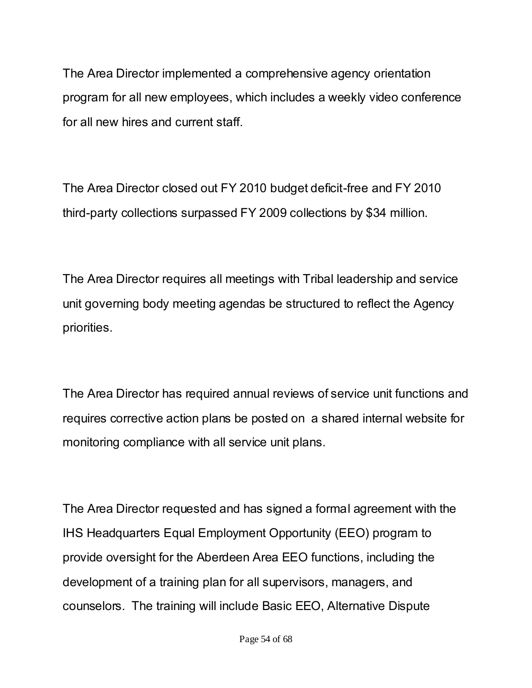The Area Director implemented a comprehensive agency orientation program for all new employees, which includes a weekly video conference for all new hires and current staff.

The Area Director closed out FY 2010 budget deficit-free and FY 2010 third-party collections surpassed FY 2009 collections by \$34 million.

The Area Director requires all meetings with Tribal leadership and service unit governing body meeting agendas be structured to reflect the Agency priorities.

The Area Director has required annual reviews of service unit functions and requires corrective action plans be posted on a shared internal website for monitoring compliance with all service unit plans.

The Area Director requested and has signed a formal agreement with the IHS Headquarters Equal Employment Opportunity (EEO) program to provide oversight for the Aberdeen Area EEO functions, including the development of a training plan for all supervisors, managers, and counselors. The training will include Basic EEO, Alternative Dispute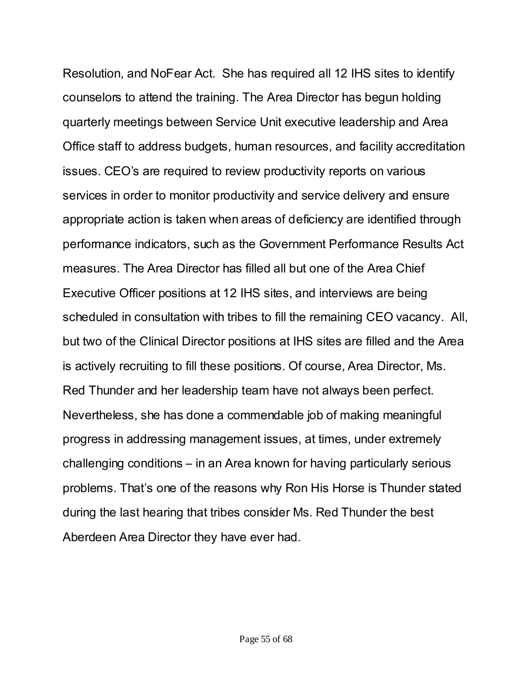Resolution, and NoFear Act. She has required all 12 IHS sites to identify counselors to attend the training. The Area Director has begun holding quarterly meetings between Service Unit executive leadership and Area Office staff to address budgets, human resources, and facility accreditation issues. CEO's are required to review productivity reports on various services in order to monitor productivity and service delivery and ensure appropriate action is taken when areas of deficiency are identified through performance indicators, such as the Government Performance Results Act measures. The Area Director has filled all but one of the Area Chief Executive Officer positions at 12 IHS sites, and interviews are being scheduled in consultation with tribes to fill the remaining CEO vacancy. All, but two of the Clinical Director positions at IHS sites are filled and the Area is actively recruiting to fill these positions. Of course, Area Director, Ms. Red Thunder and her leadership team have not always been perfect. Nevertheless, she has done a commendable job of making meaningful progress in addressing management issues, at times, under extremely challenging conditions – in an Area known for having particularly serious problems. That's one of the reasons why Ron His Horse is Thunder stated during the last hearing that tribes consider Ms. Red Thunder the best Aberdeen Area Director they have ever had.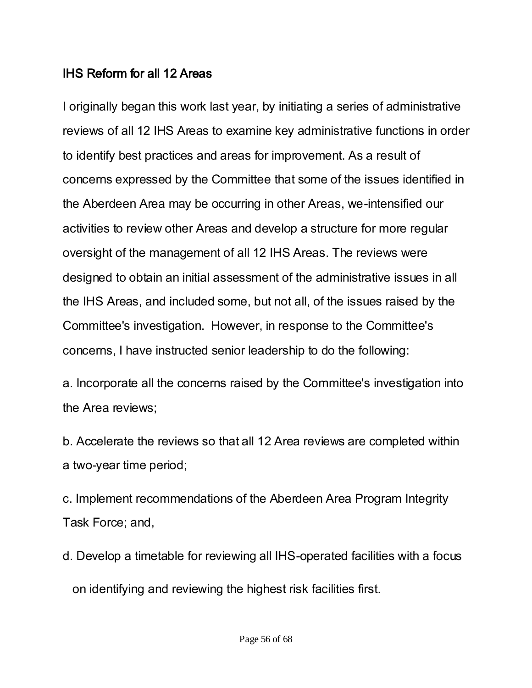# IHS Reform for all 12 Areas

I originally began this work last year, by initiating a series of administrative reviews of all 12 IHS Areas to examine key administrative functions in order to identify best practices and areas for improvement. As a result of concerns expressed by the Committee that some of the issues identified in the Aberdeen Area may be occurring in other Areas, we-intensified our activities to review other Areas and develop a structure for more regular oversight of the management of all 12 IHS Areas. The reviews were designed to obtain an initial assessment of the administrative issues in all the IHS Areas, and included some, but not all, of the issues raised by the Committee's investigation. However, in response to the Committee's concerns, I have instructed senior leadership to do the following:

a. Incorporate all the concerns raised by the Committee's investigation into the Area reviews;

b. Accelerate the reviews so that all 12 Area reviews are completed within a two-year time period;

c. Implement recommendations of the Aberdeen Area Program Integrity Task Force; and,

d. Develop a timetable for reviewing all IHS-operated facilities with a focus on identifying and reviewing the highest risk facilities first.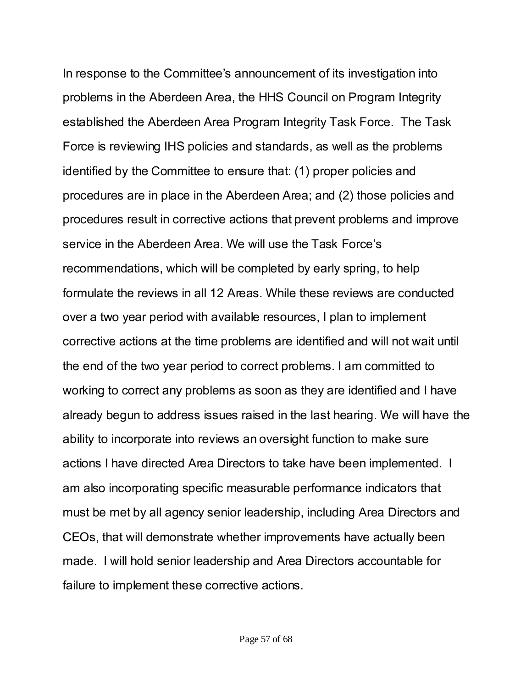In response to the Committee's announcement of its investigation into problems in the Aberdeen Area, the HHS Council on Program Integrity established the Aberdeen Area Program Integrity Task Force. The Task Force is reviewing IHS policies and standards, as well as the problems identified by the Committee to ensure that: (1) proper policies and procedures are in place in the Aberdeen Area; and (2) those policies and procedures result in corrective actions that prevent problems and improve service in the Aberdeen Area. We will use the Task Force's recommendations, which will be completed by early spring, to help formulate the reviews in all 12 Areas. While these reviews are conducted over a two year period with available resources, I plan to implement corrective actions at the time problems are identified and will not wait until the end of the two year period to correct problems. I am committed to working to correct any problems as soon as they are identified and I have already begun to address issues raised in the last hearing. We will have the ability to incorporate into reviews an oversight function to make sure actions I have directed Area Directors to take have been implemented. I am also incorporating specific measurable performance indicators that must be met by all agency senior leadership, including Area Directors and CEOs, that will demonstrate whether improvements have actually been made. I will hold senior leadership and Area Directors accountable for failure to implement these corrective actions.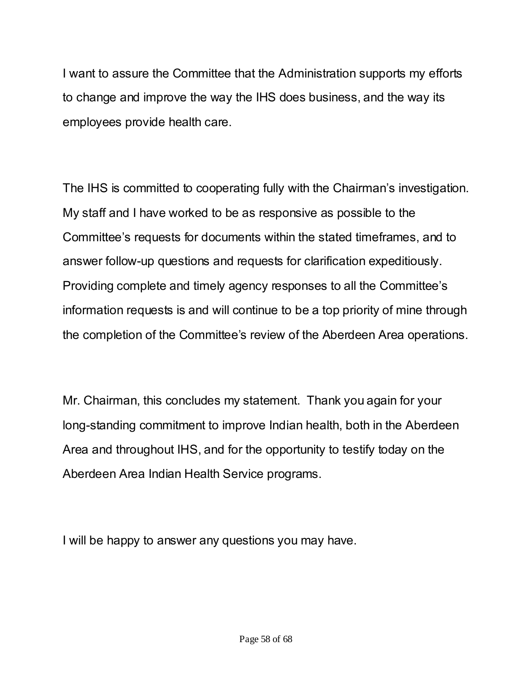I want to assure the Committee that the Administration supports my efforts to change and improve the way the IHS does business, and the way its employees provide health care.

The IHS is committed to cooperating fully with the Chairman's investigation. My staff and I have worked to be as responsive as possible to the Committee's requests for documents within the stated timeframes, and to answer follow-up questions and requests for clarification expeditiously. Providing complete and timely agency responses to all the Committee's information requests is and will continue to be a top priority of mine through the completion of the Committee's review of the Aberdeen Area operations.

Mr. Chairman, this concludes my statement. Thank you again for your long-standing commitment to improve Indian health, both in the Aberdeen Area and throughout IHS, and for the opportunity to testify today on the Aberdeen Area Indian Health Service programs.

I will be happy to answer any questions you may have.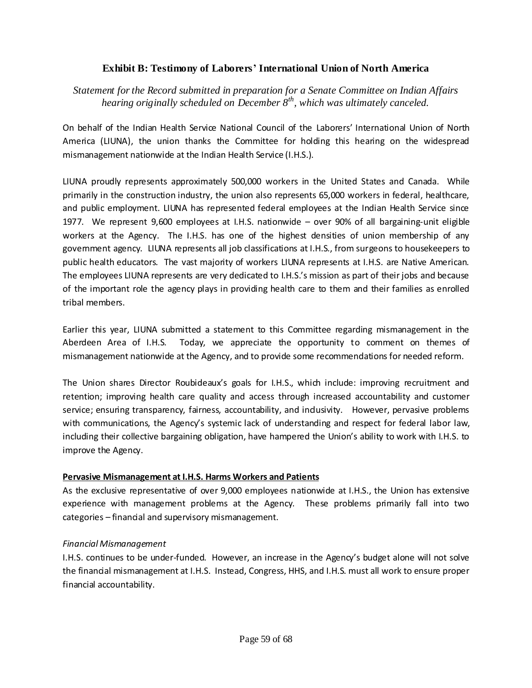## **Exhibit B: Testimony of Laborers' International Union of North America**

*Statement for the Record submitted in preparation for a Senate Committee on Indian Affairs hearing originally scheduled on December 8th, which was ultimately canceled.*

On behalf of the Indian Health Service National Council of the Laborers' International Union of North America (LIUNA), the union thanks the Committee for holding this hearing on the widespread mismanagement nationwide at the Indian Health Service (I.H.S.).

LIUNA proudly represents approximately 500,000 workers in the United States and Canada. While primarily in the construction industry, the union also represents 65,000 workers in federal, healthcare, and public employment. LIUNA has represented federal employees at the Indian Health Service since 1977. We represent 9,600 employees at I.H.S. nationwide – over 90% of all bargaining-unit eligible workers at the Agency. The I.H.S. has one of the highest densities of union membership of any government agency. LIUNA represents all job classifications at I.H.S., from surgeons to housekeepers to public health educators. The vast majority of workers LIUNA represents at I.H.S. are Native American. The employees LIUNA represents are very dedicated to I.H.S.'s mission as part of their jobs and because of the important role the agency plays in providing health care to them and their families as enrolled tribal members.

Earlier this year, LIUNA submitted a statement to this Committee regarding mismanagement in the Aberdeen Area of I.H.S. Today, we appreciate the opportunity to comment on themes of mismanagement nationwide at the Agency, and to provide some recommendations for needed reform.

The Union shares Director Roubideaux's goals for I.H.S., which include: improving recruitment and retention; improving health care quality and access through increased accountability and customer service; ensuring transparency, fairness, accountability, and indusivity. However, pervasive problems with communications, the Agency's systemic lack of understanding and respect for federal labor law, including their collective bargaining obligation, have hampered the Union's ability to work with I.H.S. to improve the Agency.

#### **Pervasive Mismanagement at I.H.S. Harms Workers and Patients**

As the exclusive representative of over 9,000 employees nationwide at I.H.S., the Union has extensive experience with management problems at the Agency. These problems primarily fall into two categories – financial and supervisory mismanagement.

#### *Financial Mismanagement*

I.H.S. continues to be under-funded. However, an increase in the Agency's budget alone will not solve the financial mismanagement at I.H.S. Instead, Congress, HHS, and I.H.S. must all work to ensure proper financial accountability.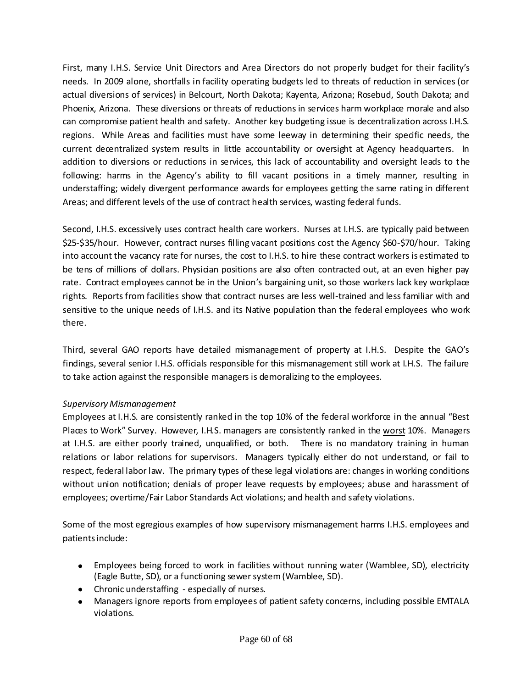First, many I.H.S. Service Unit Directors and Area Directors do not properly budget for their facility's needs. In 2009 alone, shortfalls in facility operating budgets led to threats of reduction in services (or actual diversions of services) in Belcourt, North Dakota; Kayenta, Arizona; Rosebud, South Dakota; and Phoenix, Arizona. These diversions or threats of reductions in services harm workplace morale and also can compromise patient health and safety. Another key budgeting issue is decentralization across I.H.S. regions. While Areas and facilities must have some leeway in determining their specific needs, the current decentralized system results in little accountability or oversight at Agency headquarters. In addition to diversions or reductions in services, this lack of accountability and oversight leads to the following: harms in the Agency's ability to fill vacant positions in a timely manner, resulting in understaffing; widely divergent performance awards for employees getting the same rating in different Areas; and different levels of the use of contract health services, wasting federal funds.

Second, I.H.S. excessively uses contract health care workers. Nurses at I.H.S. are typically paid between \$25-\$35/hour. However, contract nurses filling vacant positions cost the Agency \$60-\$70/hour. Taking into account the vacancy rate for nurses, the cost to I.H.S. to hire these contract workers is estimated to be tens of millions of dollars. Physician positions are also often contracted out, at an even higher pay rate. Contract employees cannot be in the Union's bargaining unit, so those workers lack key workplace rights. Reports from facilities show that contract nurses are less well-trained and less familiar with and sensitive to the unique needs of I.H.S. and its Native population than the federal employees who work there.

Third, several GAO reports have detailed mismanagement of property at I.H.S. Despite the GAO's findings, several senior I.H.S. officials responsible for this mismanagement still work at I.H.S. The failure to take action against the responsible managers is demoralizing to the employees.

## *Supervisory Mismanagement*

Employees at I.H.S. are consistently ranked in the top 10% of the federal workforce in the annual "Best Places to Work" Survey. However, I.H.S. managers are consistently ranked in the worst 10%. Managers at I.H.S. are either poorly trained, unqualified, or both. There is no mandatory training in human relations or labor relations for supervisors. Managers typically either do not understand, or fail to respect, federal labor law. The primary types of these legal violations are: changes in working conditions without union notification; denials of proper leave requests by employees; abuse and harassment of employees; overtime/Fair Labor Standards Act violations; and health and safety violations.

Some of the most egregious examples of how supervisory mismanagement harms I.H.S. employees and patients include:

- Employees being forced to work in facilities without running water (Wamblee, SD), electricity  $\bullet$ (Eagle Butte, SD), or a functioning sewer system (Wamblee, SD).
- Chronic understaffing especially of nurses.
- Managers ignore reports from employees of patient safety concerns, including possible EMTALA violations.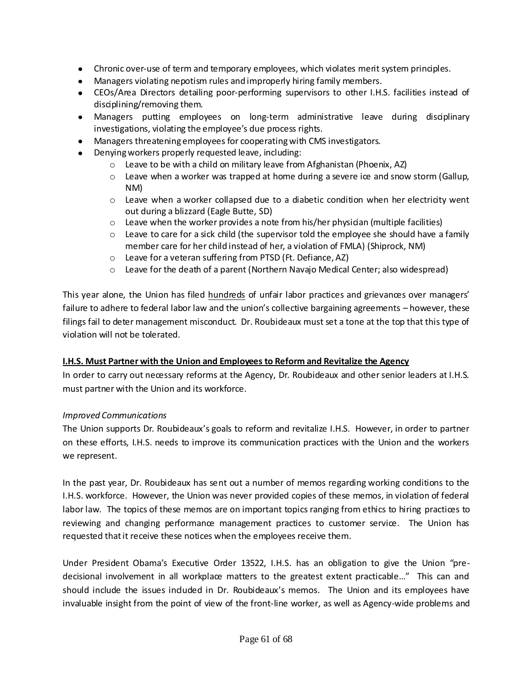- Chronic over-use of term and temporary employees, which violates merit system principles.
- Managers violating nepotism rules and improperly hiring family members.
- CEOs/Area Directors detailing poor-performing supervisors to other I.H.S. facilities instead of disciplining/removing them.
- Managers putting employees on long-term administrative leave during disciplinary investigations, violating the employee's due process rights.
- Managers threatening employees for cooperating with CMS investigators.
- Denying workers properly requested leave, including:
	- o Leave to be with a child on military leave from Afghanistan (Phoenix, AZ)
	- $\circ$  Leave when a worker was trapped at home during a severe ice and snow storm (Gallup, NM)
	- $\circ$  Leave when a worker collapsed due to a diabetic condition when her electricity went out during a blizzard (Eagle Butte, SD)
	- o Leave when the worker provides a note from his/her physician (multiple facilities)
	- $\circ$  Leave to care for a sick child (the supervisor told the employee she should have a family member care for her child instead of her, a violation of FMLA) (Shiprock, NM)
	- o Leave for a veteran suffering from PTSD (Ft. Defiance, AZ)
	- $\circ$  Leave for the death of a parent (Northern Navajo Medical Center; also widespread)

This year alone, the Union has filed hundreds of unfair labor practices and grievances over managers' failure to adhere to federal labor law and the union's collective bargaining agreements – however, these filings fail to deter management misconduct. Dr. Roubideaux must set a tone at the top that this type of violation will not be tolerated.

#### **I.H.S. Must Partner with the Union and Employees to Reform and Revitalize the Agency**

In order to carry out necessary reforms at the Agency, Dr. Roubideaux and other senior leaders at I.H.S. must partner with the Union and its workforce.

#### *Improved Communications*

The Union supports Dr. Roubideaux's goals to reform and revitalize I.H.S. However, in order to partner on these efforts, I.H.S. needs to improve its communication practices with the Union and the workers we represent.

In the past year, Dr. Roubideaux has sent out a number of memos regarding working conditions to the I.H.S. workforce. However, the Union was never provided copies of these memos, in violation of federal labor law. The topics of these memos are on important topics ranging from ethics to hiring practices to reviewing and changing performance management practices to customer service. The Union has requested that it receive these notices when the employees receive them.

Under President Obama's Executive Order 13522, I.H.S. has an obligation to give the Union "predecisional involvement in all workplace matters to the greatest extent practicable…" This can and should include the issues induded in Dr. Roubideaux's memos. The Union and its employees have invaluable insight from the point of view of the front-line worker, as well as Agency-wide problems and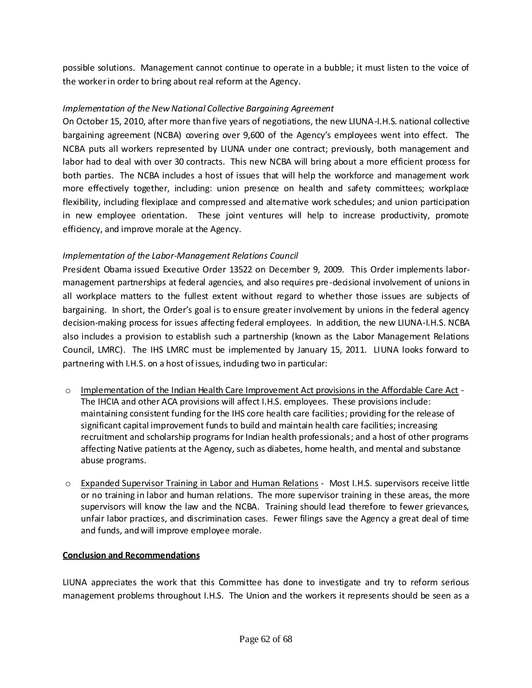possible solutions. Management cannot continue to operate in a bubble; it must listen to the voice of the worker in order to bring about real reform at the Agency.

## *Implementation of the New National Collective Bargaining Agreement*

On October 15, 2010, after more than five years of negotiations, the new LIUNA-I.H.S. national collective bargaining agreement (NCBA) covering over 9,600 of the Agency's employees went into effect. The NCBA puts all workers represented by LIUNA under one contract; previously, both management and labor had to deal with over 30 contracts. This new NCBA will bring about a more efficient process for both parties. The NCBA includes a host of issues that will help the workforce and management work more effectively together, including: union presence on health and safety committees; workplace flexibility, including flexiplace and compressed and alternative work schedules; and union participation in new employee orientation. These joint ventures will help to increase productivity, promote efficiency, and improve morale at the Agency.

#### *Implementation of the Labor-Management Relations Council*

President Obama issued Executive Order 13522 on December 9, 2009. This Order implements labormanagement partnerships at federal agencies, and also requires pre-decisional involvement of unions in all workplace matters to the fullest extent without regard to whether those issues are subjects of bargaining. In short, the Order's goal is to ensure greater involvement by unions in the federal agency decision-making process for issues affecting federal employees. In addition, the new LIUNA-I.H.S. NCBA also includes a provision to establish such a partnership (known as the Labor Management Relations Council, LMRC). The IHS LMRC must be implemented by January 15, 2011. LIUNA looks forward to partnering with I.H.S. on a host of issues, induding two in particular:

- o Implementation of the Indian Health Care Improvement Act provisions in the Affordable Care Act The IHCIA and other ACA provisions will affect I.H.S. employees. These provisions include: maintaining consistent funding for the IHS core health care facilities; providing for the release of significant capital improvement funds to build and maintain health care facilities; increasing recruitment and scholarship programs for Indian health professionals; and a host of other programs affecting Native patients at the Agency, such as diabetes, home health, and mental and substance abuse programs.
- o Expanded Supervisor Training in Labor and Human Relations Most I.H.S. supervisors receive little or no training in labor and human relations. The more supervisor training in these areas, the more supervisors will know the law and the NCBA. Training should lead therefore to fewer grievances, unfair labor practices, and discrimination cases. Fewer filings save the Agency a great deal of time and funds, and will improve employee morale.

#### **Conclusion and Recommendations**

LIUNA appreciates the work that this Committee has done to investigate and try to reform serious management problems throughout I.H.S. The Union and the workers it represents should be seen as a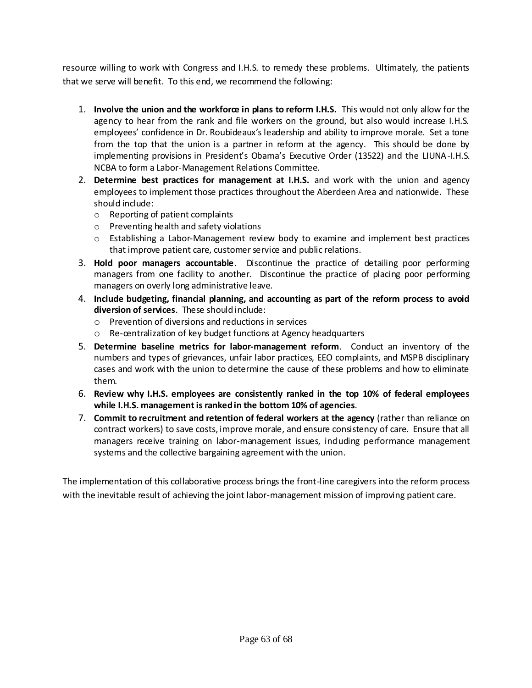resource willing to work with Congress and I.H.S. to remedy these problems. Ultimately, the patients that we serve will benefit. To this end, we recommend the following:

- 1. **Involve the union and the workforce in plans to reform I.H.S.** This would not only allow for the agency to hear from the rank and file workers on the ground, but also would increase I.H.S. employees' confidence in Dr. Roubideaux's leadership and ability to improve morale. Set a tone from the top that the union is a partner in reform at the agency. This should be done by implementing provisions in President's Obama's Executive Order (13522) and the LIUNA-I.H.S. NCBA to form a Labor-Management Relations Committee.
- 2. **Determine best practices for management at I.H.S.** and work with the union and agency employees to implement those practices throughout the Aberdeen Area and nationwide. These should include:
	- o Reporting of patient complaints
	- o Preventing health and safety violations
	- $\circ$  Establishing a Labor-Management review body to examine and implement best practices that improve patient care, customer service and public relations.
- 3. **Hold poor managers accountable**. Discontinue the practice of detailing poor performing managers from one facility to another. Discontinue the practice of placing poor performing managers on overly long administrative leave.
- 4. **Include budgeting, financial planning, and accounting as part of the reform process to avoid diversion of services**. These should include:
	- o Prevention of diversions and reductions in services
	- o Re-centralization of key budget functions at Agency headquarters
- 5. **Determine baseline metrics for labor-management reform**. Conduct an inventory of the numbers and types of grievances, unfair labor practices, EEO complaints, and MSPB disciplinary cases and work with the union to determine the cause of these problems and how to eliminate them.
- 6. **Review why I.H.S. employees are consistently ranked in the top 10% of federal employees while I.H.S. management is ranked in the bottom 10% of agencies**.
- 7. **Commit to recruitment and retention of federal workers at the agency** (rather than reliance on contract workers) to save costs, improve morale, and ensure consistency of care. Ensure that all managers receive training on labor-management issues, induding performance management systems and the collective bargaining agreement with the union.

The implementation of this collaborative process brings the front-line caregivers into the reform process with the inevitable result of achieving the joint labor-management mission of improving patient care.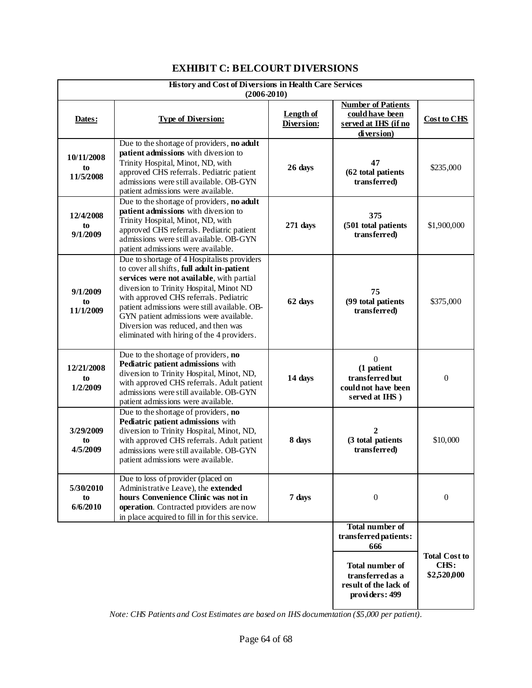# **EXHIBIT C: BELCOURT DIVERSIONS**

| History and Cost of Diversions in Health Care Services<br>$(2006 - 2010)$ |                                                                                                                                                                                                                                                                                                                                                                                                            |                                |                                                                                            |                                             |  |
|---------------------------------------------------------------------------|------------------------------------------------------------------------------------------------------------------------------------------------------------------------------------------------------------------------------------------------------------------------------------------------------------------------------------------------------------------------------------------------------------|--------------------------------|--------------------------------------------------------------------------------------------|---------------------------------------------|--|
| Dates:                                                                    | <b>Type of Diversion:</b>                                                                                                                                                                                                                                                                                                                                                                                  | <b>Length of</b><br>Diversion: | <b>Number of Patients</b><br>could have been<br>served at IHS (if no<br>diversion)         | <b>Cost to CHS</b>                          |  |
| 10/11/2008<br>to<br>11/5/2008                                             | Due to the shortage of providers, no adult<br>patient admissions with diversion to<br>Trinity Hospital, Minot, ND, with<br>approved CHS referrals. Pediatric patient<br>admissions were still available. OB-GYN<br>patient admissions were available.                                                                                                                                                      | 26 days                        | 47<br>(62 total patients<br>transferred)                                                   | \$235,000                                   |  |
| 12/4/2008<br>to<br>9/1/2009                                               | Due to the shortage of providers, no adult<br>patient admissions with diversion to<br>Trinity Hospital, Minot, ND, with<br>approved CHS referrals. Pediatric patient<br>admissions were still available. OB-GYN<br>patient admissions were available.                                                                                                                                                      | 271 days                       | 375<br>(501 total patients<br>transferred)                                                 | \$1,900,000                                 |  |
| 9/1/2009<br>to<br>11/1/2009                                               | Due to shortage of 4 Hospitalists providers<br>to cover all shifts, full adult in-patient<br>services were not available, with partial<br>diversion to Trinity Hospital, Minot ND<br>with approved CHS referrals. Pediatric<br>patient admissions were still available. OB-<br>GYN patient admissions were available.<br>Diversion was reduced, and then was<br>eliminated with hiring of the 4 providers. | 62 days                        | 75<br>(99 total patients<br>transferred)                                                   | \$375,000                                   |  |
| 12/21/2008<br>to<br>1/2/2009                                              | Due to the shortage of providers, no<br>Pediatric patient admissions with<br>diversion to Trinity Hospital, Minot, ND,<br>with approved CHS referrals. Adult patient<br>admissions were still available. OB-GYN<br>patient admissions were available.                                                                                                                                                      | 14 days                        | $\boldsymbol{0}$<br>(1 patient<br>transferred but<br>could not have been<br>served at IHS) | $\Omega$                                    |  |
| 3/29/2009<br>to<br>4/5/2009                                               | Due to the shortage of providers, no<br>Pediatric patient admissions with<br>diversion to Trinity Hospital, Minot, ND,<br>with approved CHS referrals. Adult patient<br>admissions were still available. OB-GYN<br>patient admissions were available.                                                                                                                                                      | 8 days                         | 2<br>(3 total patients<br>transferred)                                                     | \$10,000                                    |  |
| 5/30/2010<br>to<br>6/6/2010                                               | Due to loss of provider (placed on<br>Administrative Leave), the extended<br>hours Convenience Clinic was not in<br>operation. Contracted providers are now<br>in place acquired to fill in for this service.                                                                                                                                                                                              | 7 days                         | $\boldsymbol{0}$                                                                           | $\theta$                                    |  |
|                                                                           |                                                                                                                                                                                                                                                                                                                                                                                                            |                                | <b>Total number of</b><br>transferred patients:<br>666                                     |                                             |  |
|                                                                           |                                                                                                                                                                                                                                                                                                                                                                                                            |                                | <b>Total number of</b><br>transferred as a<br>result of the lack of<br>providers: 499      | <b>Total Cost to</b><br>CHS:<br>\$2,520,000 |  |

*Note: CHS Patients and Cost Estimates are based on IHS documentation (\$5,000 per patient).*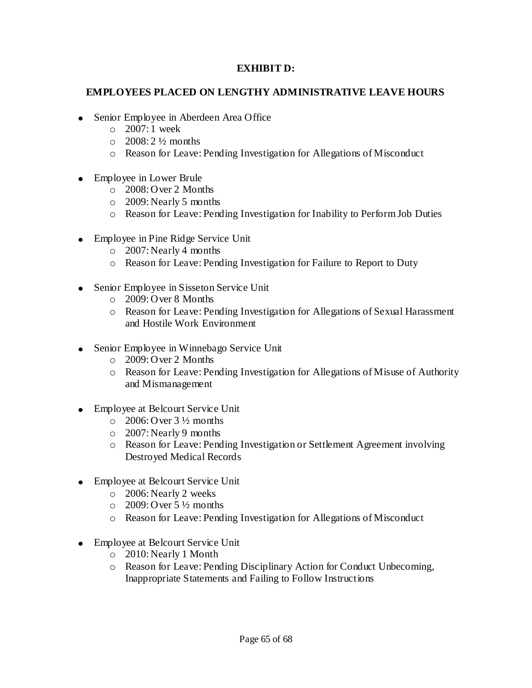#### **EXHIBIT D:**

### **EMPLOYEES PLACED ON LENGTHY ADMINISTRATIVE LEAVE HOURS**

- Senior Employee in Aberdeen Area Office
	- o 2007: 1 week
	- $\circ$  2008: 2 ½ months
	- o Reason for Leave: Pending Investigation for Allegations of Misconduct
- Employee in Lower Brule
	- o 2008: Over 2 Months
	- o 2009: Nearly 5 months
	- o Reason for Leave: Pending Investigation for Inability to Perform Job Duties
- Employee in Pine Ridge Service Unit
	- o 2007: Nearly 4 months
	- o Reason for Leave: Pending Investigation for Failure to Report to Duty
- Senior Employee in Sisseton Service Unit
	- o 2009: Over 8 Months
	- o Reason for Leave: Pending Investigation for Allegations of Sexual Harassment and Hostile Work Environment
- Senior Employee in Winnebago Service Unit
	- o 2009: Over 2 Months
	- o Reason for Leave: Pending Investigation for Allegations of Misuse of Authority and Mismanagement
- Employee at Belcourt Service Unit
	- $\degree$  2006: Over 3  $\frac{1}{2}$  months
	- o 2007: Nearly 9 months
	- o Reason for Leave: Pending Investigation or Settlement Agreement involving Destroyed Medical Records
- Employee at Belcourt Service Unit
	- o 2006: Nearly 2 weeks
	- $\circ$  2009: Over 5  $\frac{1}{2}$  months
	- o Reason for Leave: Pending Investigation for Allegations of Misconduct
- Employee at Belcourt Service Unit
	- o 2010: Nearly 1 Month
	- o Reason for Leave: Pending Disciplinary Action for Conduct Unbecoming, Inappropriate Statements and Failing to Follow Instructions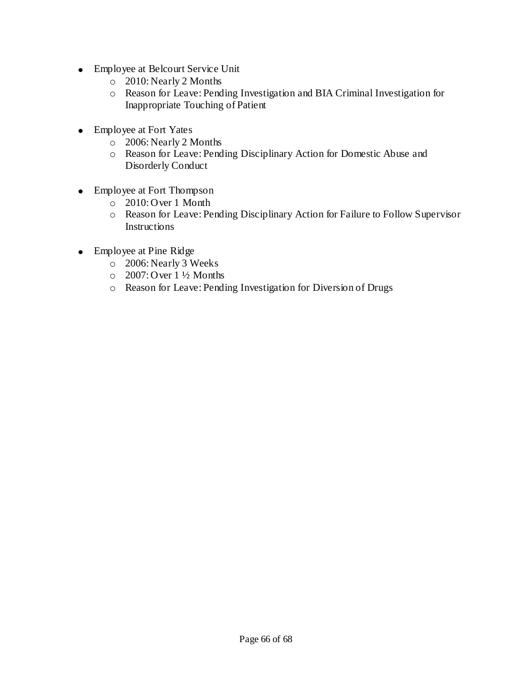- Employee at Belcourt Service Unit
	- o 2010: Nearly 2 Months
	- o Reason for Leave: Pending Investigation and BIA Criminal Investigation for Inappropriate Touching of Patient
- Employee at Fort Yates
	- o 2006: Nearly 2 Months
	- o Reason for Leave: Pending Disciplinary Action for Domestic Abuse and Disorderly Conduct
- Employee at Fort Thompson
	- o 2010: Over 1 Month
	- o Reason for Leave: Pending Disciplinary Action for Failure to Follow Supervisor Instructions
- Employee at Pine Ridge
	- o 2006: Nearly 3 Weeks
	- $\degree$  2007: Over 1 ½ Months
	- o Reason for Leave: Pending Investigation for Diversion of Drugs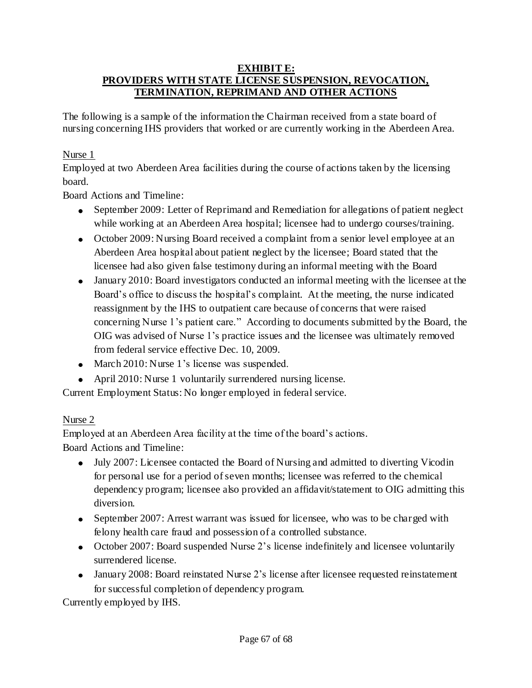#### **EXHIBIT E: PROVIDERS WITH STATE LICENSE SUSPENSION, REVOCATION, TERMINATION, REPRIMAND AND OTHER ACTIONS**

The following is a sample of the information the Chairman received from a state board of nursing concerning IHS providers that worked or are currently working in the Aberdeen Area.

# Nurse 1

Employed at two Aberdeen Area facilities during the course of actions taken by the licensing board.

Board Actions and Timeline:

- September 2009: Letter of Reprimand and Remediation for allegations of patient neglect while working at an Aberdeen Area hospital; licensee had to undergo courses/training.
- October 2009: Nursing Board received a complaint from a senior level employee at an Aberdeen Area hospital about patient neglect by the licensee; Board stated that the licensee had also given false testimony during an informal meeting with the Board
- January 2010: Board investigators conducted an informal meeting with the licensee at the Board"s office to discuss the hospital"s complaint. At the meeting, the nurse indicated reassignment by the IHS to outpatient care because of concerns that were raised concerning Nurse 1"s patient care." According to documents submitted by the Board, the OIG was advised of Nurse 1"s practice issues and the licensee was ultimately removed from federal service effective Dec. 10, 2009.
- March 2010: Nurse 1's license was suspended.
- April 2010: Nurse 1 voluntarily surrendered nursing license.

Current Employment Status: No longer employed in federal service.

# Nurse 2

Employed at an Aberdeen Area facility at the time of the board"s actions. Board Actions and Timeline:

- July 2007: Licensee contacted the Board of Nursing and admitted to diverting Vicodin for personal use for a period of seven months; licensee was referred to the chemical dependency program; licensee also provided an affidavit/statement to OIG admitting this diversion.
- September 2007: Arrest warrant was issued for licensee, who was to be charged with felony health care fraud and possession of a controlled substance.
- October 2007: Board suspended Nurse 2's license indefinitely and licensee voluntarily surrendered license.
- January 2008: Board reinstated Nurse 2's license after licensee requested reinstatement for successful completion of dependency program.

Currently employed by IHS.